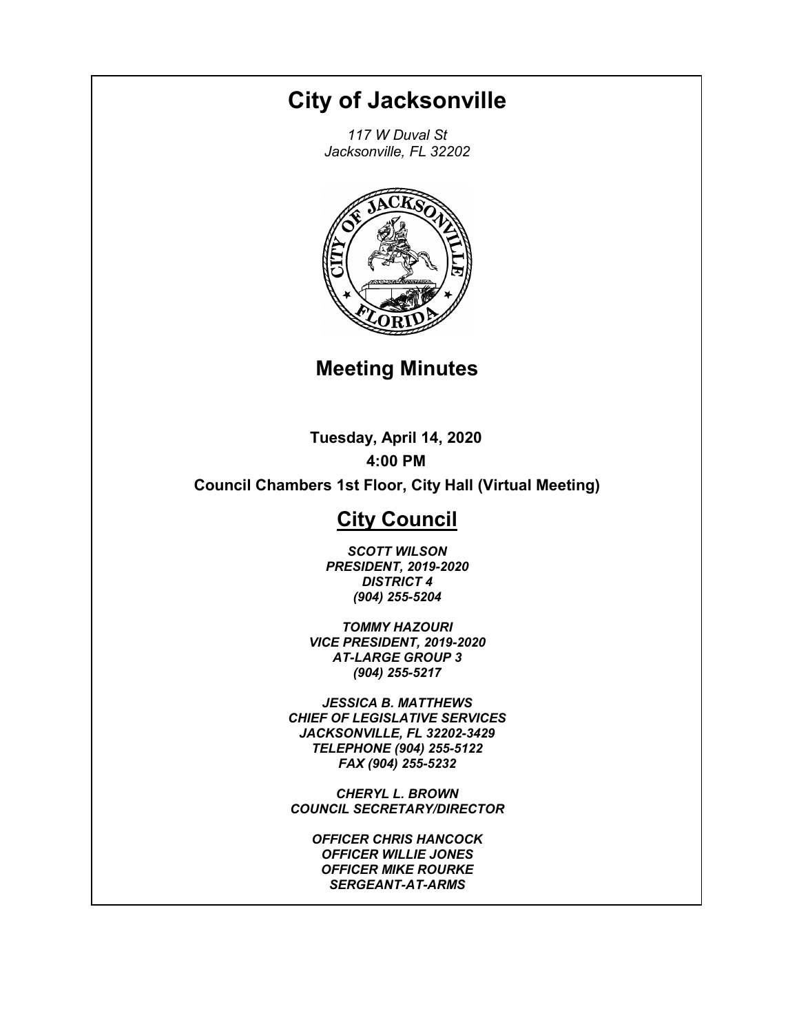# **City of Jacksonville**

*117 W Duval St Jacksonville, FL 32202*



## **Meeting Minutes**

**Tuesday, April 14, 2020 4:00 PM**

**Council Chambers 1st Floor, City Hall (Virtual Meeting)**

## **City Council**

*SCOTT WILSON PRESIDENT, 2019-2020 DISTRICT 4 (904) 255-5204*

*TOMMY HAZOURI VICE PRESIDENT, 2019-2020 AT-LARGE GROUP 3 (904) 255-5217*

*JESSICA B. MATTHEWS CHIEF OF LEGISLATIVE SERVICES JACKSONVILLE, FL 32202-3429 TELEPHONE (904) 255-5122 FAX (904) 255-5232*

*CHERYL L. BROWN COUNCIL SECRETARY/DIRECTOR*

*OFFICER CHRIS HANCOCK OFFICER WILLIE JONES OFFICER MIKE ROURKE SERGEANT-AT-ARMS*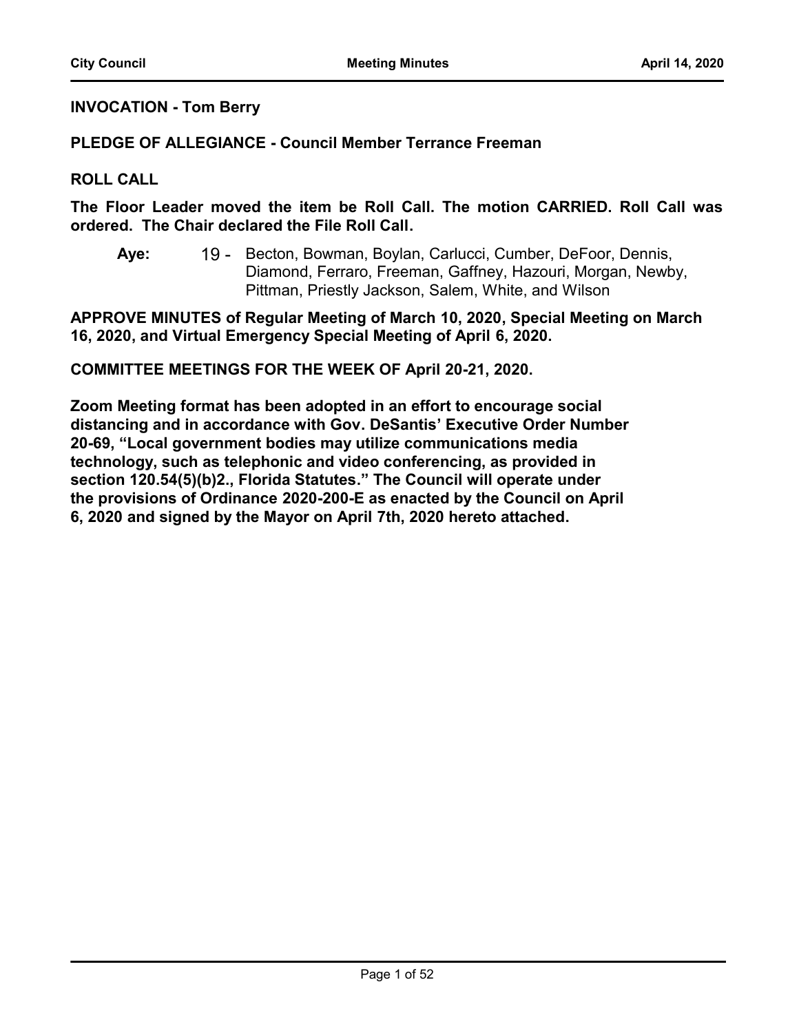### **INVOCATION - Tom Berry**

#### **PLEDGE OF ALLEGIANCE - Council Member Terrance Freeman**

#### **ROLL CALL**

**The Floor Leader moved the item be Roll Call. The motion CARRIED. Roll Call was ordered. The Chair declared the File Roll Call.**

19 - Becton, Bowman, Boylan, Carlucci, Cumber, DeFoor, Dennis, Diamond, Ferraro, Freeman, Gaffney, Hazouri, Morgan, Newby, Pittman, Priestly Jackson, Salem, White, and Wilson **Aye:**

**APPROVE MINUTES of Regular Meeting of March 10, 2020, Special Meeting on March 16, 2020, and Virtual Emergency Special Meeting of April 6, 2020.**

**COMMITTEE MEETINGS FOR THE WEEK OF April 20-21, 2020.**

**Zoom Meeting format has been adopted in an effort to encourage social distancing and in accordance with Gov. DeSantis' Executive Order Number 20-69, "Local government bodies may utilize communications media technology, such as telephonic and video conferencing, as provided in section 120.54(5)(b)2., Florida Statutes." The Council will operate under the provisions of Ordinance 2020-200-E as enacted by the Council on April 6, 2020 and signed by the Mayor on April 7th, 2020 hereto attached.**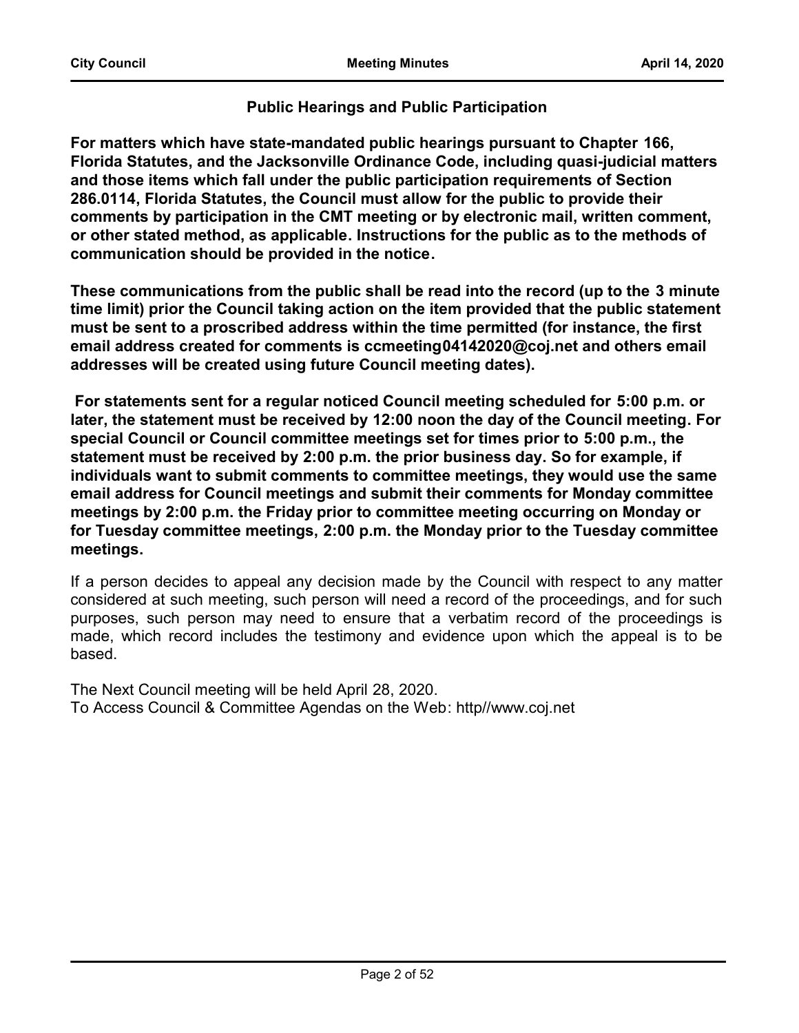## **Public Hearings and Public Participation**

**For matters which have state-mandated public hearings pursuant to Chapter 166, Florida Statutes, and the Jacksonville Ordinance Code, including quasi-judicial matters and those items which fall under the public participation requirements of Section 286.0114, Florida Statutes, the Council must allow for the public to provide their comments by participation in the CMT meeting or by electronic mail, written comment, or other stated method, as applicable. Instructions for the public as to the methods of communication should be provided in the notice.** 

**These communications from the public shall be read into the record (up to the 3 minute time limit) prior the Council taking action on the item provided that the public statement must be sent to a proscribed address within the time permitted (for instance, the first email address created for comments is ccmeeting04142020@coj.net and others email addresses will be created using future Council meeting dates).**

**For statements sent for a regular noticed Council meeting scheduled for 5:00 p.m. or later, the statement must be received by 12:00 noon the day of the Council meeting. For special Council or Council committee meetings set for times prior to 5:00 p.m., the statement must be received by 2:00 p.m. the prior business day. So for example, if individuals want to submit comments to committee meetings, they would use the same email address for Council meetings and submit their comments for Monday committee meetings by 2:00 p.m. the Friday prior to committee meeting occurring on Monday or for Tuesday committee meetings, 2:00 p.m. the Monday prior to the Tuesday committee meetings.**

If a person decides to appeal any decision made by the Council with respect to any matter considered at such meeting, such person will need a record of the proceedings, and for such purposes, such person may need to ensure that a verbatim record of the proceedings is made, which record includes the testimony and evidence upon which the appeal is to be based.

The Next Council meeting will be held April 28, 2020. To Access Council & Committee Agendas on the Web: http//www.coj.net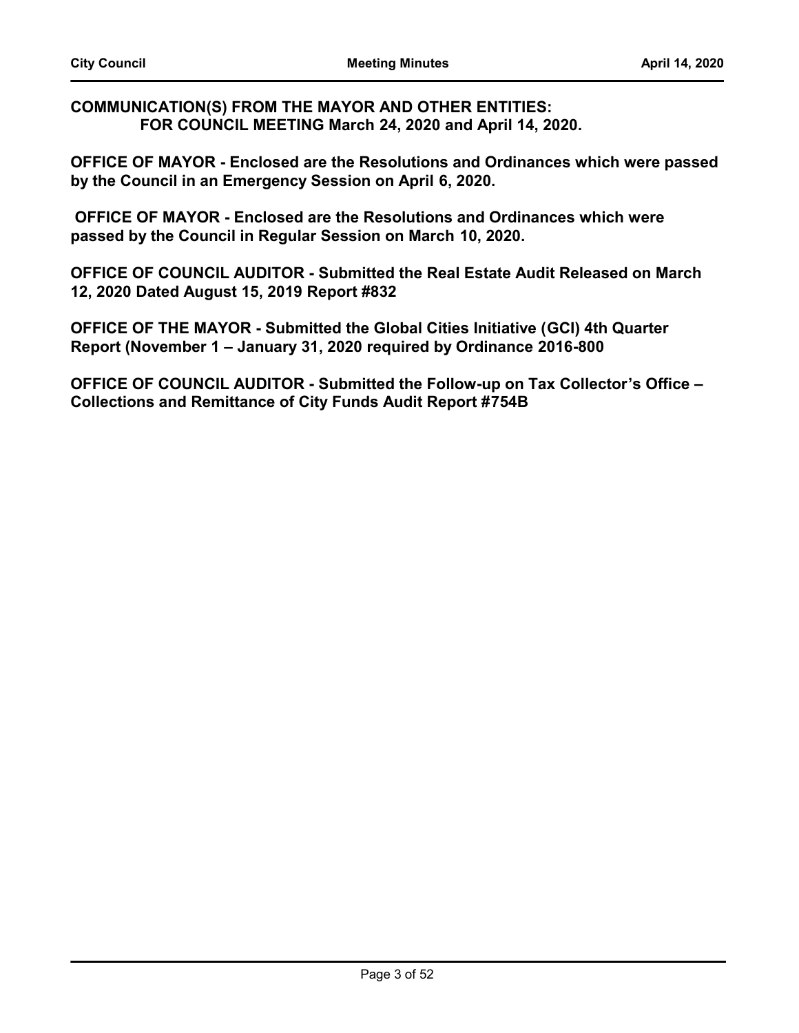**COMMUNICATION(S) FROM THE MAYOR AND OTHER ENTITIES: FOR COUNCIL MEETING March 24, 2020 and April 14, 2020.**

**OFFICE OF MAYOR - Enclosed are the Resolutions and Ordinances which were passed by the Council in an Emergency Session on April 6, 2020.** 

 **OFFICE OF MAYOR - Enclosed are the Resolutions and Ordinances which were passed by the Council in Regular Session on March 10, 2020.** 

**OFFICE OF COUNCIL AUDITOR - Submitted the Real Estate Audit Released on March 12, 2020 Dated August 15, 2019 Report #832**

**OFFICE OF THE MAYOR - Submitted the Global Cities Initiative (GCI) 4th Quarter Report (November 1 – January 31, 2020 required by Ordinance 2016-800**

**OFFICE OF COUNCIL AUDITOR - Submitted the Follow-up on Tax Collector's Office – Collections and Remittance of City Funds Audit Report #754B**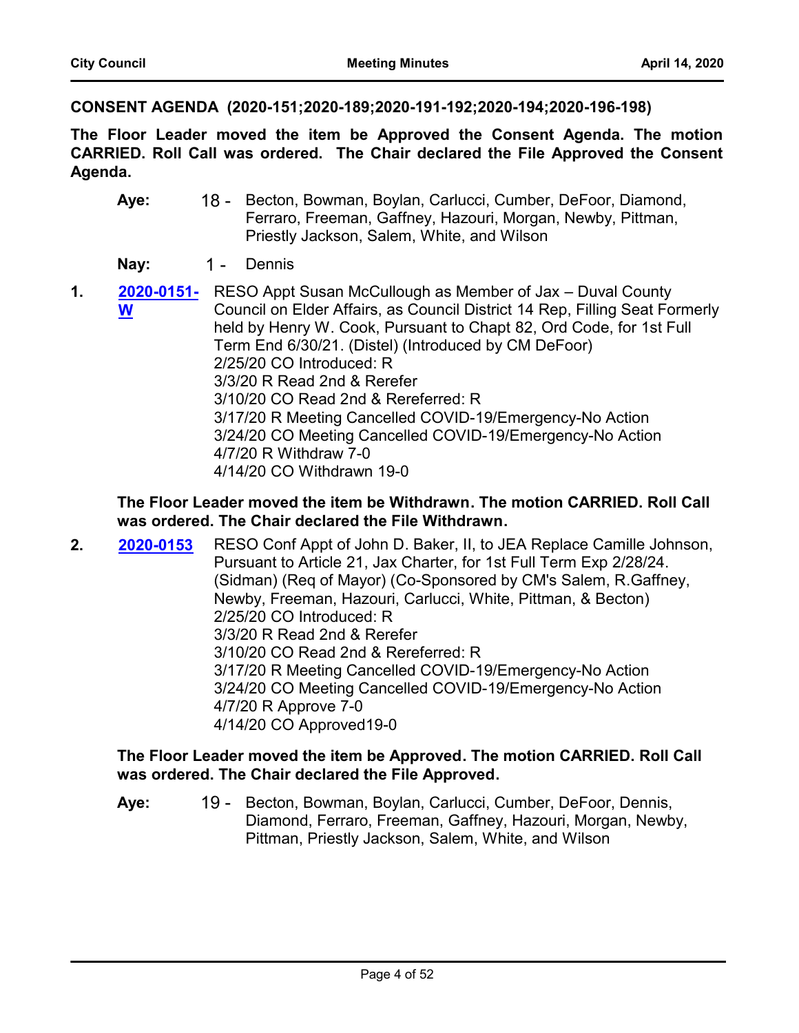**CONSENT AGENDA (2020-151;2020-189;2020-191-192;2020-194;2020-196-198)**

**The Floor Leader moved the item be Approved the Consent Agenda. The motion CARRIED. Roll Call was ordered. The Chair declared the File Approved the Consent Agenda.**

- 18 Becton, Bowman, Boylan, Carlucci, Cumber, DeFoor, Diamond, Ferraro, Freeman, Gaffney, Hazouri, Morgan, Newby, Pittman, Priestly Jackson, Salem, White, and Wilson **Aye:**
- Nay: 1 Dennis
- **1. [2020-0151-](http://jaxcityc.legistar.com/gateway.aspx?m=l&id=/matter.aspx?key=2214)** RESO Appt Susan McCullough as Member of Jax Duval County Council on Elder Affairs, as Council District 14 Rep, Filling Seat Formerly held by Henry W. Cook, Pursuant to Chapt 82, Ord Code, for 1st Full Term End 6/30/21. (Distel) (Introduced by CM DeFoor) 2/25/20 CO Introduced: R 3/3/20 R Read 2nd & Rerefer 3/10/20 CO Read 2nd & Rereferred: R 3/17/20 R Meeting Cancelled COVID-19/Emergency-No Action 3/24/20 CO Meeting Cancelled COVID-19/Emergency-No Action 4/7/20 R Withdraw 7-0 4/14/20 CO Withdrawn 19-0 **W**

## **The Floor Leader moved the item be Withdrawn. The motion CARRIED. Roll Call was ordered. The Chair declared the File Withdrawn.**

**2. 2020-0153** RESO Conf Appt of John D. Baker, II, to JEA Replace Camille Johnson, Pursuant to Article 21, Jax Charter, for 1st Full Term Exp 2/28/24. (Sidman) (Req of Mayor) (Co-Sponsored by CM's Salem, R.Gaffney, Newby, Freeman, Hazouri, Carlucci, White, Pittman, & Becton) 2/25/20 CO Introduced: R 3/3/20 R Read 2nd & Rerefer 3/10/20 CO Read 2nd & Rereferred: R 3/17/20 R Meeting Cancelled COVID-19/Emergency-No Action 3/24/20 CO Meeting Cancelled COVID-19/Emergency-No Action 4/7/20 R Approve 7-0 4/14/20 CO Approved19-0 **[2020-0153](http://jaxcityc.legistar.com/gateway.aspx?m=l&id=/matter.aspx?key=2216)**

#### **The Floor Leader moved the item be Approved. The motion CARRIED. Roll Call was ordered. The Chair declared the File Approved.**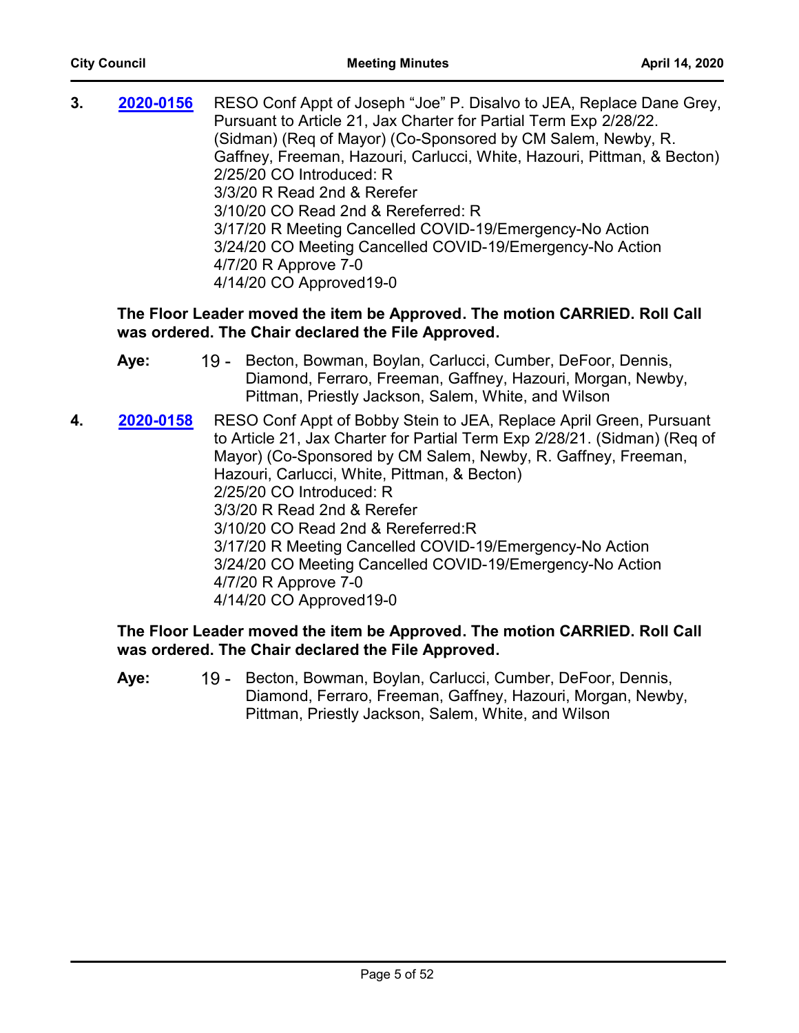| 3. | 2020-0156 | RESO Conf Appt of Joseph "Joe" P. Disalvo to JEA, Replace Dane Grey,<br>Pursuant to Article 21, Jax Charter for Partial Term Exp 2/28/22. |
|----|-----------|-------------------------------------------------------------------------------------------------------------------------------------------|
|    |           | (Sidman) (Req of Mayor) (Co-Sponsored by CM Salem, Newby, R.                                                                              |
|    |           | Gaffney, Freeman, Hazouri, Carlucci, White, Hazouri, Pittman, & Becton)                                                                   |
|    |           | 2/25/20 CO Introduced: R                                                                                                                  |
|    |           | 3/3/20 R Read 2nd & Rerefer                                                                                                               |
|    |           | 3/10/20 CO Read 2nd & Rereferred: R                                                                                                       |
|    |           | 3/17/20 R Meeting Cancelled COVID-19/Emergency-No Action                                                                                  |
|    |           | 3/24/20 CO Meeting Cancelled COVID-19/Emergency-No Action                                                                                 |
|    |           | 4/7/20 R Approve 7-0                                                                                                                      |
|    |           | 4/14/20 CO Approved 19-0                                                                                                                  |
|    |           |                                                                                                                                           |

## **The Floor Leader moved the item be Approved. The motion CARRIED. Roll Call was ordered. The Chair declared the File Approved.**

|    | Aye:      | 19 - Becton, Bowman, Boylan, Carlucci, Cumber, DeFoor, Dennis,<br>Diamond, Ferraro, Freeman, Gaffney, Hazouri, Morgan, Newby,<br>Pittman, Priestly Jackson, Salem, White, and Wilson                                                                                                                                                                                                                                                                                                                                                            |
|----|-----------|-------------------------------------------------------------------------------------------------------------------------------------------------------------------------------------------------------------------------------------------------------------------------------------------------------------------------------------------------------------------------------------------------------------------------------------------------------------------------------------------------------------------------------------------------|
| 4. | 2020-0158 | RESO Conf Appt of Bobby Stein to JEA, Replace April Green, Pursuant<br>to Article 21, Jax Charter for Partial Term Exp 2/28/21. (Sidman) (Req of<br>Mayor) (Co-Sponsored by CM Salem, Newby, R. Gaffney, Freeman,<br>Hazouri, Carlucci, White, Pittman, & Becton)<br>2/25/20 CO Introduced: R<br>3/3/20 R Read 2nd & Rerefer<br>3/10/20 CO Read 2nd & Rereferred:R<br>3/17/20 R Meeting Cancelled COVID-19/Emergency-No Action<br>3/24/20 CO Meeting Cancelled COVID-19/Emergency-No Action<br>4/7/20 R Approve 7-0<br>4/14/20 CO Approved 19-0 |

#### **The Floor Leader moved the item be Approved. The motion CARRIED. Roll Call was ordered. The Chair declared the File Approved.**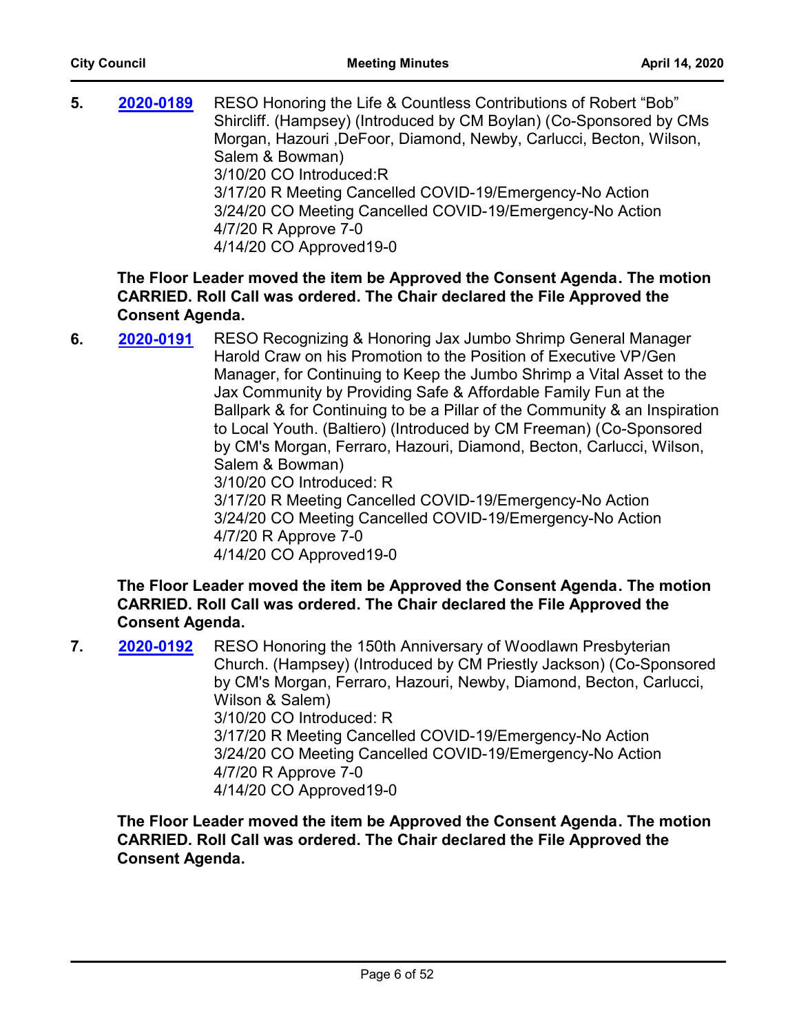**5. 2020-0189** RESO Honoring the Life & Countless Contributions of Robert "Bob" Shircliff. (Hampsey) (Introduced by CM Boylan) (Co-Sponsored by CMs Morgan, Hazouri ,DeFoor, Diamond, Newby, Carlucci, Becton, Wilson, Salem & Bowman) 3/10/20 CO Introduced:R 3/17/20 R Meeting Cancelled COVID-19/Emergency-No Action 3/24/20 CO Meeting Cancelled COVID-19/Emergency-No Action 4/7/20 R Approve 7-0 4/14/20 CO Approved19-0 **[2020-0189](http://jaxcityc.legistar.com/gateway.aspx?m=l&id=/matter.aspx?key=2256)**

## **The Floor Leader moved the item be Approved the Consent Agenda. The motion CARRIED. Roll Call was ordered. The Chair declared the File Approved the Consent Agenda.**

**6. 2020-0191** RESO Recognizing & Honoring Jax Jumbo Shrimp General Manager Harold Craw on his Promotion to the Position of Executive VP/Gen Manager, for Continuing to Keep the Jumbo Shrimp a Vital Asset to the Jax Community by Providing Safe & Affordable Family Fun at the Ballpark & for Continuing to be a Pillar of the Community & an Inspiration to Local Youth. (Baltiero) (Introduced by CM Freeman) (Co-Sponsored by CM's Morgan, Ferraro, Hazouri, Diamond, Becton, Carlucci, Wilson, Salem & Bowman) 3/10/20 CO Introduced: R 3/17/20 R Meeting Cancelled COVID-19/Emergency-No Action 3/24/20 CO Meeting Cancelled COVID-19/Emergency-No Action 4/7/20 R Approve 7-0 4/14/20 CO Approved19-0 **[2020-0191](http://jaxcityc.legistar.com/gateway.aspx?m=l&id=/matter.aspx?key=2258)**

## **The Floor Leader moved the item be Approved the Consent Agenda. The motion CARRIED. Roll Call was ordered. The Chair declared the File Approved the Consent Agenda.**

**7. 2020-0192** RESO Honoring the 150th Anniversary of Woodlawn Presbyterian Church. (Hampsey) (Introduced by CM Priestly Jackson) (Co-Sponsored by CM's Morgan, Ferraro, Hazouri, Newby, Diamond, Becton, Carlucci, Wilson & Salem) 3/10/20 CO Introduced: R 3/17/20 R Meeting Cancelled COVID-19/Emergency-No Action 3/24/20 CO Meeting Cancelled COVID-19/Emergency-No Action 4/7/20 R Approve 7-0 4/14/20 CO Approved19-0 **[2020-0192](http://jaxcityc.legistar.com/gateway.aspx?m=l&id=/matter.aspx?key=2259)**

**The Floor Leader moved the item be Approved the Consent Agenda. The motion CARRIED. Roll Call was ordered. The Chair declared the File Approved the Consent Agenda.**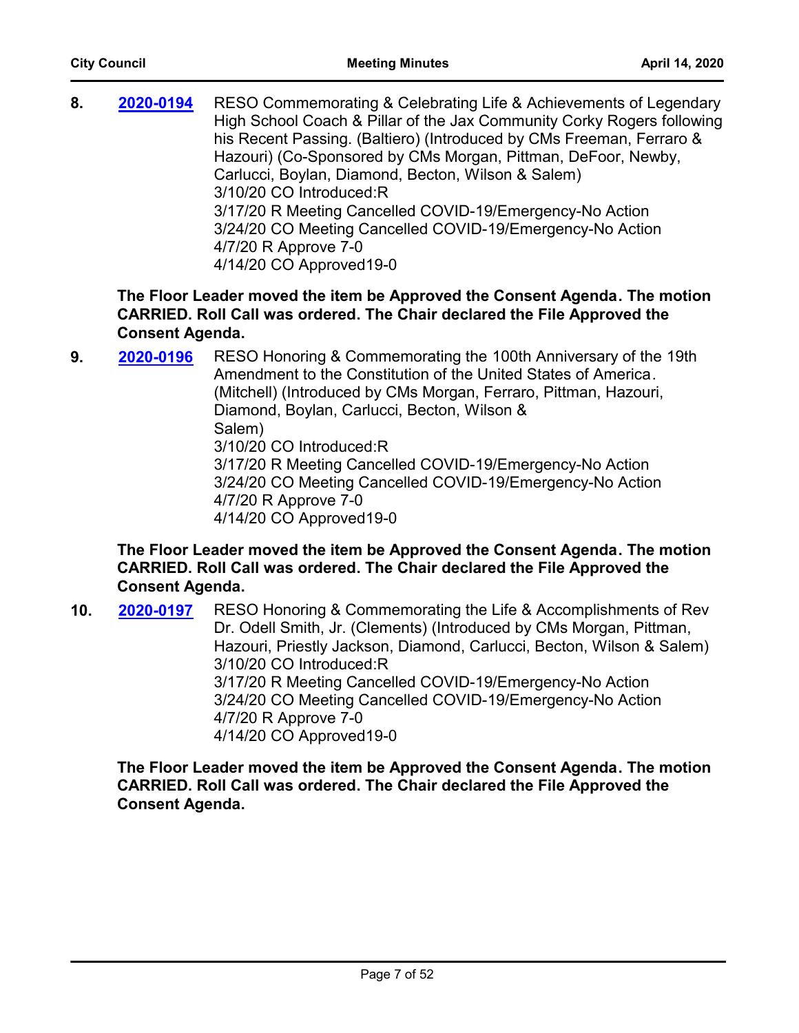**8. 2020-0194** RESO Commemorating & Celebrating Life & Achievements of Legendary High School Coach & Pillar of the Jax Community Corky Rogers following his Recent Passing. (Baltiero) (Introduced by CMs Freeman, Ferraro & Hazouri) (Co-Sponsored by CMs Morgan, Pittman, DeFoor, Newby, Carlucci, Boylan, Diamond, Becton, Wilson & Salem) 3/10/20 CO Introduced:R 3/17/20 R Meeting Cancelled COVID-19/Emergency-No Action 3/24/20 CO Meeting Cancelled COVID-19/Emergency-No Action 4/7/20 R Approve 7-0 4/14/20 CO Approved19-0 **[2020-0194](http://jaxcityc.legistar.com/gateway.aspx?m=l&id=/matter.aspx?key=2261)**

**The Floor Leader moved the item be Approved the Consent Agenda. The motion CARRIED. Roll Call was ordered. The Chair declared the File Approved the Consent Agenda.**

**9. 2020-0196** RESO Honoring & Commemorating the 100th Anniversary of the 19th Amendment to the Constitution of the United States of America. (Mitchell) (Introduced by CMs Morgan, Ferraro, Pittman, Hazouri, Diamond, Boylan, Carlucci, Becton, Wilson & Salem) 3/10/20 CO Introduced:R 3/17/20 R Meeting Cancelled COVID-19/Emergency-No Action 3/24/20 CO Meeting Cancelled COVID-19/Emergency-No Action 4/7/20 R Approve 7-0 4/14/20 CO Approved19-0 **[2020-0196](http://jaxcityc.legistar.com/gateway.aspx?m=l&id=/matter.aspx?key=2263)**

**The Floor Leader moved the item be Approved the Consent Agenda. The motion CARRIED. Roll Call was ordered. The Chair declared the File Approved the Consent Agenda.**

**10. 2020-0197** RESO Honoring & Commemorating the Life & Accomplishments of Rev Dr. Odell Smith, Jr. (Clements) (Introduced by CMs Morgan, Pittman, Hazouri, Priestly Jackson, Diamond, Carlucci, Becton, Wilson & Salem) 3/10/20 CO Introduced:R 3/17/20 R Meeting Cancelled COVID-19/Emergency-No Action 3/24/20 CO Meeting Cancelled COVID-19/Emergency-No Action 4/7/20 R Approve 7-0 4/14/20 CO Approved19-0 **[2020-0197](http://jaxcityc.legistar.com/gateway.aspx?m=l&id=/matter.aspx?key=2264)**

**The Floor Leader moved the item be Approved the Consent Agenda. The motion CARRIED. Roll Call was ordered. The Chair declared the File Approved the Consent Agenda.**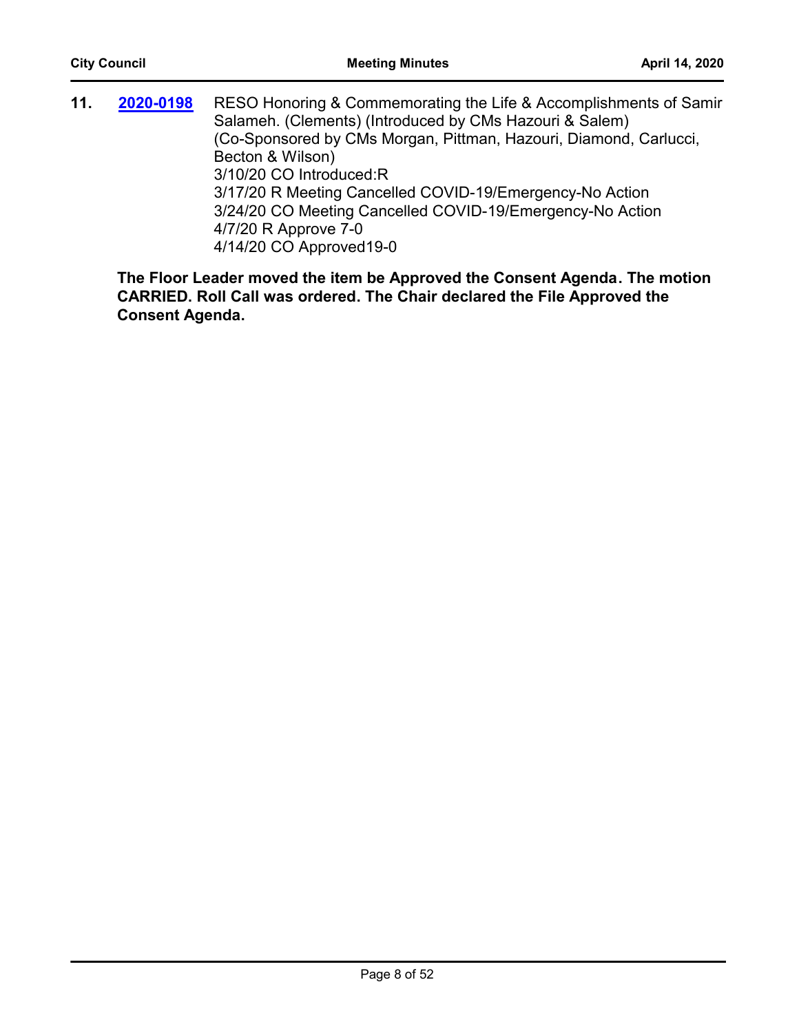**11. 2020-0198** RESO Honoring & Commemorating the Life & Accomplishments of Samir Salameh. (Clements) (Introduced by CMs Hazouri & Salem) (Co-Sponsored by CMs Morgan, Pittman, Hazouri, Diamond, Carlucci, Becton & Wilson) 3/10/20 CO Introduced:R 3/17/20 R Meeting Cancelled COVID-19/Emergency-No Action 3/24/20 CO Meeting Cancelled COVID-19/Emergency-No Action 4/7/20 R Approve 7-0 4/14/20 CO Approved19-0 **[2020-0198](http://jaxcityc.legistar.com/gateway.aspx?m=l&id=/matter.aspx?key=2265)**

**The Floor Leader moved the item be Approved the Consent Agenda. The motion CARRIED. Roll Call was ordered. The Chair declared the File Approved the Consent Agenda.**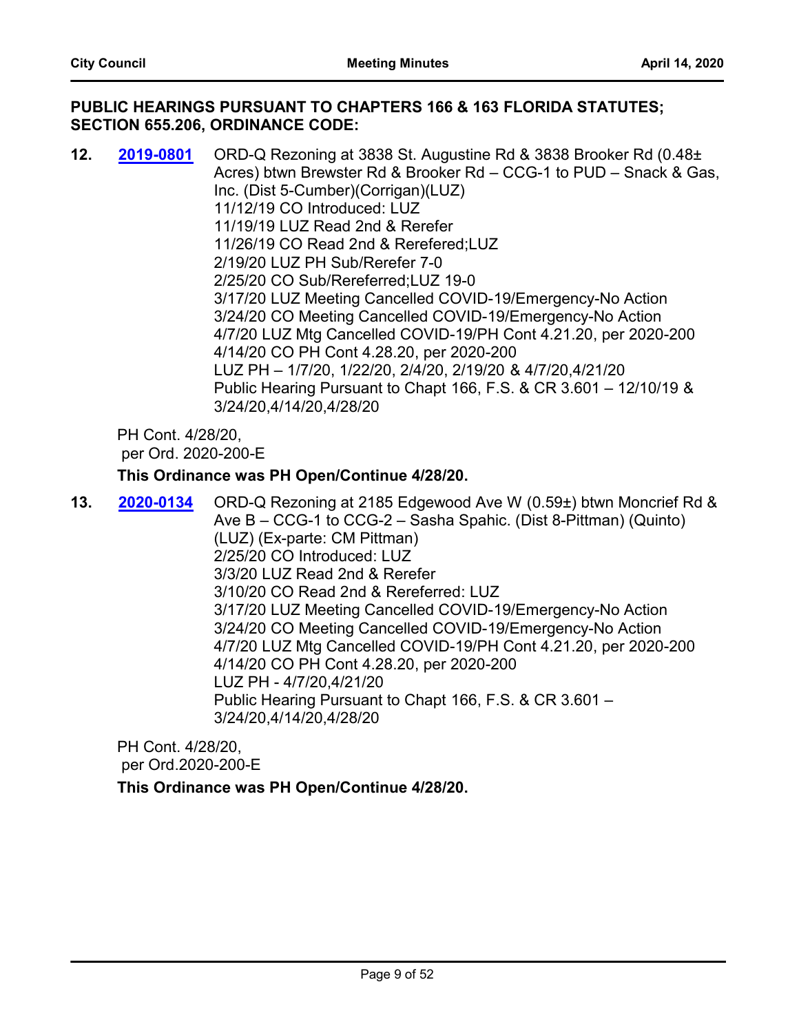## **PUBLIC HEARINGS PURSUANT TO CHAPTERS 166 & 163 FLORIDA STATUTES; SECTION 655.206, ORDINANCE CODE:**

**12. 2019-0801** ORD-Q Rezoning at 3838 St. Augustine Rd & 3838 Brooker Rd (0.48± Acres) btwn Brewster Rd & Brooker Rd – CCG-1 to PUD – Snack & Gas, Inc. (Dist 5-Cumber)(Corrigan)(LUZ) 11/12/19 CO Introduced: LUZ 11/19/19 LUZ Read 2nd & Rerefer 11/26/19 CO Read 2nd & Rerefered;LUZ 2/19/20 LUZ PH Sub/Rerefer 7-0 2/25/20 CO Sub/Rereferred;LUZ 19-0 3/17/20 LUZ Meeting Cancelled COVID-19/Emergency-No Action 3/24/20 CO Meeting Cancelled COVID-19/Emergency-No Action 4/7/20 LUZ Mtg Cancelled COVID-19/PH Cont 4.21.20, per 2020-200 4/14/20 CO PH Cont 4.28.20, per 2020-200 LUZ PH – 1/7/20, 1/22/20, 2/4/20, 2/19/20 & 4/7/20,4/21/20 Public Hearing Pursuant to Chapt 166, F.S. & CR 3.601 – 12/10/19 & 3/24/20,4/14/20,4/28/20 **[2019-0801](http://jaxcityc.legistar.com/gateway.aspx?m=l&id=/matter.aspx?key=1947)**

PH Cont. 4/28/20, per Ord. 2020-200-E

#### **This Ordinance was PH Open/Continue 4/28/20.**

**13. 2020-0134** ORD-Q Rezoning at 2185 Edgewood Ave W (0.59±) btwn Moncrief Rd & Ave B – CCG-1 to CCG-2 – Sasha Spahic. (Dist 8-Pittman) (Quinto) (LUZ) (Ex-parte: CM Pittman) 2/25/20 CO Introduced: LUZ 3/3/20 LUZ Read 2nd & Rerefer 3/10/20 CO Read 2nd & Rereferred: LUZ 3/17/20 LUZ Meeting Cancelled COVID-19/Emergency-No Action 3/24/20 CO Meeting Cancelled COVID-19/Emergency-No Action 4/7/20 LUZ Mtg Cancelled COVID-19/PH Cont 4.21.20, per 2020-200 4/14/20 CO PH Cont 4.28.20, per 2020-200 LUZ PH - 4/7/20,4/21/20 Public Hearing Pursuant to Chapt 166, F.S. & CR 3.601 – 3/24/20,4/14/20,4/28/20 **[2020-0134](http://jaxcityc.legistar.com/gateway.aspx?m=l&id=/matter.aspx?key=2197)**

PH Cont. 4/28/20,

per Ord.2020-200-E

**This Ordinance was PH Open/Continue 4/28/20.**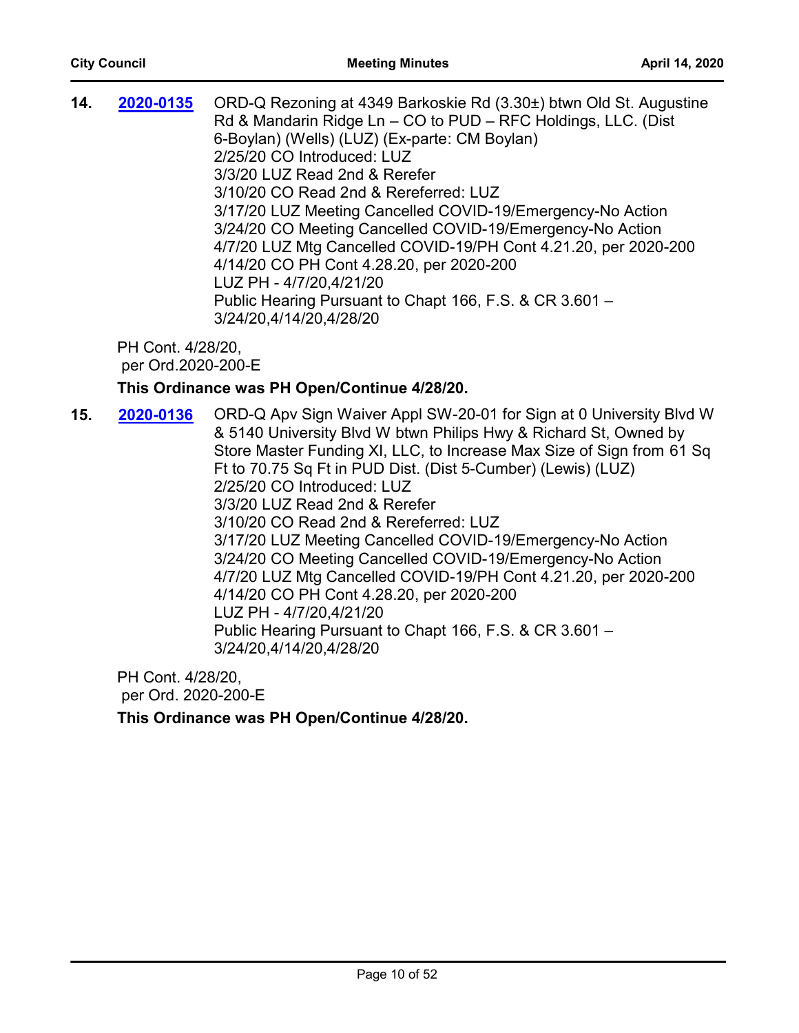| 14. | 2020-0135 | ORD-Q Rezoning at 4349 Barkoskie Rd (3.30±) btwn Old St. Augustine |
|-----|-----------|--------------------------------------------------------------------|
|     |           | Rd & Mandarin Ridge Ln - CO to PUD - RFC Holdings, LLC. (Dist      |
|     |           | 6-Boylan) (Wells) (LUZ) (Ex-parte: CM Boylan)                      |
|     |           | 2/25/20 CO Introduced: LUZ                                         |
|     |           | 3/3/20 LUZ Read 2nd & Rerefer                                      |
|     |           | 3/10/20 CO Read 2nd & Rereferred: LUZ                              |
|     |           | 3/17/20 LUZ Meeting Cancelled COVID-19/Emergency-No Action         |
|     |           | 3/24/20 CO Meeting Cancelled COVID-19/Emergency-No Action          |
|     |           | 4/7/20 LUZ Mtg Cancelled COVID-19/PH Cont 4.21.20, per 2020-200    |
|     |           | 4/14/20 CO PH Cont 4.28.20, per 2020-200                           |
|     |           | LUZ PH - 4/7/20,4/21/20                                            |
|     |           | Public Hearing Pursuant to Chapt 166, F.S. & CR 3.601 -            |
|     |           | 3/24/20,4/14/20,4/28/20                                            |
|     |           |                                                                    |

## **This Ordinance was PH Open/Continue 4/28/20.**

**15. 2020-0136** ORD-Q Apv Sign Waiver Appl SW-20-01 for Sign at 0 University Blvd W & 5140 University Blvd W btwn Philips Hwy & Richard St, Owned by Store Master Funding XI, LLC, to Increase Max Size of Sign from 61 Sq Ft to 70.75 Sq Ft in PUD Dist. (Dist 5-Cumber) (Lewis) (LUZ) 2/25/20 CO Introduced: LUZ 3/3/20 LUZ Read 2nd & Rerefer 3/10/20 CO Read 2nd & Rereferred: LUZ 3/17/20 LUZ Meeting Cancelled COVID-19/Emergency-No Action 3/24/20 CO Meeting Cancelled COVID-19/Emergency-No Action 4/7/20 LUZ Mtg Cancelled COVID-19/PH Cont 4.21.20, per 2020-200 4/14/20 CO PH Cont 4.28.20, per 2020-200 LUZ PH - 4/7/20,4/21/20 Public Hearing Pursuant to Chapt 166, F.S. & CR 3.601 – 3/24/20,4/14/20,4/28/20 **[2020-0136](http://jaxcityc.legistar.com/gateway.aspx?m=l&id=/matter.aspx?key=2199)**

PH Cont. 4/28/20, per Ord. 2020-200-E

**This Ordinance was PH Open/Continue 4/28/20.**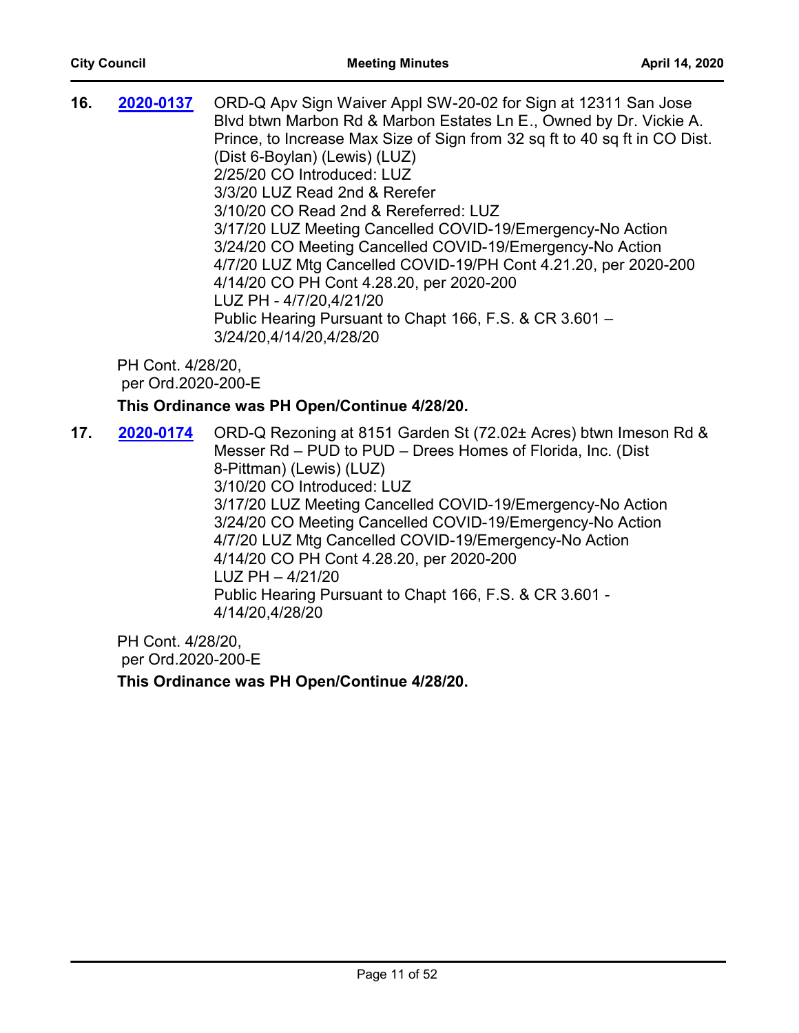**16. 2020-0137** ORD-Q Apv Sign Waiver Appl SW-20-02 for Sign at 12311 San Jose Blvd btwn Marbon Rd & Marbon Estates Ln E., Owned by Dr. Vickie A. Prince, to Increase Max Size of Sign from 32 sq ft to 40 sq ft in CO Dist. (Dist 6-Boylan) (Lewis) (LUZ) 2/25/20 CO Introduced: LUZ 3/3/20 LUZ Read 2nd & Rerefer 3/10/20 CO Read 2nd & Rereferred: LUZ 3/17/20 LUZ Meeting Cancelled COVID-19/Emergency-No Action 3/24/20 CO Meeting Cancelled COVID-19/Emergency-No Action 4/7/20 LUZ Mtg Cancelled COVID-19/PH Cont 4.21.20, per 2020-200 4/14/20 CO PH Cont 4.28.20, per 2020-200 LUZ PH - 4/7/20,4/21/20 Public Hearing Pursuant to Chapt 166, F.S. & CR 3.601 – 3/24/20,4/14/20,4/28/20 **[2020-0137](http://jaxcityc.legistar.com/gateway.aspx?m=l&id=/matter.aspx?key=2200)** PH Cont. 4/28/20, per Ord.2020-200-E **This Ordinance was PH Open/Continue 4/28/20. 17. 2020-0174** ORD-Q Rezoning at 8151 Garden St (72.02± Acres) btwn Imeson Rd & Messer Rd – PUD to PUD – Drees Homes of Florida, Inc. (Dist 8-Pittman) (Lewis) (LUZ) 3/10/20 CO Introduced: LUZ 3/17/20 LUZ Meeting Cancelled COVID-19/Emergency-No Action 3/24/20 CO Meeting Cancelled COVID-19/Emergency-No Action 4/7/20 LUZ Mtg Cancelled COVID-19/Emergency-No Action **[2020-0174](http://jaxcityc.legistar.com/gateway.aspx?m=l&id=/matter.aspx?key=2241)**

4/14/20 CO PH Cont 4.28.20, per 2020-200 LUZ PH – 4/21/20

Public Hearing Pursuant to Chapt 166, F.S. & CR 3.601 - 4/14/20,4/28/20

PH Cont. 4/28/20, per Ord.2020-200-E

**This Ordinance was PH Open/Continue 4/28/20.**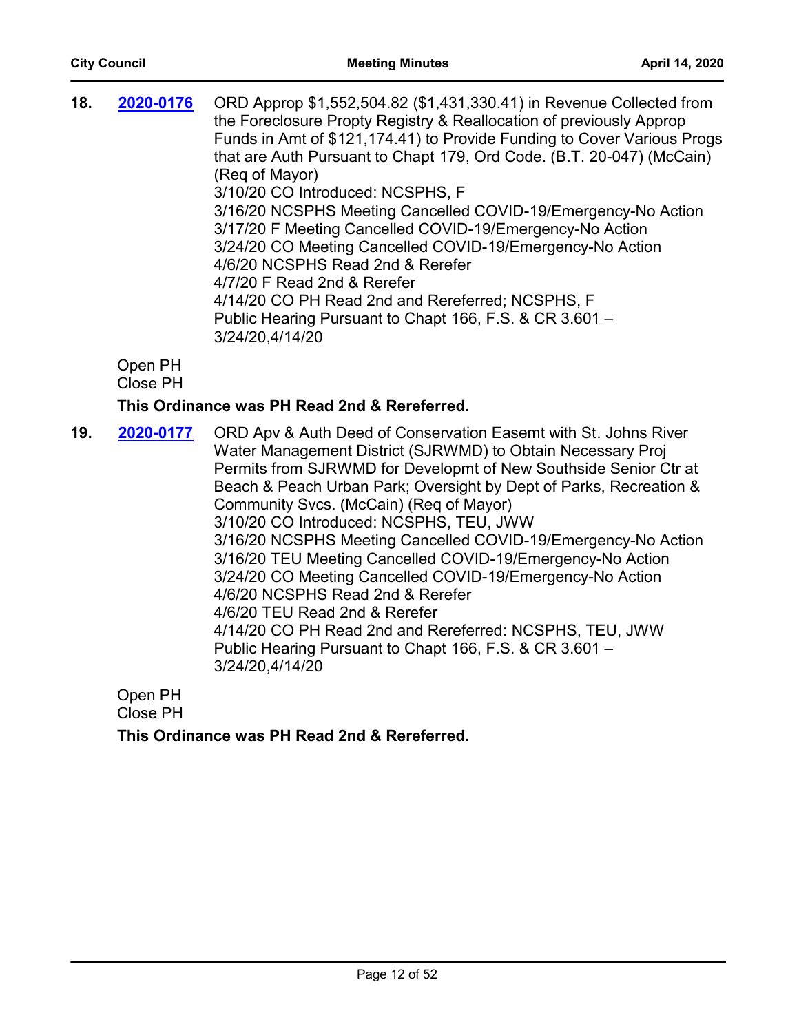| 18. | 2020-0176                  | ORD Approp \$1,552,504.82 (\$1,431,330.41) in Revenue Collected from<br>the Foreclosure Propty Registry & Reallocation of previously Approp<br>Funds in Amt of \$121,174.41) to Provide Funding to Cover Various Progs<br>that are Auth Pursuant to Chapt 179, Ord Code. (B.T. 20-047) (McCain)<br>(Reg of Mayor)<br>3/10/20 CO Introduced: NCSPHS, F<br>3/16/20 NCSPHS Meeting Cancelled COVID-19/Emergency-No Action<br>3/17/20 F Meeting Cancelled COVID-19/Emergency-No Action<br>3/24/20 CO Meeting Cancelled COVID-19/Emergency-No Action<br>4/6/20 NCSPHS Read 2nd & Rerefer<br>4/7/20 F Read 2nd & Rerefer<br>4/14/20 CO PH Read 2nd and Rereferred; NCSPHS, F<br>Public Hearing Pursuant to Chapt 166, F.S. & CR 3.601 -<br>3/24/20,4/14/20 |
|-----|----------------------------|------------------------------------------------------------------------------------------------------------------------------------------------------------------------------------------------------------------------------------------------------------------------------------------------------------------------------------------------------------------------------------------------------------------------------------------------------------------------------------------------------------------------------------------------------------------------------------------------------------------------------------------------------------------------------------------------------------------------------------------------------|
|     | Open PH<br><b>Close PH</b> |                                                                                                                                                                                                                                                                                                                                                                                                                                                                                                                                                                                                                                                                                                                                                      |
|     |                            | This Ordinance was PH Read 2nd & Rereferred.                                                                                                                                                                                                                                                                                                                                                                                                                                                                                                                                                                                                                                                                                                         |
| 19. | 2020-0177                  | ORD Apv & Auth Deed of Conservation Easemt with St. Johns River<br>Water Management District (SJRWMD) to Obtain Necessary Proj<br>Permits from SJRWMD for Developmt of New Southside Senior Ctr at<br>Beach & Peach Urban Park; Oversight by Dept of Parks, Recreation &<br>Community Svcs. (McCain) (Req of Mayor)<br>3/10/20 CO Introduced: NCSPHS, TEU, JWW<br>3/16/20 NCSPHS Meeting Cancelled COVID-19/Emergency-No Action<br>3/16/20 TEU Meeting Cancelled COVID-19/Emergency-No Action<br>3/24/20 CO Meeting Cancelled COVID-19/Emergency-No Action<br>4/6/20 NCSPHS Read 2nd & Rerefer                                                                                                                                                       |

4/6/20 TEU Read 2nd & Rerefer

4/14/20 CO PH Read 2nd and Rereferred: NCSPHS, TEU, JWW Public Hearing Pursuant to Chapt 166, F.S. & CR 3.601 – 3/24/20,4/14/20

Open PH Close PH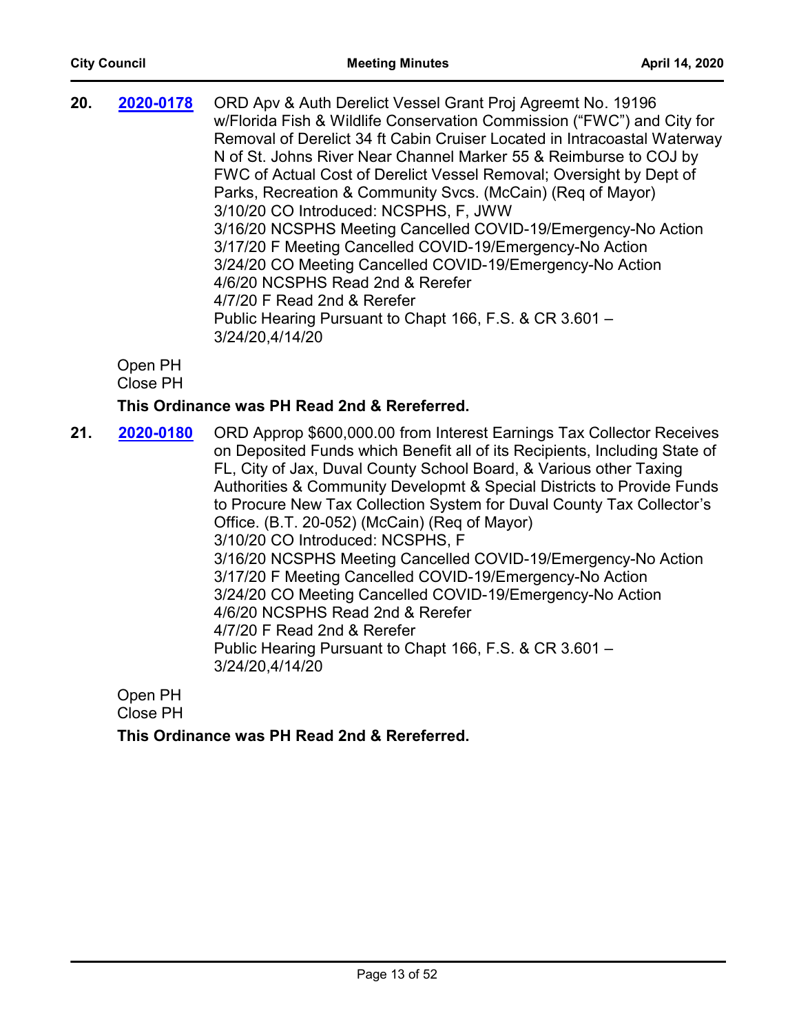| 20. | 2020-0178 | ORD Apv & Auth Derelict Vessel Grant Proj Agreemt No. 19196<br>w/Florida Fish & Wildlife Conservation Commission ("FWC") and City for<br>Removal of Derelict 34 ft Cabin Cruiser Located in Intracoastal Waterway<br>N of St. Johns River Near Channel Marker 55 & Reimburse to COJ by<br>FWC of Actual Cost of Derelict Vessel Removal; Oversight by Dept of<br>Parks, Recreation & Community Svcs. (McCain) (Req of Mayor)<br>3/10/20 CO Introduced: NCSPHS, F, JWW<br>3/16/20 NCSPHS Meeting Cancelled COVID-19/Emergency-No Action<br>3/17/20 F Meeting Cancelled COVID-19/Emergency-No Action<br>3/24/20 CO Meeting Cancelled COVID-19/Emergency-No Action<br>4/6/20 NCSPHS Read 2nd & Rerefer |
|-----|-----------|-----------------------------------------------------------------------------------------------------------------------------------------------------------------------------------------------------------------------------------------------------------------------------------------------------------------------------------------------------------------------------------------------------------------------------------------------------------------------------------------------------------------------------------------------------------------------------------------------------------------------------------------------------------------------------------------------------|
|     |           | 4/7/20 F Read 2nd & Rerefer<br>Public Hearing Pursuant to Chapt 166, F.S. & CR 3.601 -<br>3/24/20,4/14/20                                                                                                                                                                                                                                                                                                                                                                                                                                                                                                                                                                                           |

Open PH

Close PH

#### **This Ordinance was PH Read 2nd & Rereferred.**

21. **2020-0180** ORD Approp \$600,000.00 from Interest Earnings Tax Collector Receives on Deposited Funds which Benefit all of its Recipients, Including State of FL, City of Jax, Duval County School Board, & Various other Taxing Authorities & Community Developmt & Special Districts to Provide Funds to Procure New Tax Collection System for Duval County Tax Collector's Office. (B.T. 20-052) (McCain) (Req of Mayor) 3/10/20 CO Introduced: NCSPHS, F 3/16/20 NCSPHS Meeting Cancelled COVID-19/Emergency-No Action 3/17/20 F Meeting Cancelled COVID-19/Emergency-No Action 3/24/20 CO Meeting Cancelled COVID-19/Emergency-No Action 4/6/20 NCSPHS Read 2nd & Rerefer 4/7/20 F Read 2nd & Rerefer Public Hearing Pursuant to Chapt 166, F.S. & CR 3.601 – 3/24/20,4/14/20 **[2020-0180](http://jaxcityc.legistar.com/gateway.aspx?m=l&id=/matter.aspx?key=2247)**

Open PH Close PH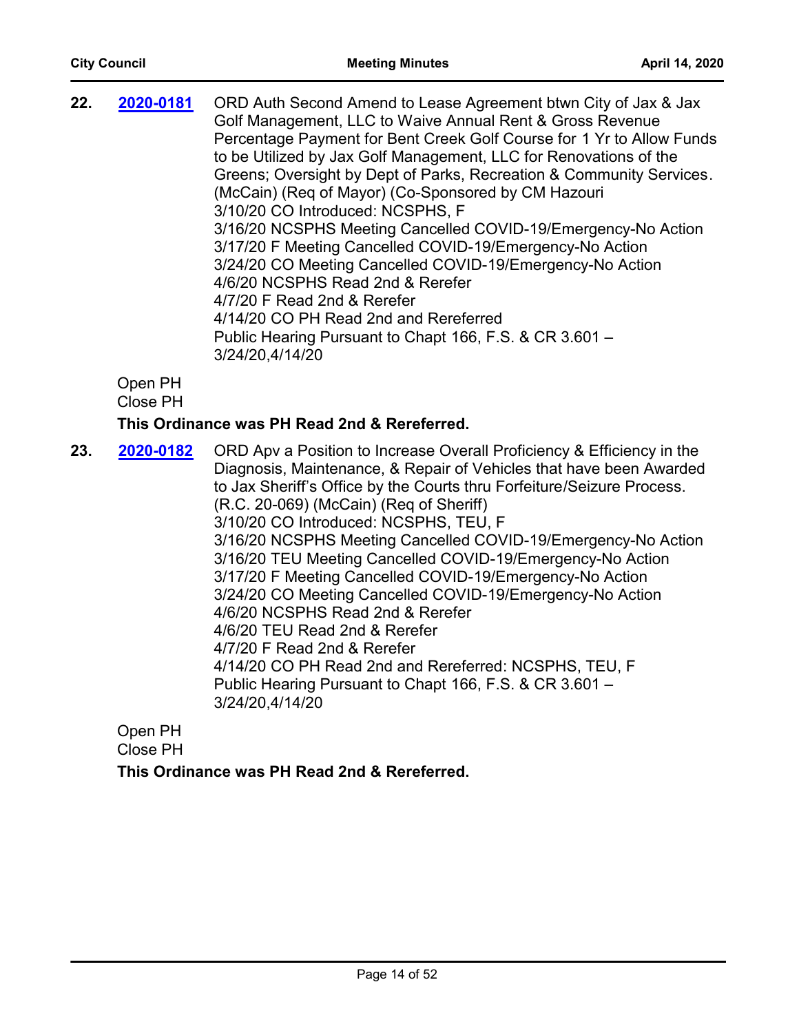| 22. | 2020-0181 | ORD Auth Second Amend to Lease Agreement btwn City of Jax & Jax<br>Golf Management, LLC to Waive Annual Rent & Gross Revenue<br>Percentage Payment for Bent Creek Golf Course for 1 Yr to Allow Funds<br>to be Utilized by Jax Golf Management, LLC for Renovations of the<br>Greens; Oversight by Dept of Parks, Recreation & Community Services.<br>(McCain) (Req of Mayor) (Co-Sponsored by CM Hazouri<br>3/10/20 CO Introduced: NCSPHS, F<br>3/16/20 NCSPHS Meeting Cancelled COVID-19/Emergency-No Action<br>3/17/20 F Meeting Cancelled COVID-19/Emergency-No Action<br>3/24/20 CO Meeting Cancelled COVID-19/Emergency-No Action<br>4/6/20 NCSPHS Read 2nd & Rerefer<br>4/7/20 F Read 2nd & Rerefer<br>4/14/20 CO PH Read 2nd and Rereferred<br>Public Hearing Pursuant to Chapt 166, F.S. & CR 3.601 -<br>3/24/20,4/14/20 |
|-----|-----------|-----------------------------------------------------------------------------------------------------------------------------------------------------------------------------------------------------------------------------------------------------------------------------------------------------------------------------------------------------------------------------------------------------------------------------------------------------------------------------------------------------------------------------------------------------------------------------------------------------------------------------------------------------------------------------------------------------------------------------------------------------------------------------------------------------------------------------------|
|     |           |                                                                                                                                                                                                                                                                                                                                                                                                                                                                                                                                                                                                                                                                                                                                                                                                                                   |

## **This Ordinance was PH Read 2nd & Rereferred.**

**23. 2020-0182** ORD Apv a Position to Increase Overall Proficiency & Efficiency in the Diagnosis, Maintenance, & Repair of Vehicles that have been Awarded to Jax Sheriff's Office by the Courts thru Forfeiture/Seizure Process. (R.C. 20-069) (McCain) (Req of Sheriff) 3/10/20 CO Introduced: NCSPHS, TEU, F 3/16/20 NCSPHS Meeting Cancelled COVID-19/Emergency-No Action 3/16/20 TEU Meeting Cancelled COVID-19/Emergency-No Action 3/17/20 F Meeting Cancelled COVID-19/Emergency-No Action 3/24/20 CO Meeting Cancelled COVID-19/Emergency-No Action 4/6/20 NCSPHS Read 2nd & Rerefer 4/6/20 TEU Read 2nd & Rerefer 4/7/20 F Read 2nd & Rerefer 4/14/20 CO PH Read 2nd and Rereferred: NCSPHS, TEU, F Public Hearing Pursuant to Chapt 166, F.S. & CR 3.601 – 3/24/20,4/14/20 **[2020-0182](http://jaxcityc.legistar.com/gateway.aspx?m=l&id=/matter.aspx?key=2249)**

Open PH Close PH **This Ordinance was PH Read 2nd & Rereferred.**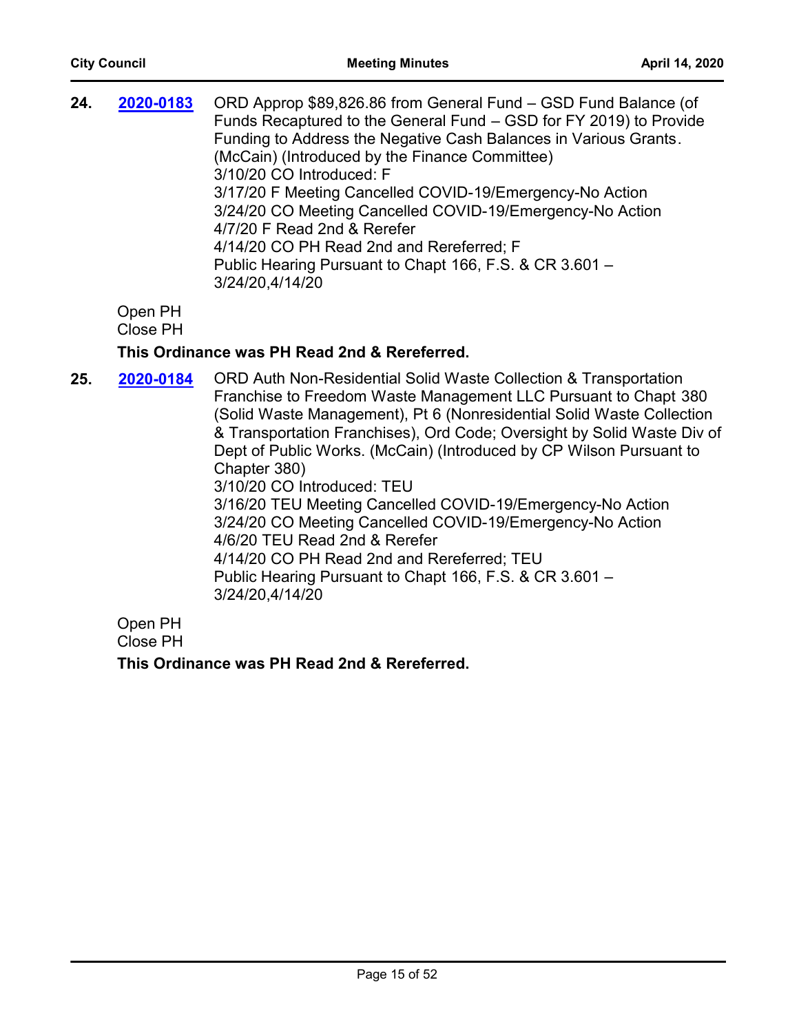| 24.<br>ORD Approp \$89,826.86 from General Fund – GSD Fund Balance (of<br>2020-0183<br>Funds Recaptured to the General Fund - GSD for FY 2019) to Provide<br>Funding to Address the Negative Cash Balances in Various Grants.<br>(McCain) (Introduced by the Finance Committee)<br>3/10/20 CO Introduced: F<br>3/17/20 F Meeting Cancelled COVID-19/Emergency-No Action<br>3/24/20 CO Meeting Cancelled COVID-19/Emergency-No Action<br>4/7/20 F Read 2nd & Rerefer<br>4/14/20 CO PH Read 2nd and Rereferred; F<br>Public Hearing Pursuant to Chapt 166, F.S. & CR 3.601 -<br>3/24/20,4/14/20 |  |
|-----------------------------------------------------------------------------------------------------------------------------------------------------------------------------------------------------------------------------------------------------------------------------------------------------------------------------------------------------------------------------------------------------------------------------------------------------------------------------------------------------------------------------------------------------------------------------------------------|--|
|-----------------------------------------------------------------------------------------------------------------------------------------------------------------------------------------------------------------------------------------------------------------------------------------------------------------------------------------------------------------------------------------------------------------------------------------------------------------------------------------------------------------------------------------------------------------------------------------------|--|

Open PH

Close PH

#### **This Ordinance was PH Read 2nd & Rereferred.**

25. **2020-0184** ORD Auth Non-Residential Solid Waste Collection & Transportation Franchise to Freedom Waste Management LLC Pursuant to Chapt 380 (Solid Waste Management), Pt 6 (Nonresidential Solid Waste Collection & Transportation Franchises), Ord Code; Oversight by Solid Waste Div of Dept of Public Works. (McCain) (Introduced by CP Wilson Pursuant to Chapter 380) 3/10/20 CO Introduced: TEU 3/16/20 TEU Meeting Cancelled COVID-19/Emergency-No Action 3/24/20 CO Meeting Cancelled COVID-19/Emergency-No Action 4/6/20 TEU Read 2nd & Rerefer 4/14/20 CO PH Read 2nd and Rereferred; TEU Public Hearing Pursuant to Chapt 166, F.S. & CR 3.601 – 3/24/20,4/14/20 **[2020-0184](http://jaxcityc.legistar.com/gateway.aspx?m=l&id=/matter.aspx?key=2251)** Open PH

Close PH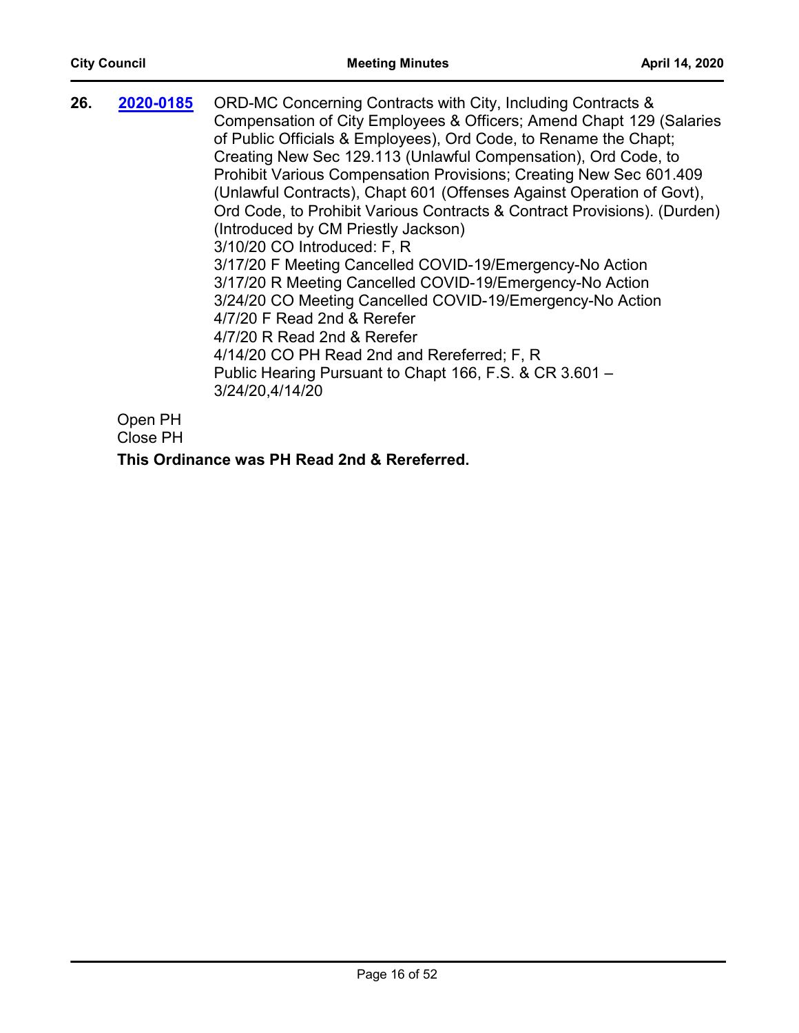| 26. | 2020-0185 | ORD-MC Concerning Contracts with City, Including Contracts &<br>Compensation of City Employees & Officers; Amend Chapt 129 (Salaries<br>of Public Officials & Employees), Ord Code, to Rename the Chapt;<br>Creating New Sec 129.113 (Unlawful Compensation), Ord Code, to<br>Prohibit Various Compensation Provisions; Creating New Sec 601.409<br>(Unlawful Contracts), Chapt 601 (Offenses Against Operation of Govt),<br>Ord Code, to Prohibit Various Contracts & Contract Provisions). (Durden)<br>(Introduced by CM Priestly Jackson)<br>3/10/20 CO Introduced: F, R<br>3/17/20 F Meeting Cancelled COVID-19/Emergency-No Action<br>3/17/20 R Meeting Cancelled COVID-19/Emergency-No Action<br>3/24/20 CO Meeting Cancelled COVID-19/Emergency-No Action<br>4/7/20 F Read 2nd & Rerefer<br>4/7/20 R Read 2nd & Rerefer<br>4/14/20 CO PH Read 2nd and Rereferred; F, R<br>Public Hearing Pursuant to Chapt 166, F.S. & CR 3.601 -<br>3/24/20,4/14/20 |
|-----|-----------|-------------------------------------------------------------------------------------------------------------------------------------------------------------------------------------------------------------------------------------------------------------------------------------------------------------------------------------------------------------------------------------------------------------------------------------------------------------------------------------------------------------------------------------------------------------------------------------------------------------------------------------------------------------------------------------------------------------------------------------------------------------------------------------------------------------------------------------------------------------------------------------------------------------------------------------------------------------|
|     |           |                                                                                                                                                                                                                                                                                                                                                                                                                                                                                                                                                                                                                                                                                                                                                                                                                                                                                                                                                             |
|     |           |                                                                                                                                                                                                                                                                                                                                                                                                                                                                                                                                                                                                                                                                                                                                                                                                                                                                                                                                                             |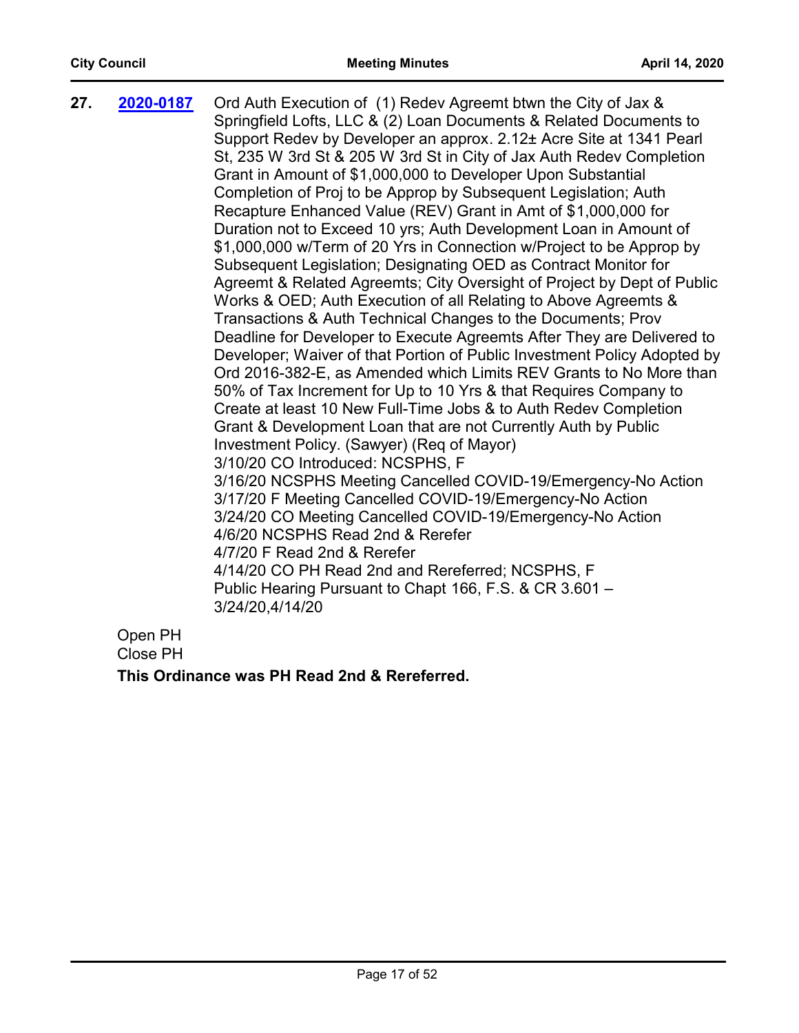| 27. | 2020-0187                 | Ord Auth Execution of (1) Redev Agreemt btwn the City of Jax &<br>Springfield Lofts, LLC & (2) Loan Documents & Related Documents to<br>Support Redev by Developer an approx. 2.12± Acre Site at 1341 Pearl |
|-----|---------------------------|-------------------------------------------------------------------------------------------------------------------------------------------------------------------------------------------------------------|
|     |                           | St, 235 W 3rd St & 205 W 3rd St in City of Jax Auth Redev Completion                                                                                                                                        |
|     |                           | Grant in Amount of \$1,000,000 to Developer Upon Substantial                                                                                                                                                |
|     |                           | Completion of Proj to be Approp by Subsequent Legislation; Auth                                                                                                                                             |
|     |                           | Recapture Enhanced Value (REV) Grant in Amt of \$1,000,000 for                                                                                                                                              |
|     |                           | Duration not to Exceed 10 yrs; Auth Development Loan in Amount of                                                                                                                                           |
|     |                           | \$1,000,000 w/Term of 20 Yrs in Connection w/Project to be Approp by                                                                                                                                        |
|     |                           | Subsequent Legislation; Designating OED as Contract Monitor for                                                                                                                                             |
|     |                           | Agreemt & Related Agreemts; City Oversight of Project by Dept of Public                                                                                                                                     |
|     |                           | Works & OED; Auth Execution of all Relating to Above Agreemts &                                                                                                                                             |
|     |                           | Transactions & Auth Technical Changes to the Documents; Prov                                                                                                                                                |
|     |                           | Deadline for Developer to Execute Agreemts After They are Delivered to                                                                                                                                      |
|     |                           | Developer; Waiver of that Portion of Public Investment Policy Adopted by<br>Ord 2016-382-E, as Amended which Limits REV Grants to No More than                                                              |
|     |                           | 50% of Tax Increment for Up to 10 Yrs & that Requires Company to                                                                                                                                            |
|     |                           | Create at least 10 New Full-Time Jobs & to Auth Redev Completion                                                                                                                                            |
|     |                           | Grant & Development Loan that are not Currently Auth by Public                                                                                                                                              |
|     |                           | Investment Policy. (Sawyer) (Req of Mayor)                                                                                                                                                                  |
|     |                           | 3/10/20 CO Introduced: NCSPHS, F                                                                                                                                                                            |
|     |                           | 3/16/20 NCSPHS Meeting Cancelled COVID-19/Emergency-No Action<br>3/17/20 F Meeting Cancelled COVID-19/Emergency-No Action                                                                                   |
|     |                           | 3/24/20 CO Meeting Cancelled COVID-19/Emergency-No Action                                                                                                                                                   |
|     |                           | 4/6/20 NCSPHS Read 2nd & Rerefer                                                                                                                                                                            |
|     |                           | 4/7/20 F Read 2nd & Rerefer                                                                                                                                                                                 |
|     |                           | 4/14/20 CO PH Read 2nd and Rereferred; NCSPHS, F                                                                                                                                                            |
|     |                           | Public Hearing Pursuant to Chapt 166, F.S. & CR 3.601 -<br>3/24/20,4/14/20                                                                                                                                  |
|     | $\bigcap_{n\geq n} D_{n}$ |                                                                                                                                                                                                             |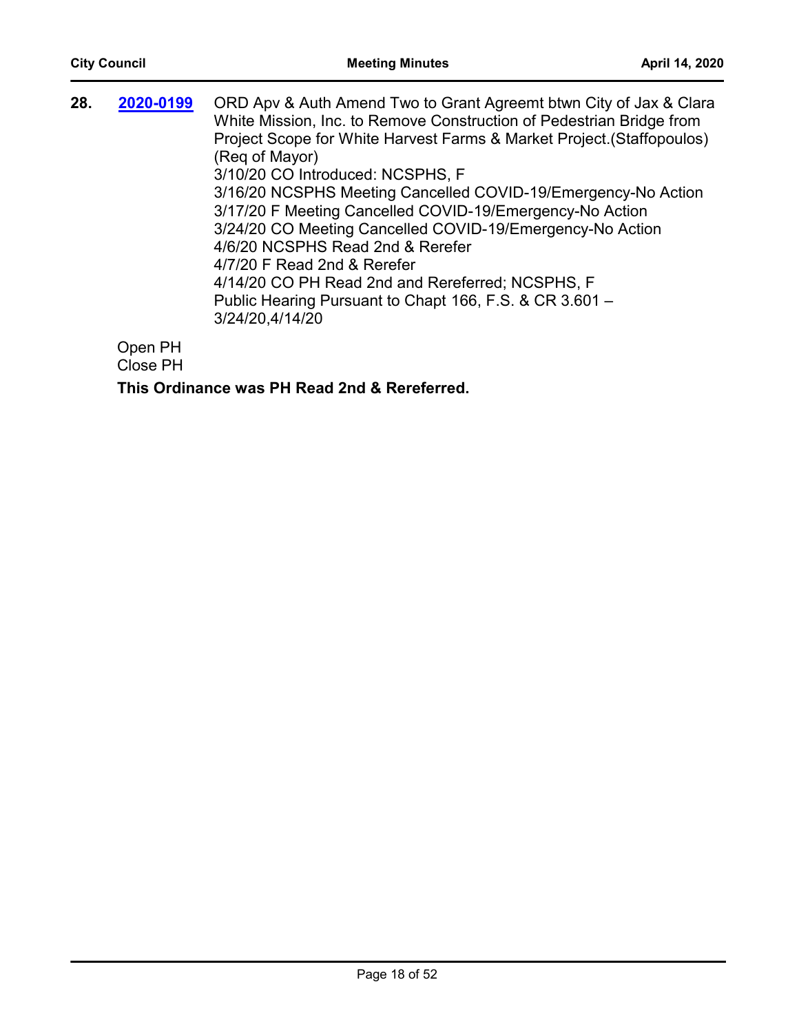| 28. | 2020-0199 | ORD Apv & Auth Amend Two to Grant Agreemt btwn City of Jax & Clara<br>White Mission, Inc. to Remove Construction of Pedestrian Bridge from<br>Project Scope for White Harvest Farms & Market Project. (Staffopoulos)<br>(Reg of Mayor)<br>3/10/20 CO Introduced: NCSPHS, F<br>3/16/20 NCSPHS Meeting Cancelled COVID-19/Emergency-No Action<br>3/17/20 F Meeting Cancelled COVID-19/Emergency-No Action<br>3/24/20 CO Meeting Cancelled COVID-19/Emergency-No Action<br>4/6/20 NCSPHS Read 2nd & Rerefer<br>4/7/20 F Read 2nd & Rerefer<br>4/14/20 CO PH Read 2nd and Rereferred; NCSPHS, F<br>Public Hearing Pursuant to Chapt 166, F.S. & CR 3.601 -<br>3/24/20,4/14/20 |
|-----|-----------|---------------------------------------------------------------------------------------------------------------------------------------------------------------------------------------------------------------------------------------------------------------------------------------------------------------------------------------------------------------------------------------------------------------------------------------------------------------------------------------------------------------------------------------------------------------------------------------------------------------------------------------------------------------------------|
|     | ∩nan DH   |                                                                                                                                                                                                                                                                                                                                                                                                                                                                                                                                                                                                                                                                           |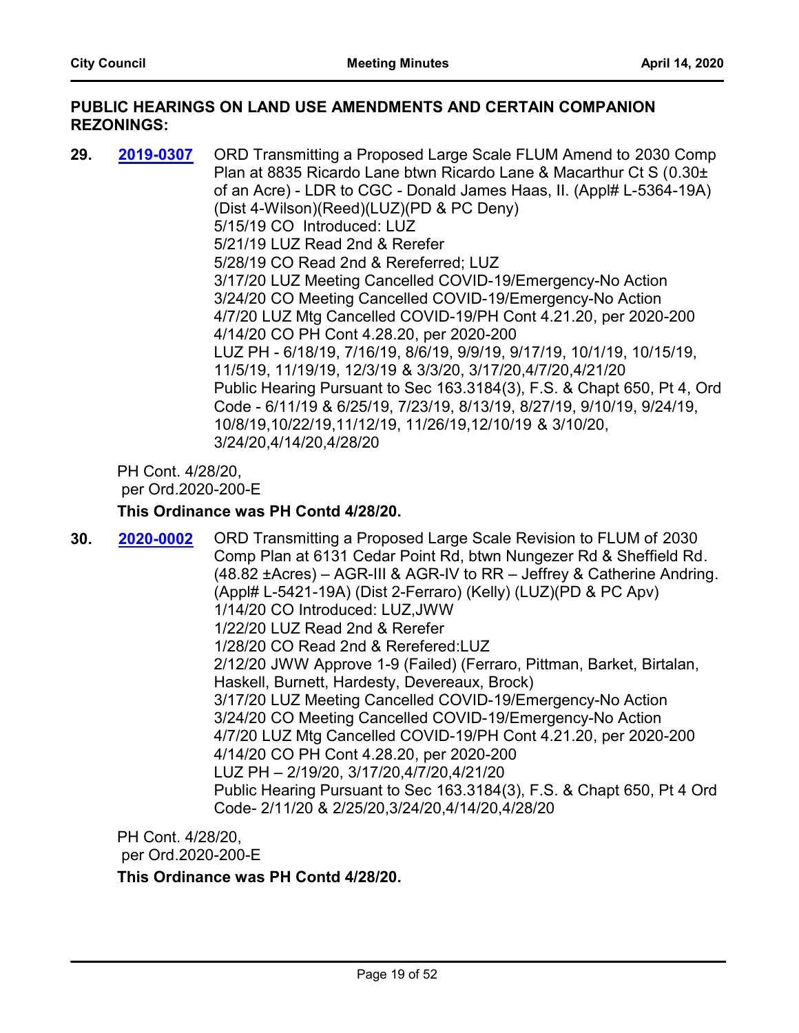#### **PUBLIC HEARINGS ON LAND USE AMENDMENTS AND CERTAIN COMPANION REZONINGS:**

**29. 2019-0307** ORD Transmitting a Proposed Large Scale FLUM Amend to 2030 Comp Plan at 8835 Ricardo Lane btwn Ricardo Lane & Macarthur Ct S (0.30± of an Acre) - LDR to CGC - Donald James Haas, II. (Appl# L-5364-19A) (Dist 4-Wilson)(Reed)(LUZ)(PD & PC Deny) 5/15/19 CO Introduced: LUZ 5/21/19 LUZ Read 2nd & Rerefer 5/28/19 CO Read 2nd & Rereferred; LUZ 3/17/20 LUZ Meeting Cancelled COVID-19/Emergency-No Action 3/24/20 CO Meeting Cancelled COVID-19/Emergency-No Action 4/7/20 LUZ Mtg Cancelled COVID-19/PH Cont 4.21.20, per 2020-200 4/14/20 CO PH Cont 4.28.20, per 2020-200 LUZ PH - 6/18/19, 7/16/19, 8/6/19, 9/9/19, 9/17/19, 10/1/19, 10/15/19, 11/5/19, 11/19/19, 12/3/19 & 3/3/20, 3/17/20,4/7/20,4/21/20 Public Hearing Pursuant to Sec 163.3184(3), F.S. & Chapt 650, Pt 4, Ord Code - 6/11/19 & 6/25/19, 7/23/19, 8/13/19, 8/27/19, 9/10/19, 9/24/19, 10/8/19,10/22/19,11/12/19, 11/26/19,12/10/19 & 3/10/20, 3/24/20,4/14/20,4/28/20 **[2019-0307](http://jaxcityc.legistar.com/gateway.aspx?m=l&id=/matter.aspx?key=1298)**

PH Cont. 4/28/20, per Ord.2020-200-E

#### **This Ordinance was PH Contd 4/28/20.**

**30. 2020-0002** ORD Transmitting a Proposed Large Scale Revision to FLUM of 2030 Comp Plan at 6131 Cedar Point Rd, btwn Nungezer Rd & Sheffield Rd. (48.82 ±Acres) – AGR-III & AGR-IV to RR – Jeffrey & Catherine Andring. (Appl# L-5421-19A) (Dist 2-Ferraro) (Kelly) (LUZ)(PD & PC Apv) 1/14/20 CO Introduced: LUZ,JWW 1/22/20 LUZ Read 2nd & Rerefer 1/28/20 CO Read 2nd & Rerefered:LUZ 2/12/20 JWW Approve 1-9 (Failed) (Ferraro, Pittman, Barket, Birtalan, Haskell, Burnett, Hardesty, Devereaux, Brock) 3/17/20 LUZ Meeting Cancelled COVID-19/Emergency-No Action 3/24/20 CO Meeting Cancelled COVID-19/Emergency-No Action 4/7/20 LUZ Mtg Cancelled COVID-19/PH Cont 4.21.20, per 2020-200 4/14/20 CO PH Cont 4.28.20, per 2020-200 LUZ PH – 2/19/20, 3/17/20,4/7/20,4/21/20 Public Hearing Pursuant to Sec 163.3184(3), F.S. & Chapt 650, Pt 4 Ord Code- 2/11/20 & 2/25/20,3/24/20,4/14/20,4/28/20 **[2020-0002](http://jaxcityc.legistar.com/gateway.aspx?m=l&id=/matter.aspx?key=2056)**

PH Cont. 4/28/20, per Ord.2020-200-E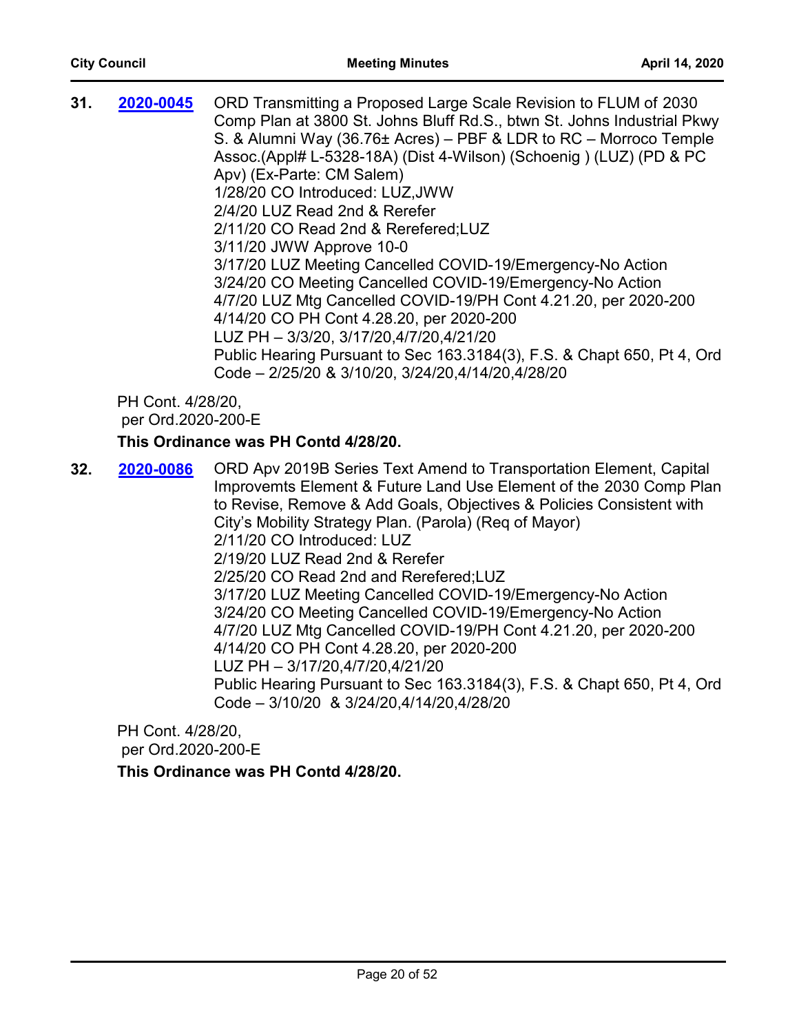| 2020-0045                   | ORD Transmitting a Proposed Large Scale Revision to FLUM of 2030        |
|-----------------------------|-------------------------------------------------------------------------|
|                             | Comp Plan at 3800 St. Johns Bluff Rd.S., btwn St. Johns Industrial Pkwy |
|                             | S. & Alumni Way (36.76± Acres) – PBF & LDR to RC – Morroco Temple       |
|                             | Assoc. (Appl# L-5328-18A) (Dist 4-Wilson) (Schoenig) (LUZ) (PD & PC     |
|                             | Apv) (Ex-Parte: CM Salem)                                               |
|                             | 1/28/20 CO Introduced: LUZ, JWW                                         |
|                             | 2/4/20 LUZ Read 2nd & Rerefer                                           |
|                             | 2/11/20 CO Read 2nd & Rerefered; LUZ                                    |
|                             | 3/11/20 JWW Approve 10-0                                                |
|                             | 3/17/20 LUZ Meeting Cancelled COVID-19/Emergency-No Action              |
|                             | 3/24/20 CO Meeting Cancelled COVID-19/Emergency-No Action               |
|                             | 4/7/20 LUZ Mtg Cancelled COVID-19/PH Cont 4.21.20, per 2020-200         |
|                             | 4/14/20 CO PH Cont 4.28.20, per 2020-200                                |
|                             | LUZ PH - 3/3/20, 3/17/20,4/7/20,4/21/20                                 |
|                             | Public Hearing Pursuant to Sec 163.3184(3), F.S. & Chapt 650, Pt 4, Ord |
|                             | Code - 2/25/20 & 3/10/20, 3/24/20,4/14/20,4/28/20                       |
| DU C <sub>opt</sub> 4/20/20 |                                                                         |
|                             |                                                                         |

## **This Ordinance was PH Contd 4/28/20.**

**32. 2020-0086** ORD Apv 2019B Series Text Amend to Transportation Element, Capital Improvemts Element & Future Land Use Element of the 2030 Comp Plan to Revise, Remove & Add Goals, Objectives & Policies Consistent with City's Mobility Strategy Plan. (Parola) (Req of Mayor) 2/11/20 CO Introduced: LUZ 2/19/20 LUZ Read 2nd & Rerefer 2/25/20 CO Read 2nd and Rerefered;LUZ 3/17/20 LUZ Meeting Cancelled COVID-19/Emergency-No Action 3/24/20 CO Meeting Cancelled COVID-19/Emergency-No Action 4/7/20 LUZ Mtg Cancelled COVID-19/PH Cont 4.21.20, per 2020-200 4/14/20 CO PH Cont 4.28.20, per 2020-200 LUZ PH – 3/17/20,4/7/20,4/21/20 Public Hearing Pursuant to Sec 163.3184(3), F.S. & Chapt 650, Pt 4, Ord Code – 3/10/20 & 3/24/20,4/14/20,4/28/20 **[2020-0086](http://jaxcityc.legistar.com/gateway.aspx?m=l&id=/matter.aspx?key=2147)**

PH Cont. 4/28/20, per Ord.2020-200-E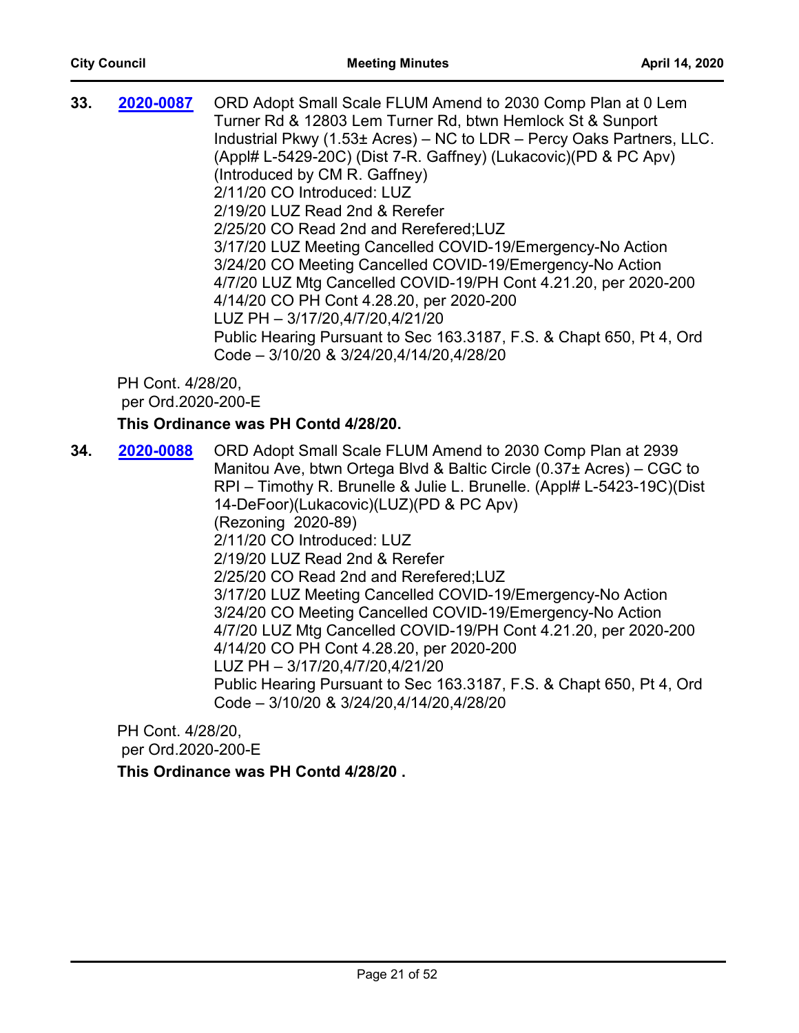| 33. | 2020-0087                               | ORD Adopt Small Scale FLUM Amend to 2030 Comp Plan at 0 Lem<br>Turner Rd & 12803 Lem Turner Rd, btwn Hemlock St & Sunport<br>Industrial Pkwy (1.53± Acres) – NC to LDR – Percy Oaks Partners, LLC.<br>(Appl# L-5429-20C) (Dist 7-R. Gaffney) (Lukacovic) (PD & PC Apv)<br>(Introduced by CM R. Gaffney)<br>2/11/20 CO Introduced: LUZ<br>2/19/20 LUZ Read 2nd & Rerefer<br>2/25/20 CO Read 2nd and Rerefered; LUZ<br>3/17/20 LUZ Meeting Cancelled COVID-19/Emergency-No Action<br>3/24/20 CO Meeting Cancelled COVID-19/Emergency-No Action<br>4/7/20 LUZ Mtg Cancelled COVID-19/PH Cont 4.21.20, per 2020-200<br>4/14/20 CO PH Cont 4.28.20, per 2020-200<br>LUZ PH - 3/17/20,4/7/20,4/21/20<br>Public Hearing Pursuant to Sec 163.3187, F.S. & Chapt 650, Pt 4, Ord<br>Code - 3/10/20 & 3/24/20,4/14/20,4/28/20 |
|-----|-----------------------------------------|--------------------------------------------------------------------------------------------------------------------------------------------------------------------------------------------------------------------------------------------------------------------------------------------------------------------------------------------------------------------------------------------------------------------------------------------------------------------------------------------------------------------------------------------------------------------------------------------------------------------------------------------------------------------------------------------------------------------------------------------------------------------------------------------------------------------|
|     | PH Cont. 4/28/20,<br>per Ord.2020-200-E |                                                                                                                                                                                                                                                                                                                                                                                                                                                                                                                                                                                                                                                                                                                                                                                                                    |
|     |                                         | This Ordinance was PH Contd 4/28/20.                                                                                                                                                                                                                                                                                                                                                                                                                                                                                                                                                                                                                                                                                                                                                                               |
| 34. | 2020-0088                               | ORD Adopt Small Scale FLUM Amend to 2030 Comp Plan at 2939                                                                                                                                                                                                                                                                                                                                                                                                                                                                                                                                                                                                                                                                                                                                                         |

Manitou Ave, btwn Ortega Blvd & Baltic Circle (0.37± Acres) – CGC to RPI – Timothy R. Brunelle & Julie L. Brunelle. (Appl# L-5423-19C)(Dist 14-DeFoor)(Lukacovic)(LUZ)(PD & PC Apv) (Rezoning 2020-89) 2/11/20 CO Introduced: LUZ 2/19/20 LUZ Read 2nd & Rerefer 2/25/20 CO Read 2nd and Rerefered;LUZ 3/17/20 LUZ Meeting Cancelled COVID-19/Emergency-No Action 3/24/20 CO Meeting Cancelled COVID-19/Emergency-No Action 4/7/20 LUZ Mtg Cancelled COVID-19/PH Cont 4.21.20, per 2020-200 4/14/20 CO PH Cont 4.28.20, per 2020-200 LUZ PH – 3/17/20,4/7/20,4/21/20 Public Hearing Pursuant to Sec 163.3187, F.S. & Chapt 650, Pt 4, Ord Code – 3/10/20 & 3/24/20,4/14/20,4/28/20

PH Cont. 4/28/20, per Ord.2020-200-E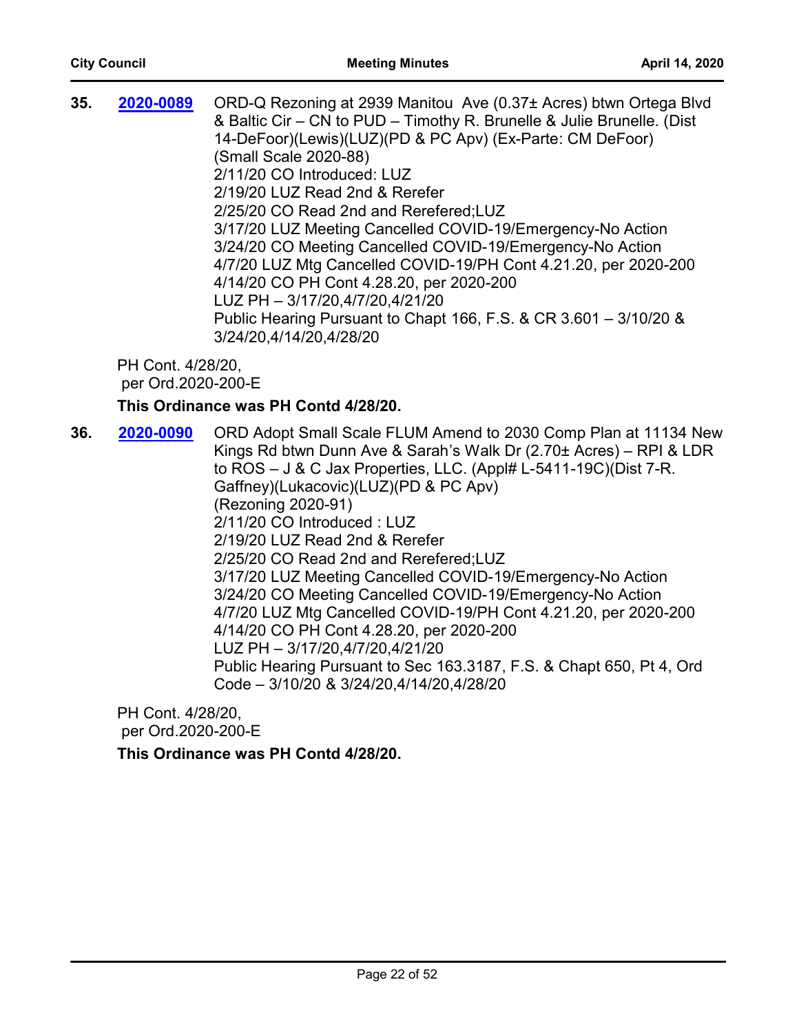| 35. | 2020-0089                               | ORD-Q Rezoning at 2939 Manitou Ave (0.37± Acres) btwn Ortega Blvd<br>& Baltic Cir – CN to PUD – Timothy R. Brunelle & Julie Brunelle. (Dist<br>14-DeFoor)(Lewis)(LUZ)(PD & PC Apv) (Ex-Parte: CM DeFoor)<br>(Small Scale 2020-88)<br>2/11/20 CO Introduced: LUZ<br>2/19/20 LUZ Read 2nd & Rerefer<br>2/25/20 CO Read 2nd and Rerefered; LUZ<br>3/17/20 LUZ Meeting Cancelled COVID-19/Emergency-No Action<br>3/24/20 CO Meeting Cancelled COVID-19/Emergency-No Action<br>4/7/20 LUZ Mtg Cancelled COVID-19/PH Cont 4.21.20, per 2020-200<br>4/14/20 CO PH Cont 4.28.20, per 2020-200<br>LUZ PH - 3/17/20,4/7/20,4/21/20<br>Public Hearing Pursuant to Chapt 166, F.S. & CR 3.601 - 3/10/20 &<br>3/24/20,4/14/20,4/28/20 |
|-----|-----------------------------------------|--------------------------------------------------------------------------------------------------------------------------------------------------------------------------------------------------------------------------------------------------------------------------------------------------------------------------------------------------------------------------------------------------------------------------------------------------------------------------------------------------------------------------------------------------------------------------------------------------------------------------------------------------------------------------------------------------------------------------|
|     | PH Cont. 4/28/20,<br>per Ord.2020-200-E | This Ordinance was PH Contd 4/28/20.                                                                                                                                                                                                                                                                                                                                                                                                                                                                                                                                                                                                                                                                                     |
| 36. | 2020-0090                               | ORD Adopt Small Scale FLUM Amend to 2030 Comp Plan at 11134 New<br>Kings Rd btwn Dunn Ave & Sarah's Walk Dr (2.70± Acres) - RPI & LDR<br>to $ROS - J & C$ Jax Properties, LLC. (Appl# L-5411-19C)(Dist 7-R.<br>Gaffney)(Lukacovic)(LUZ)(PD & PC Apv)                                                                                                                                                                                                                                                                                                                                                                                                                                                                     |

(Rezoning 2020-91) 2/11/20 CO Introduced : LUZ

2/19/20 LUZ Read 2nd & Rerefer

2/25/20 CO Read 2nd and Rerefered;LUZ

3/17/20 LUZ Meeting Cancelled COVID-19/Emergency-No Action

3/24/20 CO Meeting Cancelled COVID-19/Emergency-No Action

4/7/20 LUZ Mtg Cancelled COVID-19/PH Cont 4.21.20, per 2020-200 4/14/20 CO PH Cont 4.28.20, per 2020-200

LUZ PH – 3/17/20,4/7/20,4/21/20

Public Hearing Pursuant to Sec 163.3187, F.S. & Chapt 650, Pt 4, Ord Code – 3/10/20 & 3/24/20,4/14/20,4/28/20

PH Cont. 4/28/20, per Ord.2020-200-E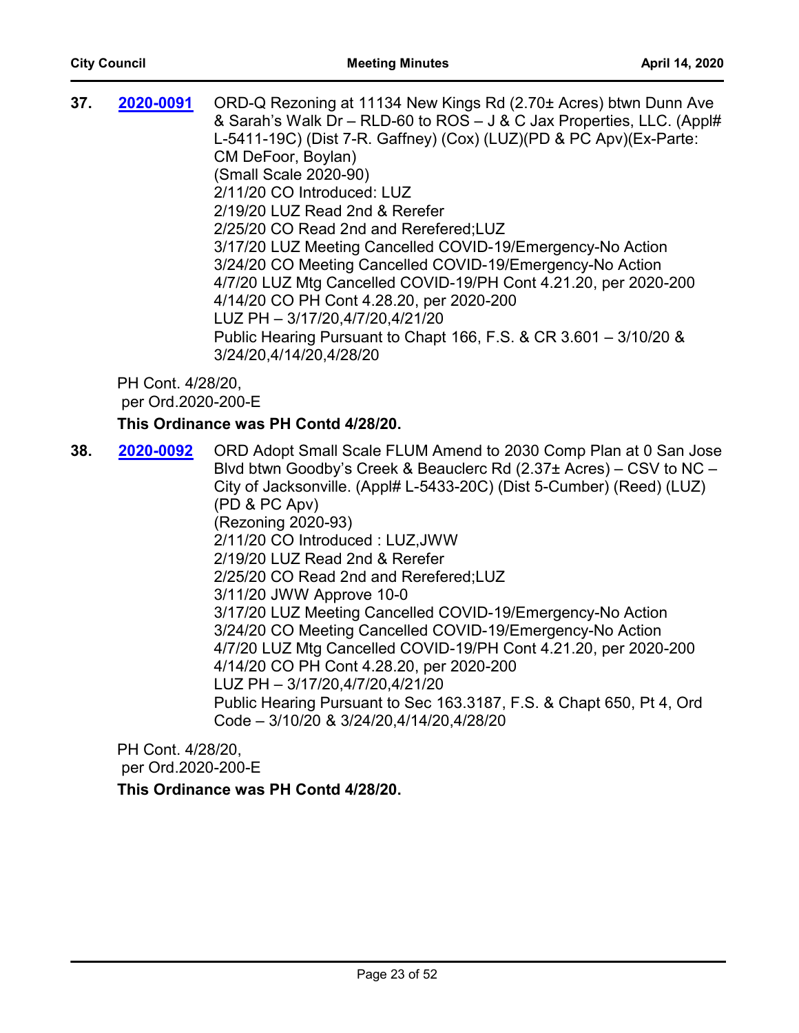| 37. | 2020-0091                               | ORD-Q Rezoning at 11134 New Kings Rd (2.70± Acres) btwn Dunn Ave<br>& Sarah's Walk Dr - RLD-60 to ROS - J & C Jax Properties, LLC. (Appl#<br>L-5411-19C) (Dist 7-R. Gaffney) (Cox) (LUZ) (PD & PC Apv) (Ex-Parte:<br>CM DeFoor, Boylan)<br>(Small Scale 2020-90)<br>2/11/20 CO Introduced: LUZ<br>2/19/20 LUZ Read 2nd & Rerefer<br>2/25/20 CO Read 2nd and Rerefered; LUZ<br>3/17/20 LUZ Meeting Cancelled COVID-19/Emergency-No Action<br>3/24/20 CO Meeting Cancelled COVID-19/Emergency-No Action<br>4/7/20 LUZ Mtg Cancelled COVID-19/PH Cont 4.21.20, per 2020-200<br>4/14/20 CO PH Cont 4.28.20, per 2020-200<br>LUZ PH - 3/17/20,4/7/20,4/21/20<br>Public Hearing Pursuant to Chapt 166, F.S. & CR 3.601 - 3/10/20 &<br>3/24/20,4/14/20,4/28/20 |
|-----|-----------------------------------------|---------------------------------------------------------------------------------------------------------------------------------------------------------------------------------------------------------------------------------------------------------------------------------------------------------------------------------------------------------------------------------------------------------------------------------------------------------------------------------------------------------------------------------------------------------------------------------------------------------------------------------------------------------------------------------------------------------------------------------------------------------|
|     | PH Cont. 4/28/20,<br>per Ord.2020-200-E |                                                                                                                                                                                                                                                                                                                                                                                                                                                                                                                                                                                                                                                                                                                                                         |
|     |                                         | This Ordinance was PH Contd 4/28/20.                                                                                                                                                                                                                                                                                                                                                                                                                                                                                                                                                                                                                                                                                                                    |
| 38. | 2020-0092                               | ORD Adopt Small Scale FLUM Amend to 2030 Comp Plan at 0 San Jose<br>Blvd btwn Goodby's Creek & Beauclerc Rd (2.37± Acres) – CSV to NC –<br>City of Jacksonville. (Appl# L-5433-20C) (Dist 5-Cumber) (Reed) (LUZ)<br>(PD & PC Apv)<br>(Rezoning 2020-93)<br>2/11/20 CO Introduced: LUZ, JWW<br>2/19/20 LUZ Read 2nd & Rerefer<br>2/25/20 CO Read 2nd and Rerefered; LUZ<br>3/11/20 JWW Approve 10-0<br>3/17/20 LUZ Meeting Cancelled COVID-19/Emergency-No Action<br>3/24/20 CO Meeting Cancelled COVID-19/Emergency-No Action<br>4/7/20 LUZ Mtg Cancelled COVID-19/PH Cont 4.21.20, per 2020-200                                                                                                                                                        |

- 4/14/20 CO PH Cont 4.28.20, per 2020-200
- LUZ PH 3/17/20,4/7/20,4/21/20

Public Hearing Pursuant to Sec 163.3187, F.S. & Chapt 650, Pt 4, Ord Code – 3/10/20 & 3/24/20,4/14/20,4/28/20

PH Cont. 4/28/20, per Ord.2020-200-E **This Ordinance was PH Contd 4/28/20.**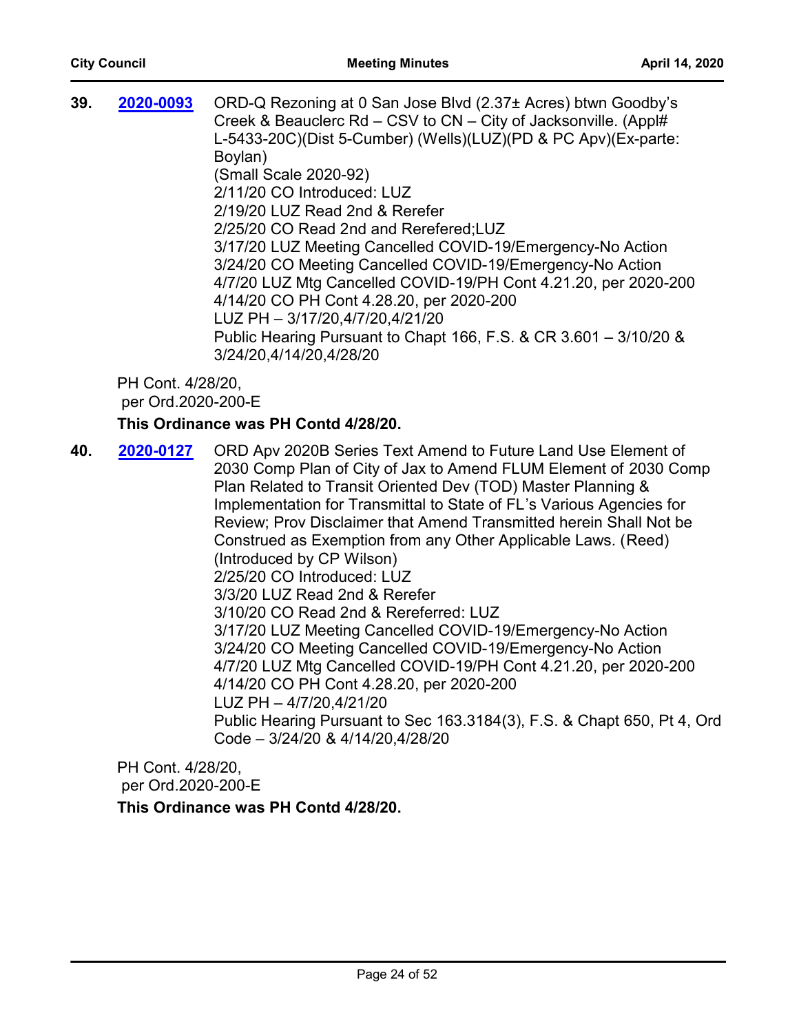| 39. | 2020-0093                               | ORD-Q Rezoning at 0 San Jose Blvd (2.37± Acres) btwn Goodby's<br>Creek & Beauclerc Rd - CSV to CN - City of Jacksonville. (Appl#<br>L-5433-20C)(Dist 5-Cumber) (Wells)(LUZ)(PD & PC Apv)(Ex-parte:<br>Boylan)<br>(Small Scale 2020-92)<br>2/11/20 CO Introduced: LUZ<br>2/19/20 LUZ Read 2nd & Rerefer<br>2/25/20 CO Read 2nd and Rerefered;LUZ<br>3/17/20 LUZ Meeting Cancelled COVID-19/Emergency-No Action<br>3/24/20 CO Meeting Cancelled COVID-19/Emergency-No Action<br>4/7/20 LUZ Mtg Cancelled COVID-19/PH Cont 4.21.20, per 2020-200<br>4/14/20 CO PH Cont 4.28.20, per 2020-200<br>LUZ PH - 3/17/20,4/7/20,4/21/20<br>Public Hearing Pursuant to Chapt 166, F.S. & CR 3.601 - 3/10/20 &<br>3/24/20,4/14/20,4/28/20 |
|-----|-----------------------------------------|------------------------------------------------------------------------------------------------------------------------------------------------------------------------------------------------------------------------------------------------------------------------------------------------------------------------------------------------------------------------------------------------------------------------------------------------------------------------------------------------------------------------------------------------------------------------------------------------------------------------------------------------------------------------------------------------------------------------------|
|     | PH Cont. 4/28/20,<br>per Ord.2020-200-E |                                                                                                                                                                                                                                                                                                                                                                                                                                                                                                                                                                                                                                                                                                                              |
|     |                                         | This Ordinance was PH Contd 4/28/20.                                                                                                                                                                                                                                                                                                                                                                                                                                                                                                                                                                                                                                                                                         |
| 40. | 2020-0127                               | ORD Apv 2020B Series Text Amend to Future Land Use Element of<br>2030 Comp Plan of City of Jax to Amend FLUM Element of 2030 Comp<br>Plan Related to Transit Oriented Dev (TOD) Master Planning &<br>Implementation for Transmittal to State of FL's Various Agencies for<br>Review: Prov Disclaimer that Amend Transmitted herein Shall Not be<br>Construed as Exemption from any Other Applicable Laws. (Reed)<br>(Introduced by CP Wilson)<br>2/25/20 CO Introduced: LUZ<br>3/3/20 LUZ Read 2nd & Rerefer<br>3/10/20 CO Read 2nd & Rereferred: LUZ<br>3/17/20 LUZ Meeting Cancelled COVID-19/Emergency-No Action                                                                                                          |

3/24/20 CO Meeting Cancelled COVID-19/Emergency-No Action

4/7/20 LUZ Mtg Cancelled COVID-19/PH Cont 4.21.20, per 2020-200

- 4/14/20 CO PH Cont 4.28.20, per 2020-200
- LUZ PH 4/7/20,4/21/20

Public Hearing Pursuant to Sec 163.3184(3), F.S. & Chapt 650, Pt 4, Ord Code – 3/24/20 & 4/14/20,4/28/20

PH Cont. 4/28/20, per Ord.2020-200-E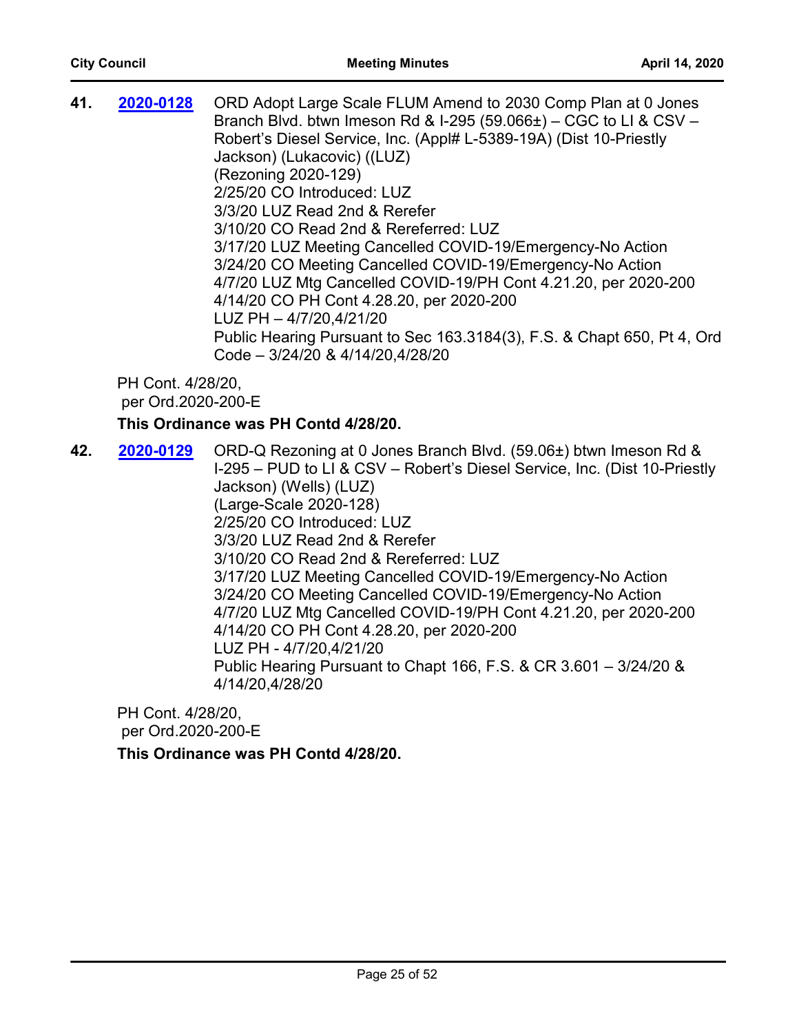| 41. | 2020-0128                               | ORD Adopt Large Scale FLUM Amend to 2030 Comp Plan at 0 Jones<br>Branch Blvd. btwn Imeson Rd & I-295 (59.066 $\pm$ ) – CGC to LI & CSV –<br>Robert's Diesel Service, Inc. (Appl# L-5389-19A) (Dist 10-Priestly<br>Jackson) (Lukacovic) ((LUZ)<br>(Rezoning 2020-129)<br>2/25/20 CO Introduced: LUZ<br>3/3/20 LUZ Read 2nd & Rerefer<br>3/10/20 CO Read 2nd & Rereferred: LUZ<br>3/17/20 LUZ Meeting Cancelled COVID-19/Emergency-No Action<br>3/24/20 CO Meeting Cancelled COVID-19/Emergency-No Action<br>4/7/20 LUZ Mtg Cancelled COVID-19/PH Cont 4.21.20, per 2020-200<br>4/14/20 CO PH Cont 4.28.20, per 2020-200<br>LUZ PH - 4/7/20,4/21/20<br>Public Hearing Pursuant to Sec 163.3184(3), F.S. & Chapt 650, Pt 4, Ord<br>Code - 3/24/20 & 4/14/20,4/28/20 |
|-----|-----------------------------------------|------------------------------------------------------------------------------------------------------------------------------------------------------------------------------------------------------------------------------------------------------------------------------------------------------------------------------------------------------------------------------------------------------------------------------------------------------------------------------------------------------------------------------------------------------------------------------------------------------------------------------------------------------------------------------------------------------------------------------------------------------------------|
|     | PH Cont. 4/28/20,<br>per Ord.2020-200-E | This Ordinance was PH Contd 4/28/20.                                                                                                                                                                                                                                                                                                                                                                                                                                                                                                                                                                                                                                                                                                                             |
| 42. | 2020-0129                               | ORD-Q Rezoning at 0 Jones Branch Blvd. (59.06±) btwn Imeson Rd &                                                                                                                                                                                                                                                                                                                                                                                                                                                                                                                                                                                                                                                                                                 |
|     |                                         | L295 - PUD to U. & CSV - Robert's Diesel Service. Inc. (Dist 10-Priestly)                                                                                                                                                                                                                                                                                                                                                                                                                                                                                                                                                                                                                                                                                        |

I-295 – PUD to LI & CSV – Robert's Diesel Service, Inc. (Dist 10-Priestly Jackson) (Wells) (LUZ) (Large-Scale 2020-128) 2/25/20 CO Introduced: LUZ 3/3/20 LUZ Read 2nd & Rerefer 3/10/20 CO Read 2nd & Rereferred: LUZ 3/17/20 LUZ Meeting Cancelled COVID-19/Emergency-No Action 3/24/20 CO Meeting Cancelled COVID-19/Emergency-No Action 4/7/20 LUZ Mtg Cancelled COVID-19/PH Cont 4.21.20, per 2020-200 4/14/20 CO PH Cont 4.28.20, per 2020-200 LUZ PH - 4/7/20,4/21/20 Public Hearing Pursuant to Chapt 166, F.S. & CR 3.601 – 3/24/20 & 4/14/20,4/28/20

PH Cont. 4/28/20, per Ord.2020-200-E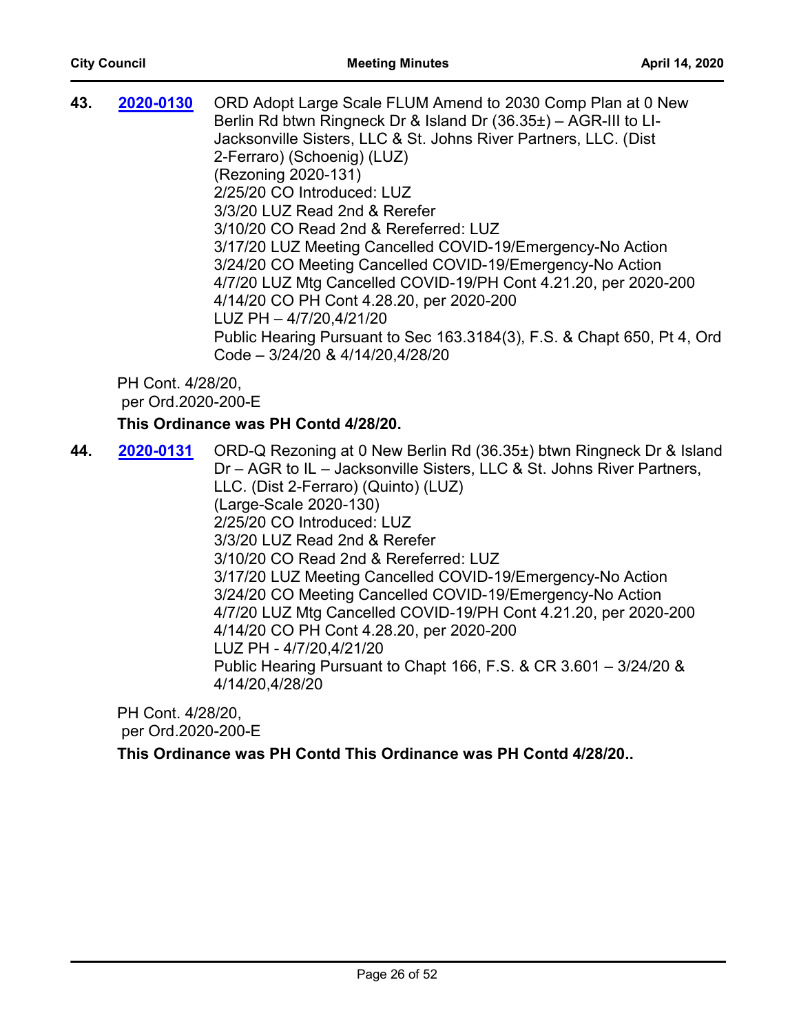| 43. | 2020-0130                               | ORD Adopt Large Scale FLUM Amend to 2030 Comp Plan at 0 New<br>Berlin Rd btwn Ringneck Dr & Island Dr $(36.35\pm)$ - AGR-III to LI-<br>Jacksonville Sisters, LLC & St. Johns River Partners, LLC. (Dist |
|-----|-----------------------------------------|---------------------------------------------------------------------------------------------------------------------------------------------------------------------------------------------------------|
|     |                                         | 2-Ferraro) (Schoenig) (LUZ)<br>(Rezoning 2020-131)                                                                                                                                                      |
|     |                                         | 2/25/20 CO Introduced: LUZ                                                                                                                                                                              |
|     |                                         | 3/3/20 LUZ Read 2nd & Rerefer                                                                                                                                                                           |
|     |                                         | 3/10/20 CO Read 2nd & Rereferred: LUZ                                                                                                                                                                   |
|     |                                         | 3/17/20 LUZ Meeting Cancelled COVID-19/Emergency-No Action                                                                                                                                              |
|     |                                         | 3/24/20 CO Meeting Cancelled COVID-19/Emergency-No Action                                                                                                                                               |
|     |                                         | 4/7/20 LUZ Mtg Cancelled COVID-19/PH Cont 4.21.20, per 2020-200                                                                                                                                         |
|     |                                         | 4/14/20 CO PH Cont 4.28.20, per 2020-200                                                                                                                                                                |
|     |                                         | LUZ PH - 4/7/20,4/21/20                                                                                                                                                                                 |
|     |                                         | Public Hearing Pursuant to Sec 163.3184(3), F.S. & Chapt 650, Pt 4, Ord                                                                                                                                 |
|     |                                         | Code - 3/24/20 & 4/14/20,4/28/20                                                                                                                                                                        |
|     | PH Cont. 4/28/20,<br>per Ord.2020-200-E |                                                                                                                                                                                                         |
|     |                                         | This Ordinance was PH Contd 4/28/20.                                                                                                                                                                    |
|     |                                         |                                                                                                                                                                                                         |

**44. 2020-0131** ORD-Q Rezoning at 0 New Berlin Rd (36.35±) btwn Ringneck Dr & Island Dr – AGR to IL – Jacksonville Sisters, LLC & St. Johns River Partners, LLC. (Dist 2-Ferraro) (Quinto) (LUZ) (Large-Scale 2020-130) 2/25/20 CO Introduced: LUZ 3/3/20 LUZ Read 2nd & Rerefer 3/10/20 CO Read 2nd & Rereferred: LUZ 3/17/20 LUZ Meeting Cancelled COVID-19/Emergency-No Action 3/24/20 CO Meeting Cancelled COVID-19/Emergency-No Action 4/7/20 LUZ Mtg Cancelled COVID-19/PH Cont 4.21.20, per 2020-200 4/14/20 CO PH Cont 4.28.20, per 2020-200 LUZ PH - 4/7/20,4/21/20 Public Hearing Pursuant to Chapt 166, F.S. & CR 3.601 – 3/24/20 & 4/14/20,4/28/20 **[2020-0131](http://jaxcityc.legistar.com/gateway.aspx?m=l&id=/matter.aspx?key=2194)**

PH Cont. 4/28/20, per Ord.2020-200-E

**This Ordinance was PH Contd This Ordinance was PH Contd 4/28/20..**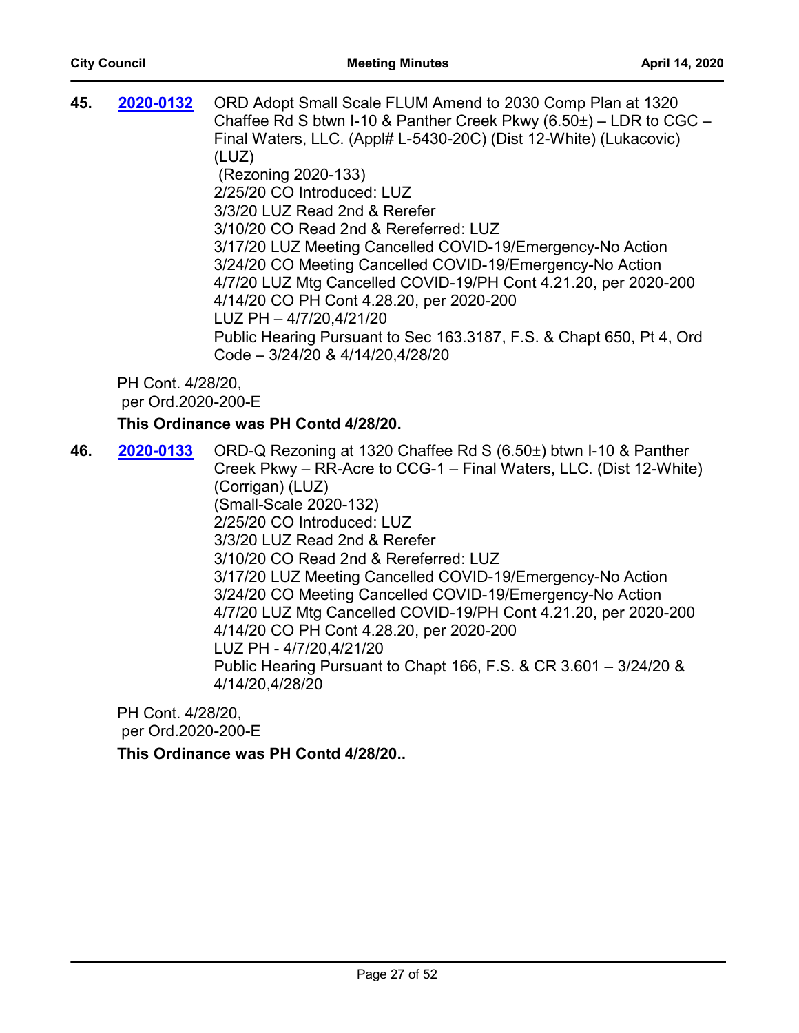| 45. | 2020-0132                               | ORD Adopt Small Scale FLUM Amend to 2030 Comp Plan at 1320<br>Chaffee Rd S btwn I-10 & Panther Creek Pkwy $(6.50\pm)$ – LDR to CGC –<br>Final Waters, LLC. (Appl# L-5430-20C) (Dist 12-White) (Lukacovic)<br>(LUZ)<br>(Rezoning 2020-133)<br>2/25/20 CO Introduced: LUZ<br>3/3/20 LUZ Read 2nd & Rerefer<br>3/10/20 CO Read 2nd & Rereferred: LUZ<br>3/17/20 LUZ Meeting Cancelled COVID-19/Emergency-No Action<br>3/24/20 CO Meeting Cancelled COVID-19/Emergency-No Action<br>4/7/20 LUZ Mtg Cancelled COVID-19/PH Cont 4.21.20, per 2020-200<br>4/14/20 CO PH Cont 4.28.20, per 2020-200<br>LUZ PH - 4/7/20,4/21/20<br>Public Hearing Pursuant to Sec 163.3187, F.S. & Chapt 650, Pt 4, Ord<br>Code - 3/24/20 & 4/14/20,4/28/20 |
|-----|-----------------------------------------|------------------------------------------------------------------------------------------------------------------------------------------------------------------------------------------------------------------------------------------------------------------------------------------------------------------------------------------------------------------------------------------------------------------------------------------------------------------------------------------------------------------------------------------------------------------------------------------------------------------------------------------------------------------------------------------------------------------------------------|
|     | PH Cont. 4/28/20,<br>per Ord.2020-200-E |                                                                                                                                                                                                                                                                                                                                                                                                                                                                                                                                                                                                                                                                                                                                    |
|     |                                         | This Ordinance was PH Contd 4/28/20.                                                                                                                                                                                                                                                                                                                                                                                                                                                                                                                                                                                                                                                                                               |
| 46. | 2020-0133                               | ORD-Q Rezoning at 1320 Chaffee Rd S (6.50±) btwn I-10 & Panther<br>Creek Pkwy – RR-Acre to CCG-1 – Final Waters, LLC. (Dist 12-White)<br>(Corrigan) (LUZ)<br>(Small-Scale 2020-132)<br>2/25/20 CO Introduced: LUZ<br>3/3/20 LUZ Read 2nd & Rerefer<br>3/10/20 CO Read 2nd & Rereferred: LUZ<br>3/17/20 LUZ Meeting Cancelled COVID-19/Emergency-No Action<br>3/24/20 CO Meeting Cancelled COVID-19/Emergency-No Action<br>4/7/20 LUZ Mtg Cancelled COVID-19/PH Cont 4.21.20, per 2020-200<br>4/14/20 CO PH Cont 4.28.20, per 2020-200<br>LUZ PH - 4/7/20,4/21/20<br>Public Hearing Pursuant to Chapt 166, F.S. & CR 3.601 - 3/24/20 &<br>4/14/20,4/28/20                                                                           |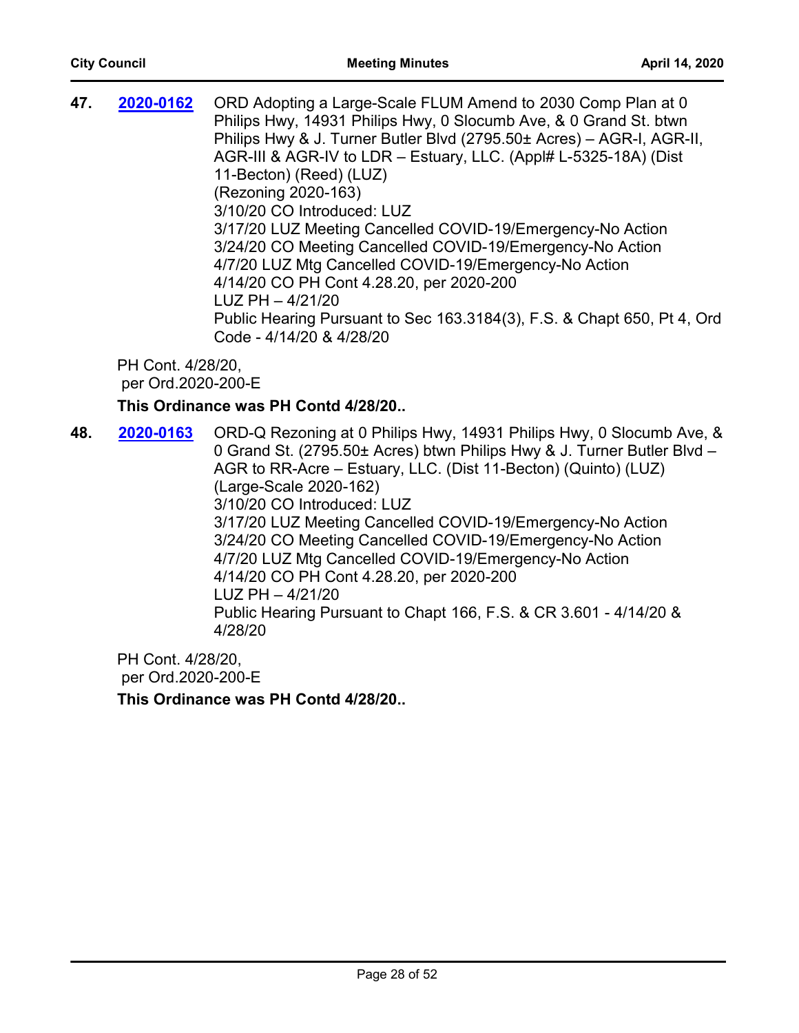**47. 2020-0162** ORD Adopting a Large-Scale FLUM Amend to 2030 Comp Plan at 0 Philips Hwy, 14931 Philips Hwy, 0 Slocumb Ave, & 0 Grand St. btwn Philips Hwy & J. Turner Butler Blvd (2795.50± Acres) – AGR-I, AGR-II, AGR-III & AGR-IV to LDR – Estuary, LLC. (Appl# L-5325-18A) (Dist 11-Becton) (Reed) (LUZ) (Rezoning 2020-163) 3/10/20 CO Introduced: LUZ 3/17/20 LUZ Meeting Cancelled COVID-19/Emergency-No Action 3/24/20 CO Meeting Cancelled COVID-19/Emergency-No Action 4/7/20 LUZ Mtg Cancelled COVID-19/Emergency-No Action 4/14/20 CO PH Cont 4.28.20, per 2020-200 LUZ PH – 4/21/20 Public Hearing Pursuant to Sec 163.3184(3), F.S. & Chapt 650, Pt 4, Ord Code - 4/14/20 & 4/28/20 **[2020-0162](http://jaxcityc.legistar.com/gateway.aspx?m=l&id=/matter.aspx?key=2229)**

PH Cont. 4/28/20, per Ord.2020-200-E

## **This Ordinance was PH Contd 4/28/20..**

**48. 2020-0163** ORD-Q Rezoning at 0 Philips Hwy, 14931 Philips Hwy, 0 Slocumb Ave, & 0 Grand St. (2795.50± Acres) btwn Philips Hwy & J. Turner Butler Blvd – AGR to RR-Acre – Estuary, LLC. (Dist 11-Becton) (Quinto) (LUZ) (Large-Scale 2020-162) 3/10/20 CO Introduced: LUZ 3/17/20 LUZ Meeting Cancelled COVID-19/Emergency-No Action 3/24/20 CO Meeting Cancelled COVID-19/Emergency-No Action 4/7/20 LUZ Mtg Cancelled COVID-19/Emergency-No Action 4/14/20 CO PH Cont 4.28.20, per 2020-200 LUZ PH – 4/21/20 Public Hearing Pursuant to Chapt 166, F.S. & CR 3.601 - 4/14/20 & 4/28/20 **[2020-0163](http://jaxcityc.legistar.com/gateway.aspx?m=l&id=/matter.aspx?key=2230)**

PH Cont. 4/28/20, per Ord.2020-200-E **This Ordinance was PH Contd 4/28/20..**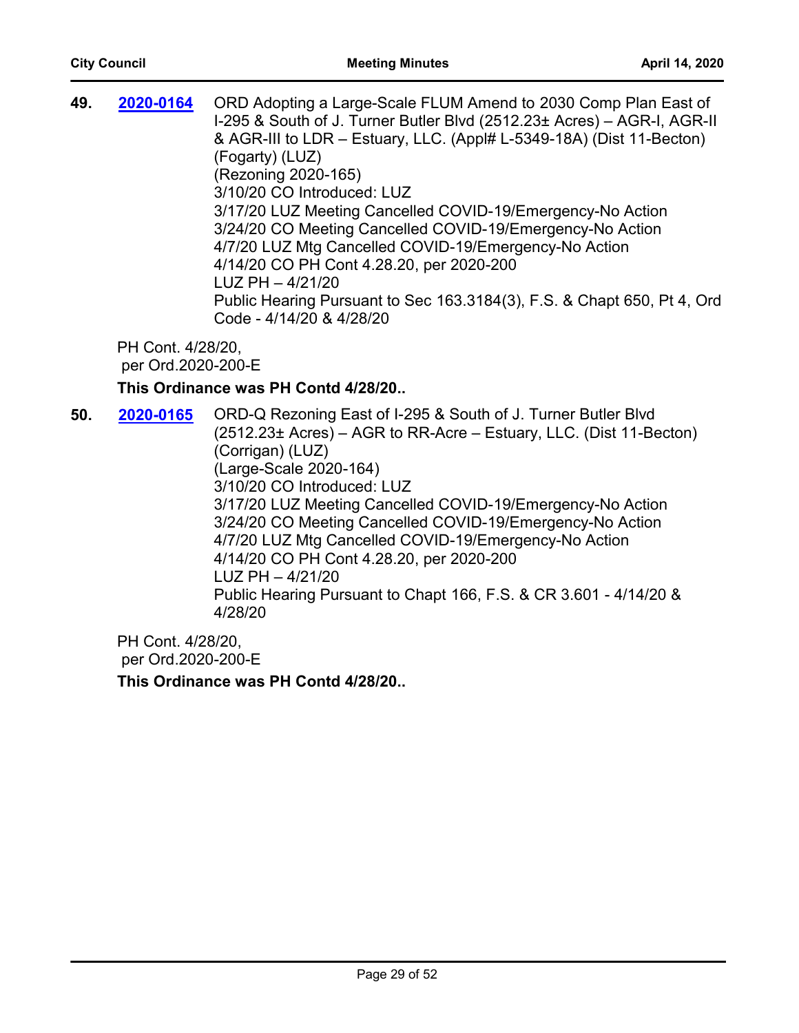| 2020-0164 | ORD Adopting a Large-Scale FLUM Amend to 2030 Comp Plan East of<br>I-295 & South of J. Turner Butler Blvd (2512.23± Acres) - AGR-I, AGR-II<br>& AGR-III to LDR – Estuary, LLC. (Appl# L-5349-18A) (Dist 11-Becton)<br>(Fogarty) (LUZ)<br>(Rezoning 2020-165)<br>3/10/20 CO Introduced: LUZ<br>3/17/20 LUZ Meeting Cancelled COVID-19/Emergency-No Action<br>3/24/20 CO Meeting Cancelled COVID-19/Emergency-No Action<br>4/7/20 LUZ Mtg Cancelled COVID-19/Emergency-No Action<br>4/14/20 CO PH Cont 4.28.20, per 2020-200<br>$LUZ$ PH $-$ 4/21/20<br>Public Hearing Pursuant to Sec 163.3184(3), F.S. & Chapt 650, Pt 4, Ord |
|-----------|-------------------------------------------------------------------------------------------------------------------------------------------------------------------------------------------------------------------------------------------------------------------------------------------------------------------------------------------------------------------------------------------------------------------------------------------------------------------------------------------------------------------------------------------------------------------------------------------------------------------------------|
|           | Code - 4/14/20 & 4/28/20                                                                                                                                                                                                                                                                                                                                                                                                                                                                                                                                                                                                      |
|           |                                                                                                                                                                                                                                                                                                                                                                                                                                                                                                                                                                                                                               |

#### **This Ordinance was PH Contd 4/28/20..**

**50. 2020-0165** ORD-Q Rezoning East of I-295 & South of J. Turner Butler Blvd (2512.23± Acres) – AGR to RR-Acre – Estuary, LLC. (Dist 11-Becton) (Corrigan) (LUZ) (Large-Scale 2020-164) 3/10/20 CO Introduced: LUZ 3/17/20 LUZ Meeting Cancelled COVID-19/Emergency-No Action 3/24/20 CO Meeting Cancelled COVID-19/Emergency-No Action 4/7/20 LUZ Mtg Cancelled COVID-19/Emergency-No Action 4/14/20 CO PH Cont 4.28.20, per 2020-200 LUZ PH – 4/21/20 Public Hearing Pursuant to Chapt 166, F.S. & CR 3.601 - 4/14/20 & 4/28/20 **[2020-0165](http://jaxcityc.legistar.com/gateway.aspx?m=l&id=/matter.aspx?key=2232)**

PH Cont. 4/28/20, per Ord.2020-200-E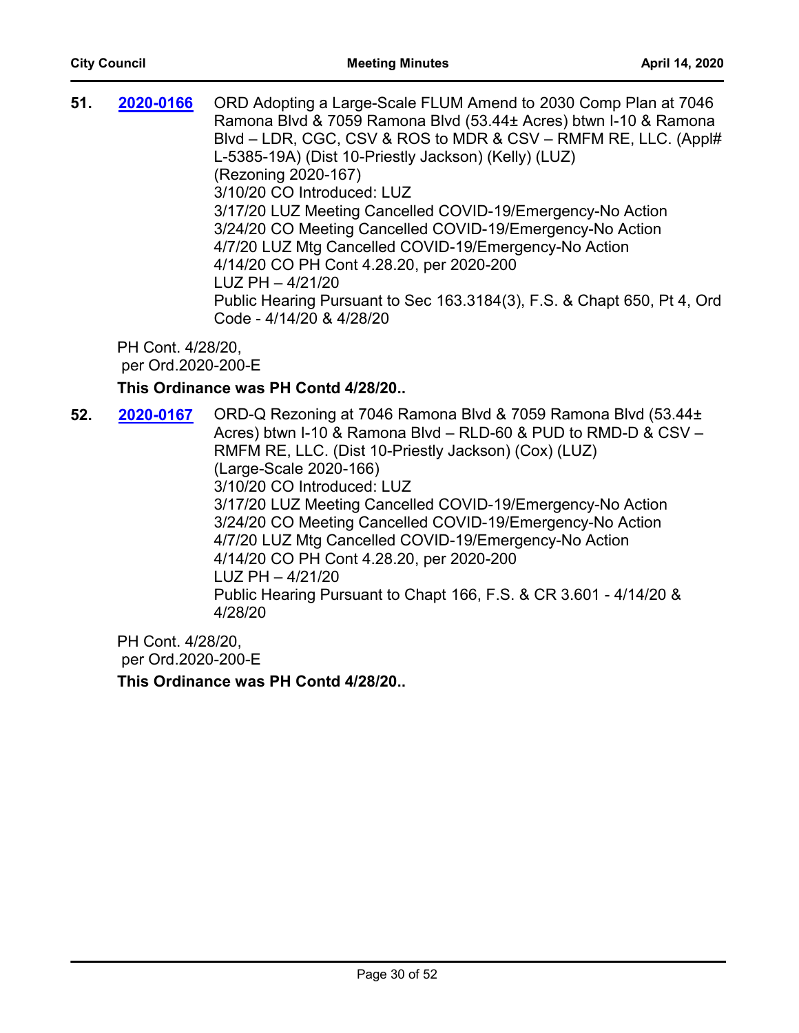| 51. | 2020-0166 | ORD Adopting a Large-Scale FLUM Amend to 2030 Comp Plan at 7046<br>Ramona Blvd & 7059 Ramona Blvd (53.44± Acres) btwn I-10 & Ramona<br>Blvd – LDR, CGC, CSV & ROS to MDR & CSV – RMFM RE, LLC. (Appl#<br>L-5385-19A) (Dist 10-Priestly Jackson) (Kelly) (LUZ)<br>(Rezoning 2020-167) |
|-----|-----------|--------------------------------------------------------------------------------------------------------------------------------------------------------------------------------------------------------------------------------------------------------------------------------------|
|     |           | 3/10/20 CO Introduced: LUZ                                                                                                                                                                                                                                                           |
|     |           | 3/17/20 LUZ Meeting Cancelled COVID-19/Emergency-No Action                                                                                                                                                                                                                           |
|     |           | 3/24/20 CO Meeting Cancelled COVID-19/Emergency-No Action                                                                                                                                                                                                                            |
|     |           | 4/7/20 LUZ Mtg Cancelled COVID-19/Emergency-No Action                                                                                                                                                                                                                                |
|     |           | 4/14/20 CO PH Cont 4.28.20, per 2020-200                                                                                                                                                                                                                                             |
|     |           | $LUZ$ PH $-$ 4/21/20                                                                                                                                                                                                                                                                 |
|     |           | Public Hearing Pursuant to Sec 163.3184(3), F.S. & Chapt 650, Pt 4, Ord                                                                                                                                                                                                              |
|     |           | Code - 4/14/20 & 4/28/20                                                                                                                                                                                                                                                             |
|     |           |                                                                                                                                                                                                                                                                                      |

## **This Ordinance was PH Contd 4/28/20..**

**52. 2020-0167** ORD-Q Rezoning at 7046 Ramona Blvd & 7059 Ramona Blvd (53.44± Acres) btwn I-10 & Ramona Blvd – RLD-60 & PUD to RMD-D & CSV – RMFM RE, LLC. (Dist 10-Priestly Jackson) (Cox) (LUZ) (Large-Scale 2020-166) 3/10/20 CO Introduced: LUZ 3/17/20 LUZ Meeting Cancelled COVID-19/Emergency-No Action 3/24/20 CO Meeting Cancelled COVID-19/Emergency-No Action 4/7/20 LUZ Mtg Cancelled COVID-19/Emergency-No Action 4/14/20 CO PH Cont 4.28.20, per 2020-200 LUZ PH – 4/21/20 Public Hearing Pursuant to Chapt 166, F.S. & CR 3.601 - 4/14/20 & 4/28/20 **[2020-0167](http://jaxcityc.legistar.com/gateway.aspx?m=l&id=/matter.aspx?key=2234)**

PH Cont. 4/28/20, per Ord.2020-200-E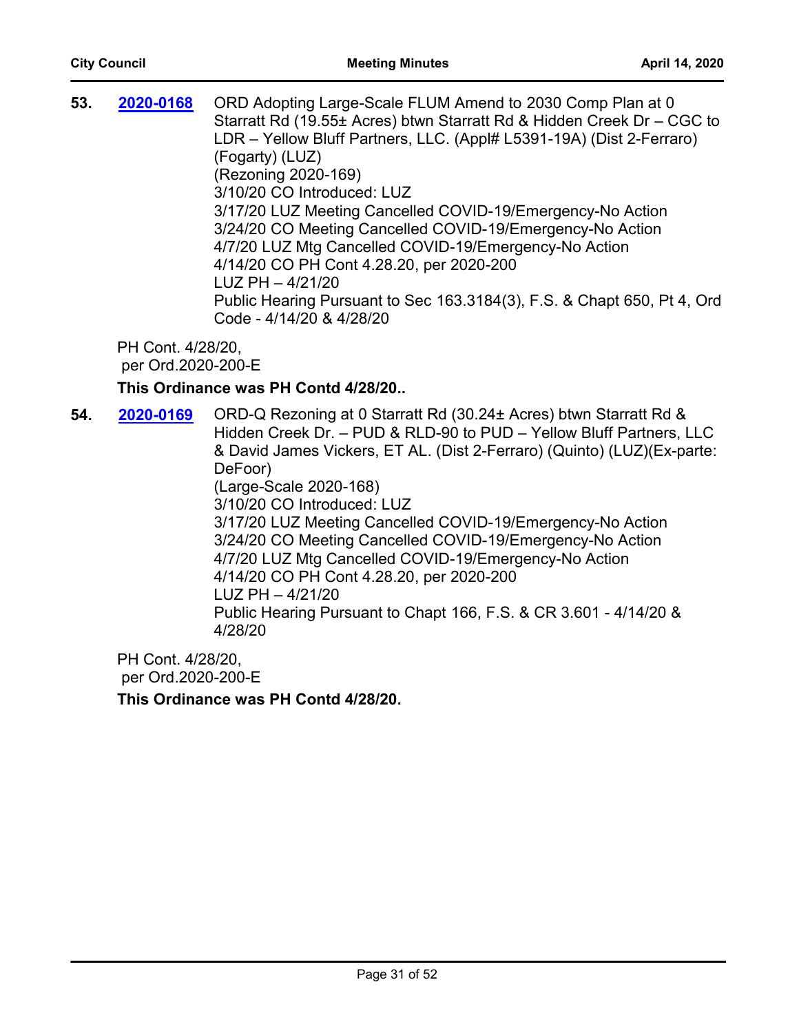| 53. | 2020-0168 | ORD Adopting Large-Scale FLUM Amend to 2030 Comp Plan at 0<br>Starratt Rd (19.55± Acres) btwn Starratt Rd & Hidden Creek Dr - CGC to<br>LDR - Yellow Bluff Partners, LLC. (Appl# L5391-19A) (Dist 2-Ferraro)<br>(Fogarty) (LUZ)<br>(Rezoning 2020-169)<br>3/10/20 CO Introduced: LUZ<br>3/17/20 LUZ Meeting Cancelled COVID-19/Emergency-No Action<br>3/24/20 CO Meeting Cancelled COVID-19/Emergency-No Action<br>4/7/20 LUZ Mtg Cancelled COVID-19/Emergency-No Action<br>4/14/20 CO PH Cont 4.28.20, per 2020-200<br>$LUZ$ PH $-4/21/20$<br>Public Hearing Pursuant to Sec 163.3184(3), F.S. & Chapt 650, Pt 4, Ord<br>Code - 4/14/20 & 4/28/20 |
|-----|-----------|----------------------------------------------------------------------------------------------------------------------------------------------------------------------------------------------------------------------------------------------------------------------------------------------------------------------------------------------------------------------------------------------------------------------------------------------------------------------------------------------------------------------------------------------------------------------------------------------------------------------------------------------------|
|-----|-----------|----------------------------------------------------------------------------------------------------------------------------------------------------------------------------------------------------------------------------------------------------------------------------------------------------------------------------------------------------------------------------------------------------------------------------------------------------------------------------------------------------------------------------------------------------------------------------------------------------------------------------------------------------|

## **This Ordinance was PH Contd 4/28/20..**

**54. 2020-0169** ORD-Q Rezoning at 0 Starratt Rd (30.24± Acres) btwn Starratt Rd & Hidden Creek Dr. – PUD & RLD-90 to PUD – Yellow Bluff Partners, LLC & David James Vickers, ET AL. (Dist 2-Ferraro) (Quinto) (LUZ)(Ex-parte: DeFoor) (Large-Scale 2020-168) 3/10/20 CO Introduced: LUZ 3/17/20 LUZ Meeting Cancelled COVID-19/Emergency-No Action 3/24/20 CO Meeting Cancelled COVID-19/Emergency-No Action 4/7/20 LUZ Mtg Cancelled COVID-19/Emergency-No Action 4/14/20 CO PH Cont 4.28.20, per 2020-200 LUZ PH – 4/21/20 Public Hearing Pursuant to Chapt 166, F.S. & CR 3.601 - 4/14/20 & 4/28/20 **[2020-0169](http://jaxcityc.legistar.com/gateway.aspx?m=l&id=/matter.aspx?key=2236)**

PH Cont. 4/28/20, per Ord.2020-200-E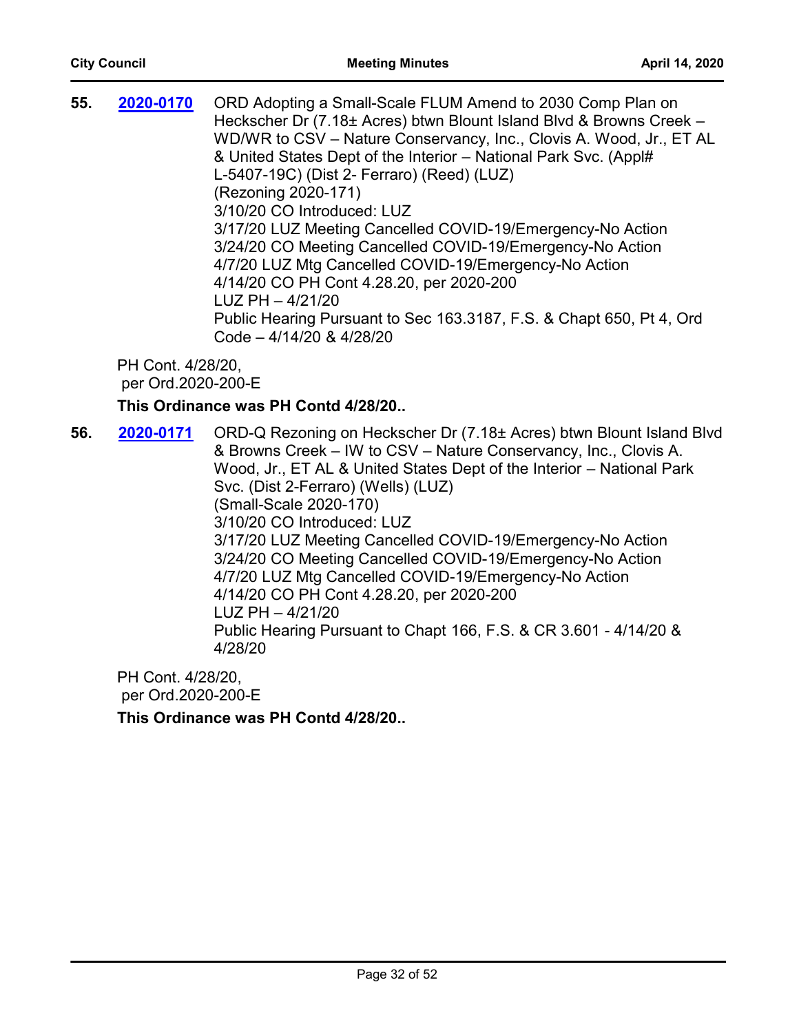| 55. | 2020-0170         | ORD Adopting a Small-Scale FLUM Amend to 2030 Comp Plan on           |
|-----|-------------------|----------------------------------------------------------------------|
|     |                   | Heckscher Dr (7.18± Acres) btwn Blount Island Blvd & Browns Creek -  |
|     |                   | WD/WR to CSV – Nature Conservancy, Inc., Clovis A. Wood, Jr., ET AL  |
|     |                   | & United States Dept of the Interior - National Park Svc. (Appl#     |
|     |                   | L-5407-19C) (Dist 2- Ferraro) (Reed) (LUZ)                           |
|     |                   | (Rezoning 2020-171)                                                  |
|     |                   | 3/10/20 CO Introduced: LUZ                                           |
|     |                   | 3/17/20 LUZ Meeting Cancelled COVID-19/Emergency-No Action           |
|     |                   | 3/24/20 CO Meeting Cancelled COVID-19/Emergency-No Action            |
|     |                   | 4/7/20 LUZ Mtg Cancelled COVID-19/Emergency-No Action                |
|     |                   | 4/14/20 CO PH Cont 4.28.20, per 2020-200                             |
|     |                   | $LUZ$ PH $-4/21/20$                                                  |
|     |                   | Public Hearing Pursuant to Sec 163.3187, F.S. & Chapt 650, Pt 4, Ord |
|     |                   | Code $-4/14/20$ & $4/28/20$                                          |
|     | PH Cont. 4/28/20, |                                                                      |
|     |                   |                                                                      |

per Ord.2020-200-E

## **This Ordinance was PH Contd 4/28/20..**

**56. 2020-0171** ORD-Q Rezoning on Heckscher Dr (7.18± Acres) btwn Blount Island Blvd & Browns Creek – IW to CSV – Nature Conservancy, Inc., Clovis A. Wood, Jr., ET AL & United States Dept of the Interior – National Park Svc. (Dist 2-Ferraro) (Wells) (LUZ) (Small-Scale 2020-170) 3/10/20 CO Introduced: LUZ 3/17/20 LUZ Meeting Cancelled COVID-19/Emergency-No Action 3/24/20 CO Meeting Cancelled COVID-19/Emergency-No Action 4/7/20 LUZ Mtg Cancelled COVID-19/Emergency-No Action 4/14/20 CO PH Cont 4.28.20, per 2020-200 LUZ PH – 4/21/20 Public Hearing Pursuant to Chapt 166, F.S. & CR 3.601 - 4/14/20 & 4/28/20 **[2020-0171](http://jaxcityc.legistar.com/gateway.aspx?m=l&id=/matter.aspx?key=2238)**

PH Cont. 4/28/20, per Ord.2020-200-E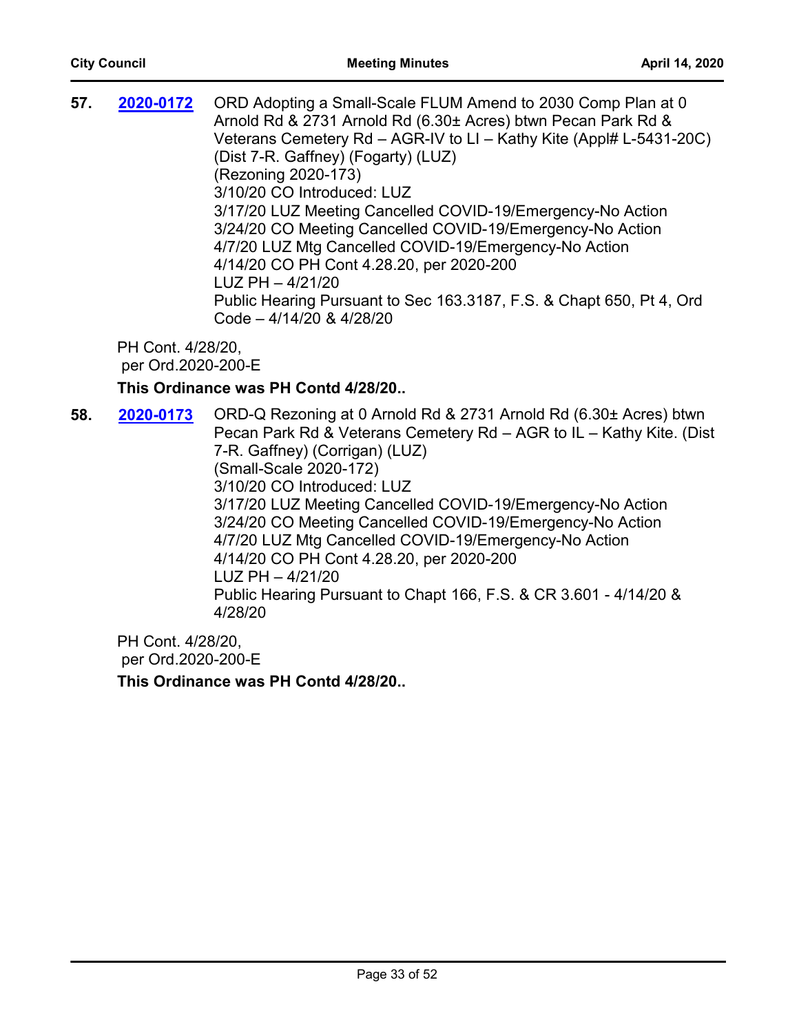| 57. | 2020-0172 | ORD Adopting a Small-Scale FLUM Amend to 2030 Comp Plan at 0<br>Arnold Rd & 2731 Arnold Rd (6.30± Acres) btwn Pecan Park Rd &<br>Veterans Cemetery Rd – AGR-IV to LI – Kathy Kite (Appl# L-5431-20C)<br>(Dist 7-R. Gaffney) (Fogarty) (LUZ)<br>(Rezoning 2020-173)<br>3/10/20 CO Introduced: LUZ<br>3/17/20 LUZ Meeting Cancelled COVID-19/Emergency-No Action<br>3/24/20 CO Meeting Cancelled COVID-19/Emergency-No Action<br>4/7/20 LUZ Mtg Cancelled COVID-19/Emergency-No Action<br>4/14/20 CO PH Cont 4.28.20, per 2020-200<br>$LUZ$ PH $-4/21/20$<br>Public Hearing Pursuant to Sec 163.3187, F.S. & Chapt 650, Pt 4, Ord |
|-----|-----------|---------------------------------------------------------------------------------------------------------------------------------------------------------------------------------------------------------------------------------------------------------------------------------------------------------------------------------------------------------------------------------------------------------------------------------------------------------------------------------------------------------------------------------------------------------------------------------------------------------------------------------|
|     |           | Code - 4/14/20 & 4/28/20                                                                                                                                                                                                                                                                                                                                                                                                                                                                                                                                                                                                        |

## **This Ordinance was PH Contd 4/28/20..**

**58. 2020-0173** ORD-Q Rezoning at 0 Arnold Rd & 2731 Arnold Rd (6.30± Acres) btwn Pecan Park Rd & Veterans Cemetery Rd – AGR to IL – Kathy Kite. (Dist 7-R. Gaffney) (Corrigan) (LUZ) (Small-Scale 2020-172) 3/10/20 CO Introduced: LUZ 3/17/20 LUZ Meeting Cancelled COVID-19/Emergency-No Action 3/24/20 CO Meeting Cancelled COVID-19/Emergency-No Action 4/7/20 LUZ Mtg Cancelled COVID-19/Emergency-No Action 4/14/20 CO PH Cont 4.28.20, per 2020-200 LUZ PH – 4/21/20 Public Hearing Pursuant to Chapt 166, F.S. & CR 3.601 - 4/14/20 & 4/28/20 **[2020-0173](http://jaxcityc.legistar.com/gateway.aspx?m=l&id=/matter.aspx?key=2240)**

PH Cont. 4/28/20, per Ord.2020-200-E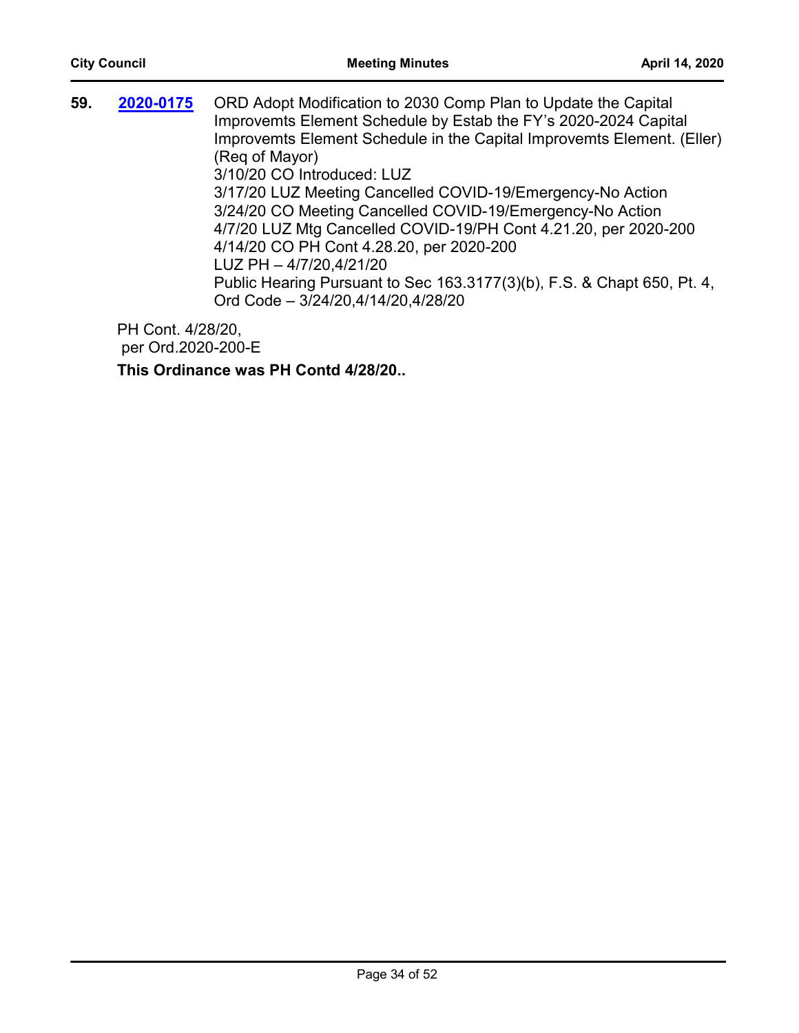| 59. | 2020-0175 | ORD Adopt Modification to 2030 Comp Plan to Update the Capital<br>Improvemts Element Schedule by Estab the FY's 2020-2024 Capital<br>Improvemts Element Schedule in the Capital Improvemts Element. (Eller)<br>(Reg of Mayor)<br>3/10/20 CO Introduced: LUZ<br>3/17/20 LUZ Meeting Cancelled COVID-19/Emergency-No Action<br>3/24/20 CO Meeting Cancelled COVID-19/Emergency-No Action<br>4/7/20 LUZ Mtg Cancelled COVID-19/PH Cont 4.21.20, per 2020-200<br>4/14/20 CO PH Cont 4.28.20, per 2020-200<br>LUZ PH - 4/7/20,4/21/20<br>Public Hearing Pursuant to Sec 163.3177(3)(b), F.S. & Chapt 650, Pt. 4, |
|-----|-----------|-------------------------------------------------------------------------------------------------------------------------------------------------------------------------------------------------------------------------------------------------------------------------------------------------------------------------------------------------------------------------------------------------------------------------------------------------------------------------------------------------------------------------------------------------------------------------------------------------------------|
|     |           | Ord Code - 3/24/20,4/14/20,4/28/20                                                                                                                                                                                                                                                                                                                                                                                                                                                                                                                                                                          |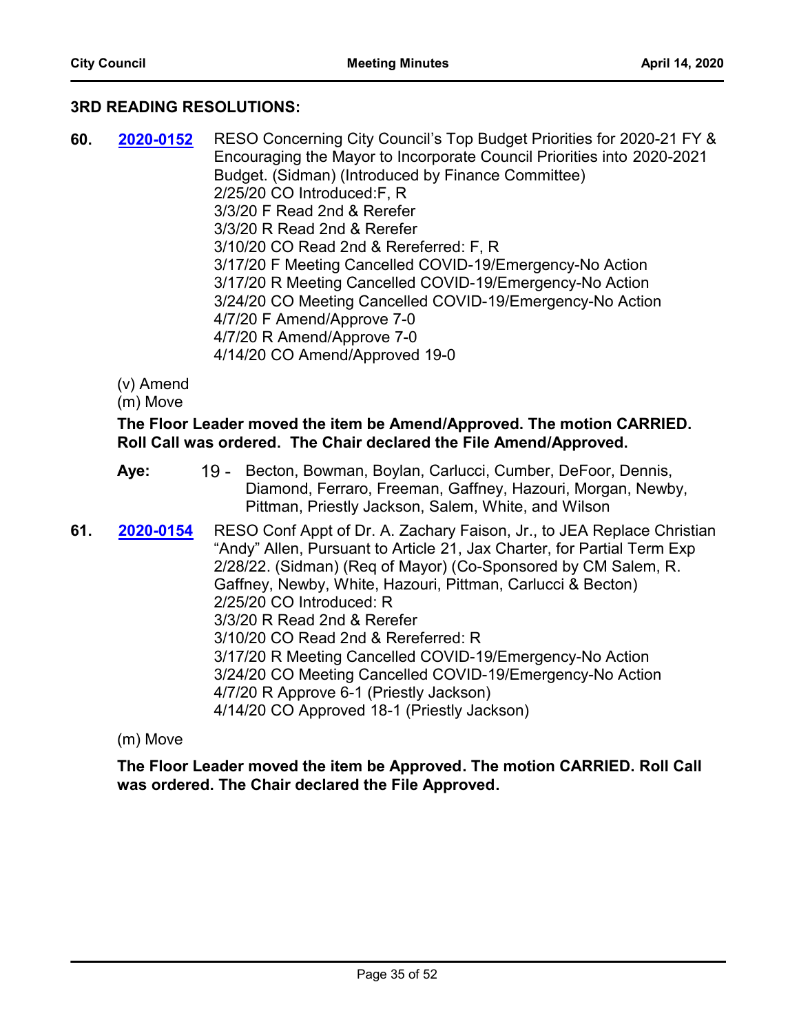#### **3RD READING RESOLUTIONS:**

**60.** RESO Concerning City Council's Top Budget Priorities for 2020-21 FY & Encouraging the Mayor to Incorporate Council Priorities into 2020-2021 Budget. (Sidman) (Introduced by Finance Committee) 2/25/20 CO Introduced:F, R 3/3/20 F Read 2nd & Rerefer 3/3/20 R Read 2nd & Rerefer 3/10/20 CO Read 2nd & Rereferred: F, R 3/17/20 F Meeting Cancelled COVID-19/Emergency-No Action 3/17/20 R Meeting Cancelled COVID-19/Emergency-No Action 3/24/20 CO Meeting Cancelled COVID-19/Emergency-No Action 4/7/20 F Amend/Approve 7-0 4/7/20 R Amend/Approve 7-0 4/14/20 CO Amend/Approved 19-0 **[2020-0152](http://jaxcityc.legistar.com/gateway.aspx?m=l&id=/matter.aspx?key=2215)**

(v) Amend

(m) Move

#### **The Floor Leader moved the item be Amend/Approved. The motion CARRIED. Roll Call was ordered. The Chair declared the File Amend/Approved.**

- 19 Becton, Bowman, Boylan, Carlucci, Cumber, DeFoor, Dennis, Diamond, Ferraro, Freeman, Gaffney, Hazouri, Morgan, Newby, Pittman, Priestly Jackson, Salem, White, and Wilson **Aye:**
- **61. 2020-0154** RESO Conf Appt of Dr. A. Zachary Faison, Jr., to JEA Replace Christian "Andy" Allen, Pursuant to Article 21, Jax Charter, for Partial Term Exp 2/28/22. (Sidman) (Req of Mayor) (Co-Sponsored by CM Salem, R. Gaffney, Newby, White, Hazouri, Pittman, Carlucci & Becton) 2/25/20 CO Introduced: R 3/3/20 R Read 2nd & Rerefer 3/10/20 CO Read 2nd & Rereferred: R 3/17/20 R Meeting Cancelled COVID-19/Emergency-No Action 3/24/20 CO Meeting Cancelled COVID-19/Emergency-No Action 4/7/20 R Approve 6-1 (Priestly Jackson) 4/14/20 CO Approved 18-1 (Priestly Jackson) **[2020-0154](http://jaxcityc.legistar.com/gateway.aspx?m=l&id=/matter.aspx?key=2217)**

(m) Move

**The Floor Leader moved the item be Approved. The motion CARRIED. Roll Call was ordered. The Chair declared the File Approved.**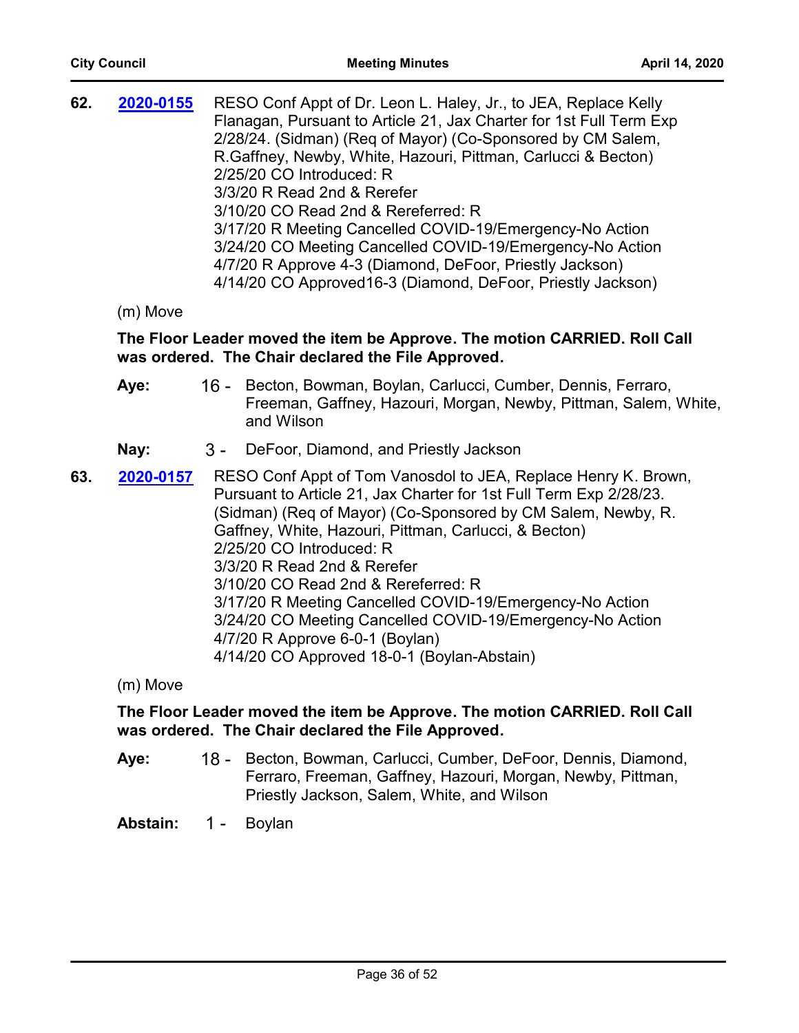**62. 2020-0155** RESO Conf Appt of Dr. Leon L. Haley, Jr., to JEA, Replace Kelly Flanagan, Pursuant to Article 21, Jax Charter for 1st Full Term Exp 2/28/24. (Sidman) (Req of Mayor) (Co-Sponsored by CM Salem, R.Gaffney, Newby, White, Hazouri, Pittman, Carlucci & Becton) 2/25/20 CO Introduced: R 3/3/20 R Read 2nd & Rerefer 3/10/20 CO Read 2nd & Rereferred: R 3/17/20 R Meeting Cancelled COVID-19/Emergency-No Action 3/24/20 CO Meeting Cancelled COVID-19/Emergency-No Action 4/7/20 R Approve 4-3 (Diamond, DeFoor, Priestly Jackson) 4/14/20 CO Approved16-3 (Diamond, DeFoor, Priestly Jackson) **[2020-0155](http://jaxcityc.legistar.com/gateway.aspx?m=l&id=/matter.aspx?key=2218)**

(m) Move

## **The Floor Leader moved the item be Approve. The motion CARRIED. Roll Call was ordered. The Chair declared the File Approved.**

- 16 Becton, Bowman, Boylan, Carlucci, Cumber, Dennis, Ferraro, Freeman, Gaffney, Hazouri, Morgan, Newby, Pittman, Salem, White, and Wilson **Aye:**
- **Nay:** 3 DeFoor, Diamond, and Priestly Jackson
- **63. 2020-0157** RESO Conf Appt of Tom Vanosdol to JEA, Replace Henry K. Brown, Pursuant to Article 21, Jax Charter for 1st Full Term Exp 2/28/23. (Sidman) (Req of Mayor) (Co-Sponsored by CM Salem, Newby, R. Gaffney, White, Hazouri, Pittman, Carlucci, & Becton) 2/25/20 CO Introduced: R 3/3/20 R Read 2nd & Rerefer 3/10/20 CO Read 2nd & Rereferred: R 3/17/20 R Meeting Cancelled COVID-19/Emergency-No Action 3/24/20 CO Meeting Cancelled COVID-19/Emergency-No Action 4/7/20 R Approve 6-0-1 (Boylan) 4/14/20 CO Approved 18-0-1 (Boylan-Abstain) **[2020-0157](http://jaxcityc.legistar.com/gateway.aspx?m=l&id=/matter.aspx?key=2220)**

(m) Move

#### **The Floor Leader moved the item be Approve. The motion CARRIED. Roll Call was ordered. The Chair declared the File Approved.**

18 - Becton, Bowman, Carlucci, Cumber, DeFoor, Dennis, Diamond, Ferraro, Freeman, Gaffney, Hazouri, Morgan, Newby, Pittman, Priestly Jackson, Salem, White, and Wilson **Aye:**

**Abstain:** 1 - Boylan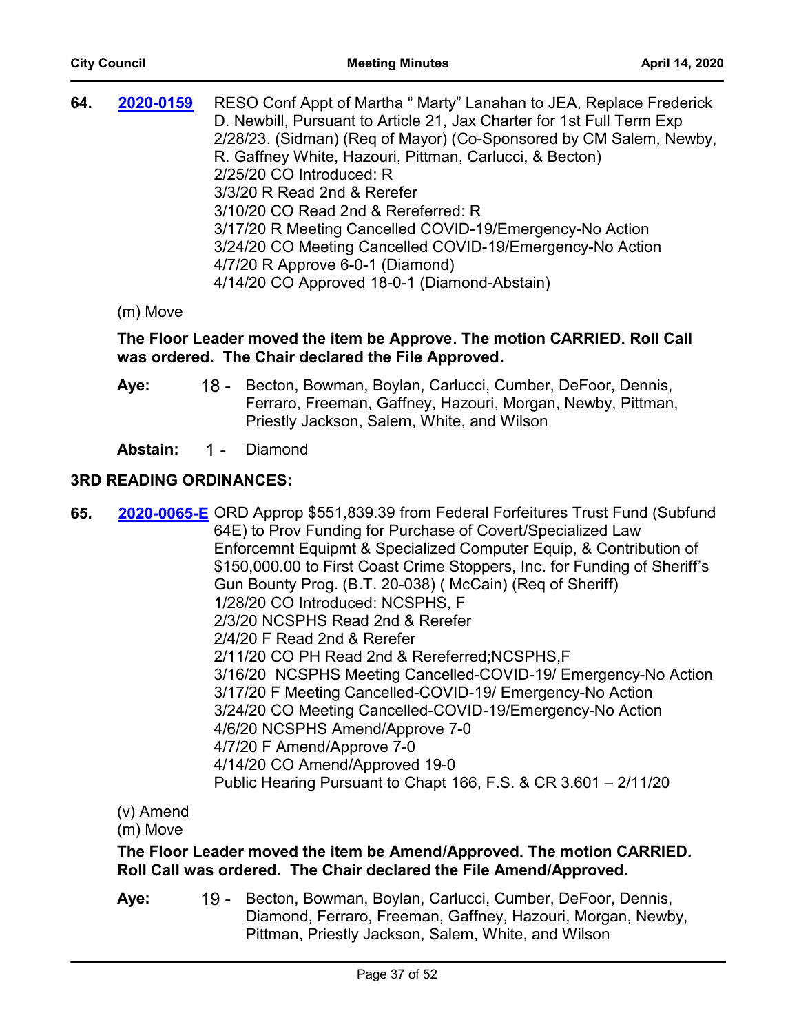| 64. | 2020-0159 | RESO Conf Appt of Martha " Marty" Lanahan to JEA, Replace Frederick<br>D. Newbill, Pursuant to Article 21, Jax Charter for 1st Full Term Exp |
|-----|-----------|----------------------------------------------------------------------------------------------------------------------------------------------|
|     |           | 2/28/23. (Sidman) (Req of Mayor) (Co-Sponsored by CM Salem, Newby,                                                                           |
|     |           | R. Gaffney White, Hazouri, Pittman, Carlucci, & Becton)                                                                                      |
|     |           | 2/25/20 CO Introduced: R                                                                                                                     |
|     |           | 3/3/20 R Read 2nd & Rerefer                                                                                                                  |
|     |           | 3/10/20 CO Read 2nd & Rereferred: R                                                                                                          |
|     |           | 3/17/20 R Meeting Cancelled COVID-19/Emergency-No Action                                                                                     |
|     |           | 3/24/20 CO Meeting Cancelled COVID-19/Emergency-No Action                                                                                    |
|     |           | 4/7/20 R Approve 6-0-1 (Diamond)                                                                                                             |
|     |           | 4/14/20 CO Approved 18-0-1 (Diamond-Abstain)                                                                                                 |

#### (m) Move

#### **The Floor Leader moved the item be Approve. The motion CARRIED. Roll Call was ordered. The Chair declared the File Approved.**

18 - Becton, Bowman, Boylan, Carlucci, Cumber, DeFoor, Dennis, Ferraro, Freeman, Gaffney, Hazouri, Morgan, Newby, Pittman, Priestly Jackson, Salem, White, and Wilson **Aye:**

**Abstain:** 1 - Diamond

#### **3RD READING ORDINANCES:**

**65.** [2020-0065-E](http://jaxcityc.legistar.com/gateway.aspx?m=l&id=/matter.aspx?key=2123) ORD Approp \$551,839.39 from Federal Forfeitures Trust Fund (Subfund 64E) to Prov Funding for Purchase of Covert/Specialized Law Enforcemnt Equipmt & Specialized Computer Equip, & Contribution of \$150,000.00 to First Coast Crime Stoppers, Inc. for Funding of Sheriff's Gun Bounty Prog. (B.T. 20-038) ( McCain) (Req of Sheriff) 1/28/20 CO Introduced: NCSPHS, F 2/3/20 NCSPHS Read 2nd & Rerefer 2/4/20 F Read 2nd & Rerefer 2/11/20 CO PH Read 2nd & Rereferred;NCSPHS,F 3/16/20 NCSPHS Meeting Cancelled-COVID-19/ Emergency-No Action 3/17/20 F Meeting Cancelled-COVID-19/ Emergency-No Action 3/24/20 CO Meeting Cancelled-COVID-19/Emergency-No Action 4/6/20 NCSPHS Amend/Approve 7-0 4/7/20 F Amend/Approve 7-0 4/14/20 CO Amend/Approved 19-0 Public Hearing Pursuant to Chapt 166, F.S. & CR 3.601 – 2/11/20

(v) Amend

(m) Move

## **The Floor Leader moved the item be Amend/Approved. The motion CARRIED. Roll Call was ordered. The Chair declared the File Amend/Approved.**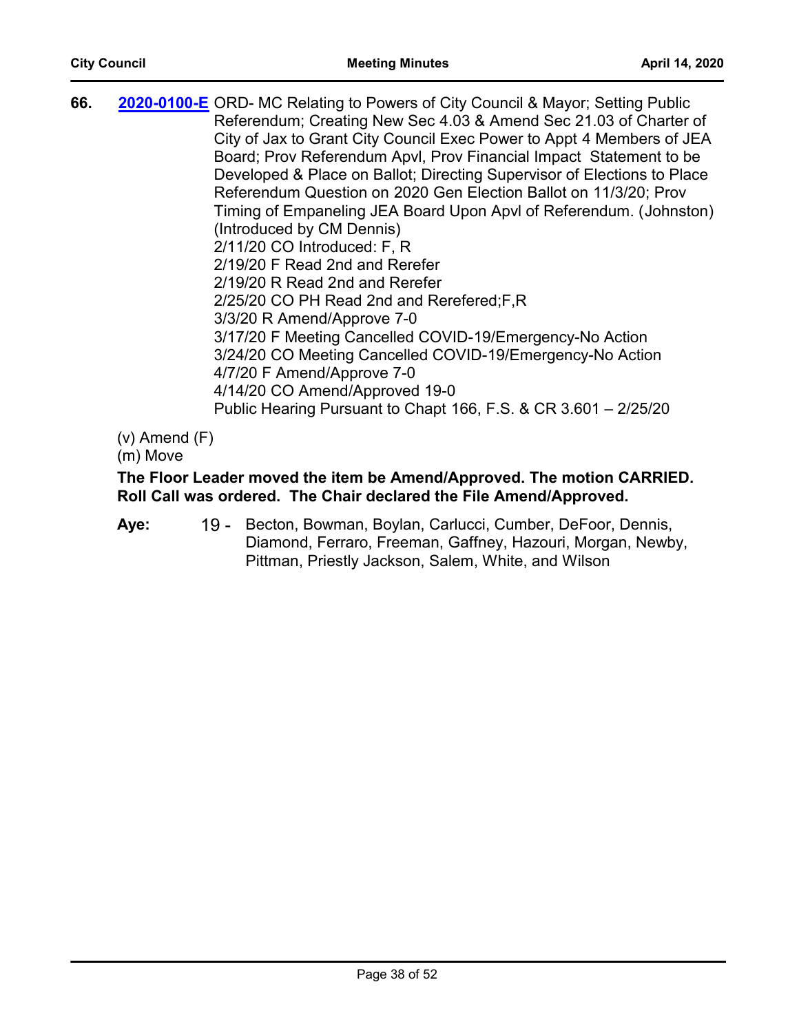**66.** [2020-0100-E](http://jaxcityc.legistar.com/gateway.aspx?m=l&id=/matter.aspx?key=2161) ORD- MC Relating to Powers of City Council & Mayor; Setting Public Referendum; Creating New Sec 4.03 & Amend Sec 21.03 of Charter of City of Jax to Grant City Council Exec Power to Appt 4 Members of JEA Board; Prov Referendum Apvl, Prov Financial Impact Statement to be Developed & Place on Ballot; Directing Supervisor of Elections to Place Referendum Question on 2020 Gen Election Ballot on 11/3/20; Prov Timing of Empaneling JEA Board Upon Apvl of Referendum. (Johnston) (Introduced by CM Dennis) 2/11/20 CO Introduced: F, R 2/19/20 F Read 2nd and Rerefer 2/19/20 R Read 2nd and Rerefer 2/25/20 CO PH Read 2nd and Rerefered;F,R 3/3/20 R Amend/Approve 7-0 3/17/20 F Meeting Cancelled COVID-19/Emergency-No Action 3/24/20 CO Meeting Cancelled COVID-19/Emergency-No Action 4/7/20 F Amend/Approve 7-0 4/14/20 CO Amend/Approved 19-0 Public Hearing Pursuant to Chapt 166, F.S. & CR 3.601 – 2/25/20

(v) Amend (F)

(m) Move

## **The Floor Leader moved the item be Amend/Approved. The motion CARRIED. Roll Call was ordered. The Chair declared the File Amend/Approved.**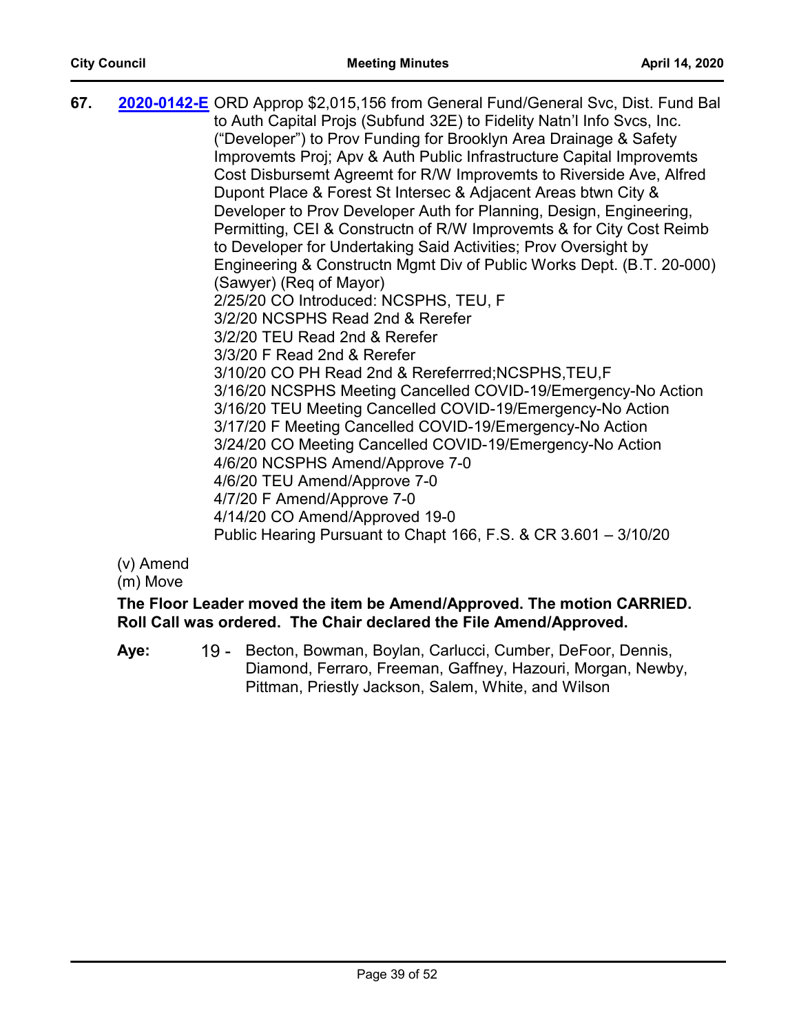| 67. | 2020-0142-E ORD Approp \$2,015,156 from General Fund/General Svc, Dist. Fund Bal<br>to Auth Capital Projs (Subfund 32E) to Fidelity Natn'l Info Svcs, Inc.<br>("Developer") to Prov Funding for Brooklyn Area Drainage & Safety<br>Improvemts Proj; Apv & Auth Public Infrastructure Capital Improvemts<br>Cost Disbursemt Agreemt for R/W Improvemts to Riverside Ave, Alfred<br>Dupont Place & Forest St Intersec & Adjacent Areas btwn City &<br>Developer to Prov Developer Auth for Planning, Design, Engineering,<br>Permitting, CEI & Constructn of R/W Improvemts & for City Cost Reimb<br>to Developer for Undertaking Said Activities; Prov Oversight by<br>Engineering & Constructn Mgmt Div of Public Works Dept. (B.T. 20-000)<br>(Sawyer) (Req of Mayor)<br>2/25/20 CO Introduced: NCSPHS, TEU, F<br>3/2/20 NCSPHS Read 2nd & Rerefer<br>3/2/20 TEU Read 2nd & Rerefer<br>3/3/20 F Read 2nd & Rerefer<br>3/10/20 CO PH Read 2nd & Rereferrred; NCSPHS, TEU, F<br>3/16/20 NCSPHS Meeting Cancelled COVID-19/Emergency-No Action<br>3/16/20 TEU Meeting Cancelled COVID-19/Emergency-No Action<br>3/17/20 F Meeting Cancelled COVID-19/Emergency-No Action<br>3/24/20 CO Meeting Cancelled COVID-19/Emergency-No Action<br>4/6/20 NCSPHS Amend/Approve 7-0<br>4/6/20 TEU Amend/Approve 7-0<br>4/7/20 F Amend/Approve 7-0<br>4/14/20 CO Amend/Approved 19-0 |
|-----|------------------------------------------------------------------------------------------------------------------------------------------------------------------------------------------------------------------------------------------------------------------------------------------------------------------------------------------------------------------------------------------------------------------------------------------------------------------------------------------------------------------------------------------------------------------------------------------------------------------------------------------------------------------------------------------------------------------------------------------------------------------------------------------------------------------------------------------------------------------------------------------------------------------------------------------------------------------------------------------------------------------------------------------------------------------------------------------------------------------------------------------------------------------------------------------------------------------------------------------------------------------------------------------------------------------------------------------------------------------------|
|     | Public Hearing Pursuant to Chapt 166, F.S. & CR 3.601 - 3/10/20                                                                                                                                                                                                                                                                                                                                                                                                                                                                                                                                                                                                                                                                                                                                                                                                                                                                                                                                                                                                                                                                                                                                                                                                                                                                                                        |

(m) Move

**The Floor Leader moved the item be Amend/Approved. The motion CARRIED. Roll Call was ordered. The Chair declared the File Amend/Approved.**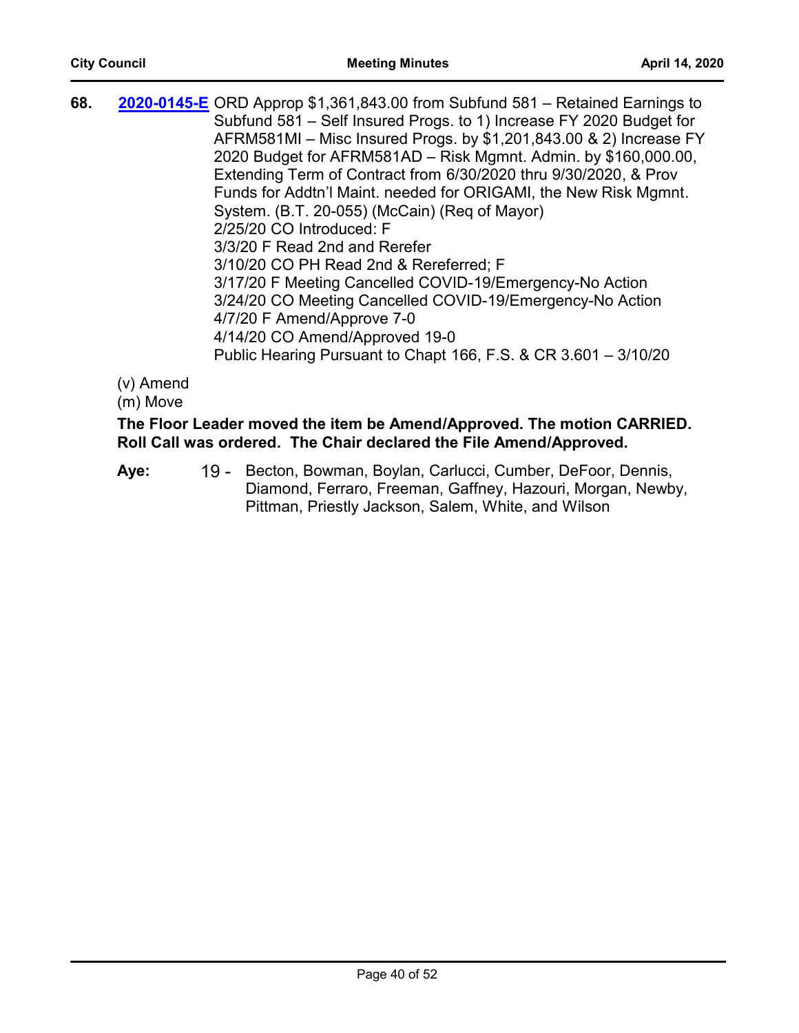| 68. | <b>2020-0145-E</b> ORD Approp \$1,361,843.00 from Subfund 581 – Retained Earnings to |
|-----|--------------------------------------------------------------------------------------|
|     | Subfund 581 – Self Insured Progs. to 1) Increase FY 2020 Budget for                  |
|     | AFRM581MI - Misc Insured Progs. by \$1,201,843.00 & 2) Increase FY                   |
|     | 2020 Budget for AFRM581AD - Risk Mgmnt. Admin. by \$160,000.00,                      |
|     | Extending Term of Contract from 6/30/2020 thru 9/30/2020, & Prov                     |
|     | Funds for Addtn'l Maint. needed for ORIGAMI, the New Risk Mgmnt.                     |
|     | System. (B.T. 20-055) (McCain) (Req of Mayor)                                        |
|     | 2/25/20 CO Introduced: F                                                             |
|     | 3/3/20 F Read 2nd and Rerefer                                                        |
|     | 3/10/20 CO PH Read 2nd & Rereferred; F                                               |
|     | 3/17/20 F Meeting Cancelled COVID-19/Emergency-No Action                             |
|     | 3/24/20 CO Meeting Cancelled COVID-19/Emergency-No Action                            |
|     | 4/7/20 F Amend/Approve 7-0                                                           |
|     | 4/14/20 CO Amend/Approved 19-0                                                       |
|     | Public Hearing Pursuant to Chapt 166, F.S. & CR 3.601 - 3/10/20                      |
|     |                                                                                      |

(m) Move

## **The Floor Leader moved the item be Amend/Approved. The motion CARRIED. Roll Call was ordered. The Chair declared the File Amend/Approved.**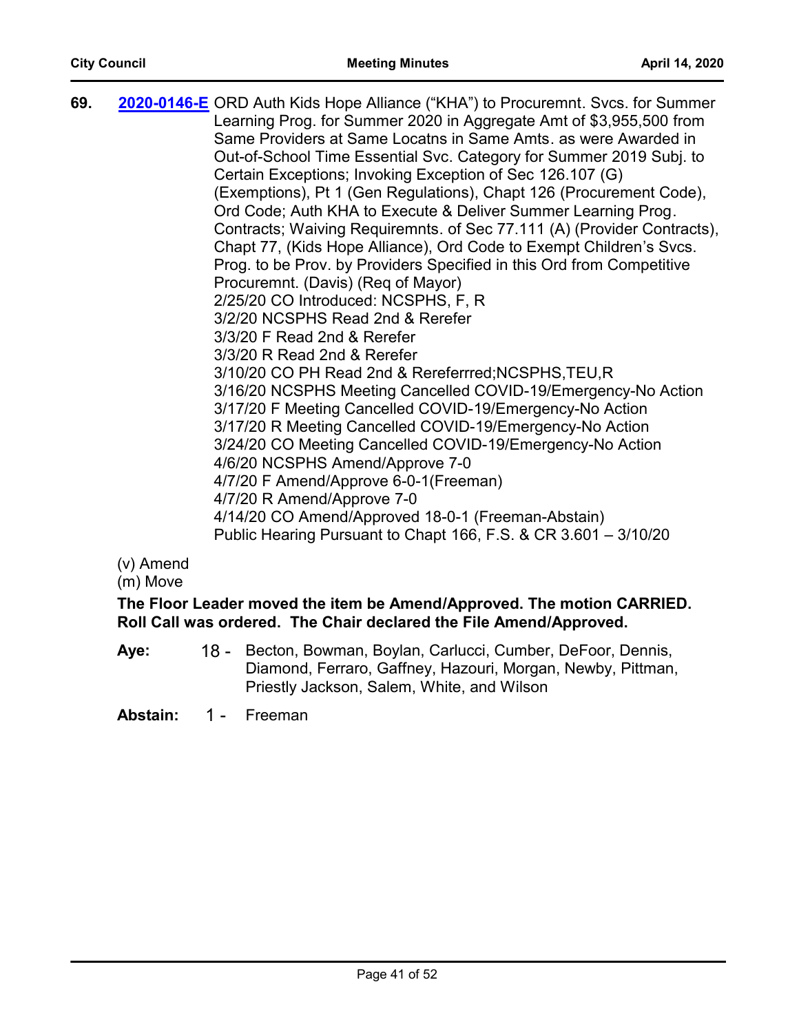| 69. | 2020-0146-E ORD Auth Kids Hope Alliance ("KHA") to Procuremnt. Svcs. for Summer<br>Learning Prog. for Summer 2020 in Aggregate Amt of \$3,955,500 from<br>Same Providers at Same Locatns in Same Amts. as were Awarded in<br>Out-of-School Time Essential Svc. Category for Summer 2019 Subj. to<br>Certain Exceptions; Invoking Exception of Sec 126.107 (G) |
|-----|---------------------------------------------------------------------------------------------------------------------------------------------------------------------------------------------------------------------------------------------------------------------------------------------------------------------------------------------------------------|
|     | (Exemptions), Pt 1 (Gen Regulations), Chapt 126 (Procurement Code),                                                                                                                                                                                                                                                                                           |
|     | Ord Code; Auth KHA to Execute & Deliver Summer Learning Prog.                                                                                                                                                                                                                                                                                                 |
|     | Contracts; Waiving Requiremnts. of Sec 77.111 (A) (Provider Contracts),                                                                                                                                                                                                                                                                                       |
|     | Chapt 77, (Kids Hope Alliance), Ord Code to Exempt Children's Svcs.                                                                                                                                                                                                                                                                                           |
|     | Prog. to be Prov. by Providers Specified in this Ord from Competitive                                                                                                                                                                                                                                                                                         |
|     | Procuremnt. (Davis) (Reg of Mayor)                                                                                                                                                                                                                                                                                                                            |
|     | 2/25/20 CO Introduced: NCSPHS, F, R                                                                                                                                                                                                                                                                                                                           |
|     | 3/2/20 NCSPHS Read 2nd & Rerefer                                                                                                                                                                                                                                                                                                                              |
|     | 3/3/20 F Read 2nd & Rerefer                                                                                                                                                                                                                                                                                                                                   |
|     | 3/3/20 R Read 2nd & Rerefer                                                                                                                                                                                                                                                                                                                                   |
|     | 3/10/20 CO PH Read 2nd & Rereferrred; NCSPHS, TEU, R                                                                                                                                                                                                                                                                                                          |
|     | 3/16/20 NCSPHS Meeting Cancelled COVID-19/Emergency-No Action                                                                                                                                                                                                                                                                                                 |
|     | 3/17/20 F Meeting Cancelled COVID-19/Emergency-No Action                                                                                                                                                                                                                                                                                                      |
|     | 3/17/20 R Meeting Cancelled COVID-19/Emergency-No Action                                                                                                                                                                                                                                                                                                      |
|     | 3/24/20 CO Meeting Cancelled COVID-19/Emergency-No Action                                                                                                                                                                                                                                                                                                     |
|     | 4/6/20 NCSPHS Amend/Approve 7-0                                                                                                                                                                                                                                                                                                                               |
|     | 4/7/20 F Amend/Approve 6-0-1(Freeman)                                                                                                                                                                                                                                                                                                                         |
|     | 4/7/20 R Amend/Approve 7-0                                                                                                                                                                                                                                                                                                                                    |
|     | 4/14/20 CO Amend/Approved 18-0-1 (Freeman-Abstain)                                                                                                                                                                                                                                                                                                            |
|     | Public Hearing Pursuant to Chapt 166, F.S. & CR 3.601 - 3/10/20                                                                                                                                                                                                                                                                                               |

(m) Move

**The Floor Leader moved the item be Amend/Approved. The motion CARRIED. Roll Call was ordered. The Chair declared the File Amend/Approved.**

18 - Becton, Bowman, Boylan, Carlucci, Cumber, DeFoor, Dennis, Diamond, Ferraro, Gaffney, Hazouri, Morgan, Newby, Pittman, Priestly Jackson, Salem, White, and Wilson **Aye:**

**Abstain:** 1 - Freeman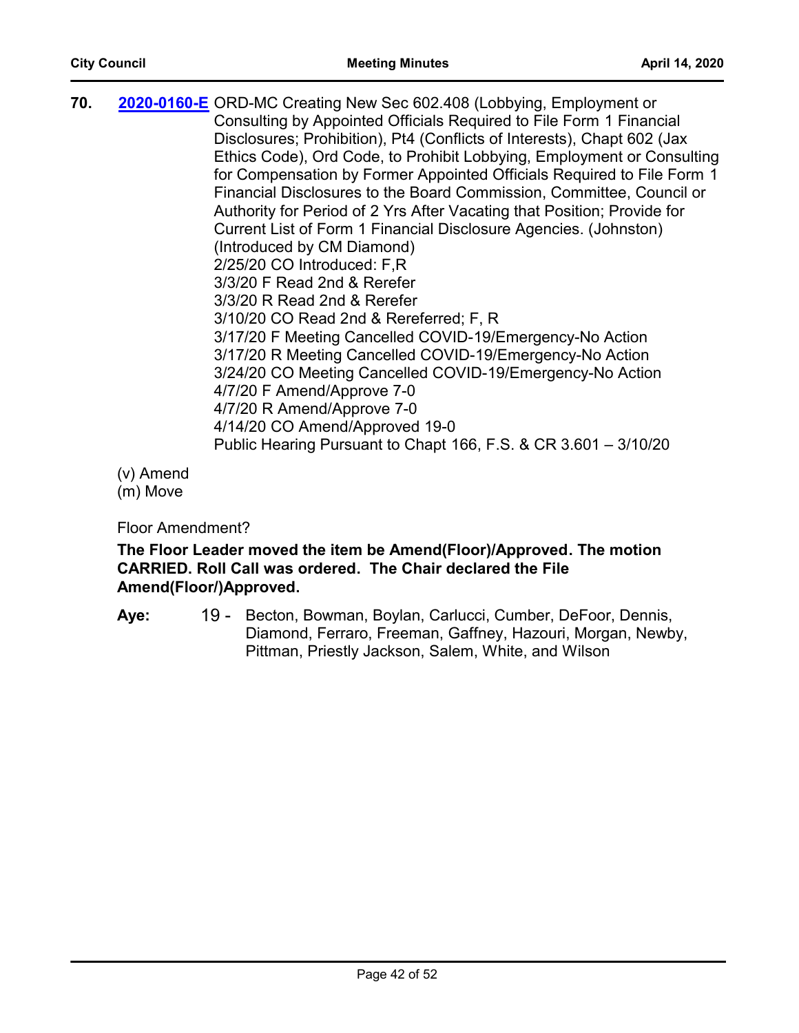70. [2020-0160-E](http://jaxcityc.legistar.com/gateway.aspx?m=l&id=/matter.aspx?key=2225) ORD-MC Creating New Sec 602.408 (Lobbying, Employment or Consulting by Appointed Officials Required to File Form 1 Financial Disclosures; Prohibition), Pt4 (Conflicts of Interests), Chapt 602 (Jax Ethics Code), Ord Code, to Prohibit Lobbying, Employment or Consulting for Compensation by Former Appointed Officials Required to File Form 1 Financial Disclosures to the Board Commission, Committee, Council or Authority for Period of 2 Yrs After Vacating that Position; Provide for Current List of Form 1 Financial Disclosure Agencies. (Johnston) (Introduced by CM Diamond) 2/25/20 CO Introduced: F,R 3/3/20 F Read 2nd & Rerefer 3/3/20 R Read 2nd & Rerefer 3/10/20 CO Read 2nd & Rereferred; F, R 3/17/20 F Meeting Cancelled COVID-19/Emergency-No Action 3/17/20 R Meeting Cancelled COVID-19/Emergency-No Action 3/24/20 CO Meeting Cancelled COVID-19/Emergency-No Action 4/7/20 F Amend/Approve 7-0 4/7/20 R Amend/Approve 7-0 4/14/20 CO Amend/Approved 19-0 Public Hearing Pursuant to Chapt 166, F.S. & CR 3.601 – 3/10/20

(v) Amend

(m) Move

Floor Amendment?

## **The Floor Leader moved the item be Amend(Floor)/Approved. The motion CARRIED. Roll Call was ordered. The Chair declared the File Amend(Floor/)Approved.**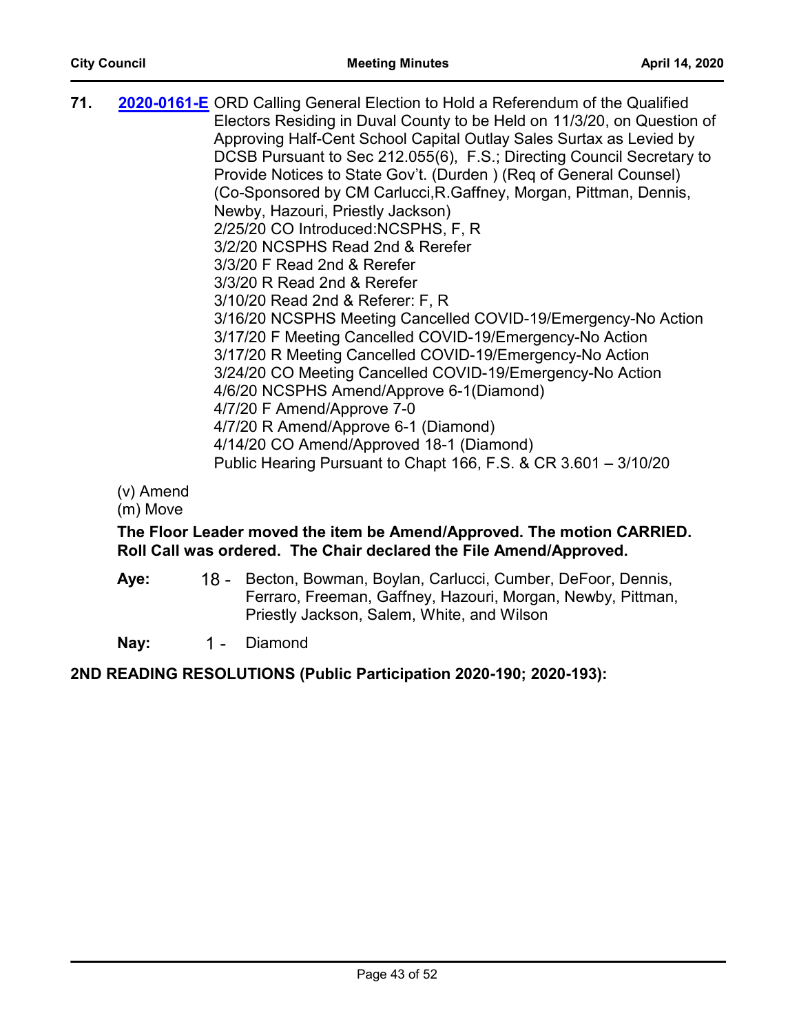| 71. | 2020-0161-E ORD Calling General Election to Hold a Referendum of the Qualified |
|-----|--------------------------------------------------------------------------------|
|     | Electors Residing in Duval County to be Held on 11/3/20, on Question of        |
|     | Approving Half-Cent School Capital Outlay Sales Surtax as Levied by            |
|     | DCSB Pursuant to Sec 212.055(6), F.S.; Directing Council Secretary to          |
|     | Provide Notices to State Gov't. (Durden) (Req of General Counsel)              |
|     | (Co-Sponsored by CM Carlucci, R. Gaffney, Morgan, Pittman, Dennis,             |
|     | Newby, Hazouri, Priestly Jackson)                                              |
|     | 2/25/20 CO Introduced: NCSPHS, F, R                                            |
|     | 3/2/20 NCSPHS Read 2nd & Rerefer                                               |
|     | 3/3/20 F Read 2nd & Rerefer                                                    |
|     | 3/3/20 R Read 2nd & Rerefer                                                    |
|     | 3/10/20 Read 2nd & Referer: F, R                                               |
|     | 3/16/20 NCSPHS Meeting Cancelled COVID-19/Emergency-No Action                  |
|     | 3/17/20 F Meeting Cancelled COVID-19/Emergency-No Action                       |
|     | 3/17/20 R Meeting Cancelled COVID-19/Emergency-No Action                       |
|     | 3/24/20 CO Meeting Cancelled COVID-19/Emergency-No Action                      |
|     | 4/6/20 NCSPHS Amend/Approve 6-1(Diamond)                                       |
|     | 4/7/20 F Amend/Approve 7-0                                                     |
|     | 4/7/20 R Amend/Approve 6-1 (Diamond)                                           |
|     | 4/14/20 CO Amend/Approved 18-1 (Diamond)                                       |
|     | Public Hearing Pursuant to Chapt 166, F.S. & CR $3.601 - 3/10/20$              |
|     |                                                                                |

(m) Move

## **The Floor Leader moved the item be Amend/Approved. The motion CARRIED. Roll Call was ordered. The Chair declared the File Amend/Approved.**

18 - Becton, Bowman, Boylan, Carlucci, Cumber, DeFoor, Dennis, Ferraro, Freeman, Gaffney, Hazouri, Morgan, Newby, Pittman, Priestly Jackson, Salem, White, and Wilson **Aye:**

Nay: 1 - Diamond

## **2ND READING RESOLUTIONS (Public Participation 2020-190; 2020-193):**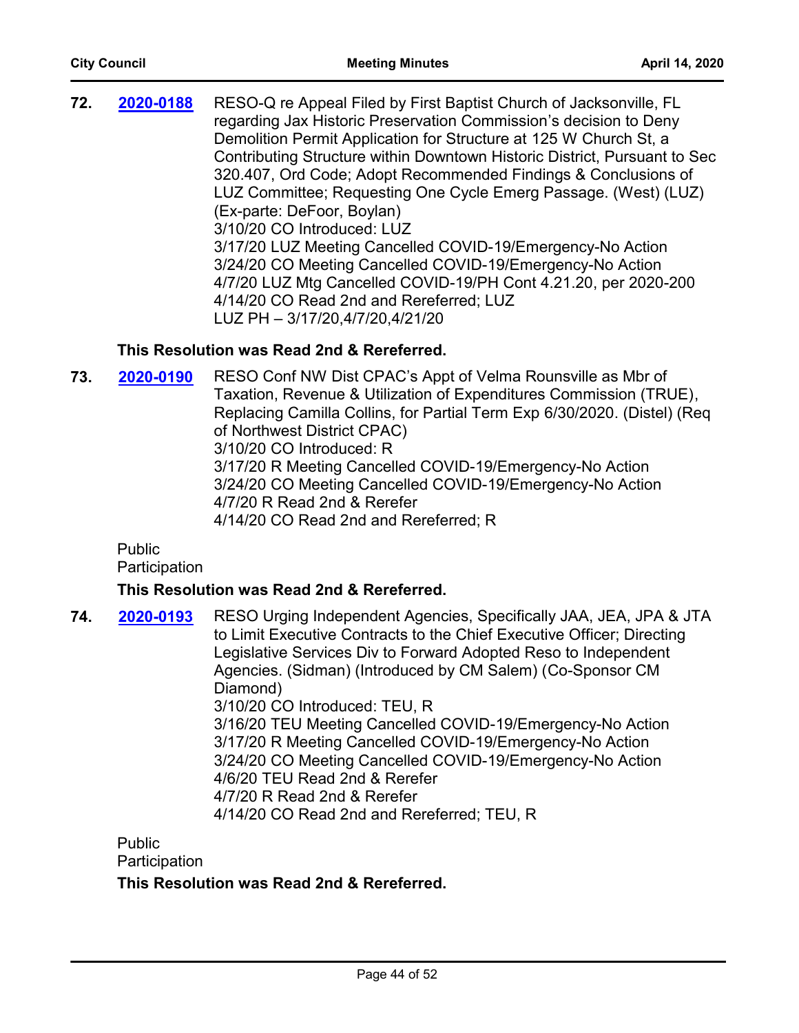| 320.407, Ord Code; Adopt Recommended Findings & Conclusions of<br>LUZ Committee; Requesting One Cycle Emerg Passage. (West) (LUZ)<br>(Ex-parte: DeFoor, Boylan)<br>3/10/20 CO Introduced: LUZ<br>3/17/20 LUZ Meeting Cancelled COVID-19/Emergency-No Action<br>3/24/20 CO Meeting Cancelled COVID-19/Emergency-No Action<br>4/7/20 LUZ Mtg Cancelled COVID-19/PH Cont 4.21.20, per 2020-200<br>4/14/20 CO Read 2nd and Rereferred; LUZ<br>LUZ PH - 3/17/20,4/7/20,4/21/20 | RESO-Q re Appeal Filed by First Baptist Church of Jacksonville, FL<br>regarding Jax Historic Preservation Commission's decision to Deny<br>Contributing Structure within Downtown Historic District, Pursuant to Sec |
|---------------------------------------------------------------------------------------------------------------------------------------------------------------------------------------------------------------------------------------------------------------------------------------------------------------------------------------------------------------------------------------------------------------------------------------------------------------------------|----------------------------------------------------------------------------------------------------------------------------------------------------------------------------------------------------------------------|
|---------------------------------------------------------------------------------------------------------------------------------------------------------------------------------------------------------------------------------------------------------------------------------------------------------------------------------------------------------------------------------------------------------------------------------------------------------------------------|----------------------------------------------------------------------------------------------------------------------------------------------------------------------------------------------------------------------|

## **This Resolution was Read 2nd & Rereferred.**

**73. 2020-0190** RESO Conf NW Dist CPAC's Appt of Velma Rounsville as Mbr of Taxation, Revenue & Utilization of Expenditures Commission (TRUE), Replacing Camilla Collins, for Partial Term Exp 6/30/2020. (Distel) (Req of Northwest District CPAC) 3/10/20 CO Introduced: R 3/17/20 R Meeting Cancelled COVID-19/Emergency-No Action 3/24/20 CO Meeting Cancelled COVID-19/Emergency-No Action 4/7/20 R Read 2nd & Rerefer 4/14/20 CO Read 2nd and Rereferred; R **[2020-0190](http://jaxcityc.legistar.com/gateway.aspx?m=l&id=/matter.aspx?key=2257)**

Public

**Participation** 

#### **This Resolution was Read 2nd & Rereferred.**

**74. 2020-0193** RESO Urging Independent Agencies, Specifically JAA, JEA, JPA & JTA to Limit Executive Contracts to the Chief Executive Officer; Directing Legislative Services Div to Forward Adopted Reso to Independent Agencies. (Sidman) (Introduced by CM Salem) (Co-Sponsor CM Diamond) 3/10/20 CO Introduced: TEU, R 3/16/20 TEU Meeting Cancelled COVID-19/Emergency-No Action 3/17/20 R Meeting Cancelled COVID-19/Emergency-No Action 3/24/20 CO Meeting Cancelled COVID-19/Emergency-No Action 4/6/20 TEU Read 2nd & Rerefer 4/7/20 R Read 2nd & Rerefer 4/14/20 CO Read 2nd and Rereferred; TEU, R **[2020-0193](http://jaxcityc.legistar.com/gateway.aspx?m=l&id=/matter.aspx?key=2260)**

Public **Participation** 

#### **This Resolution was Read 2nd & Rereferred.**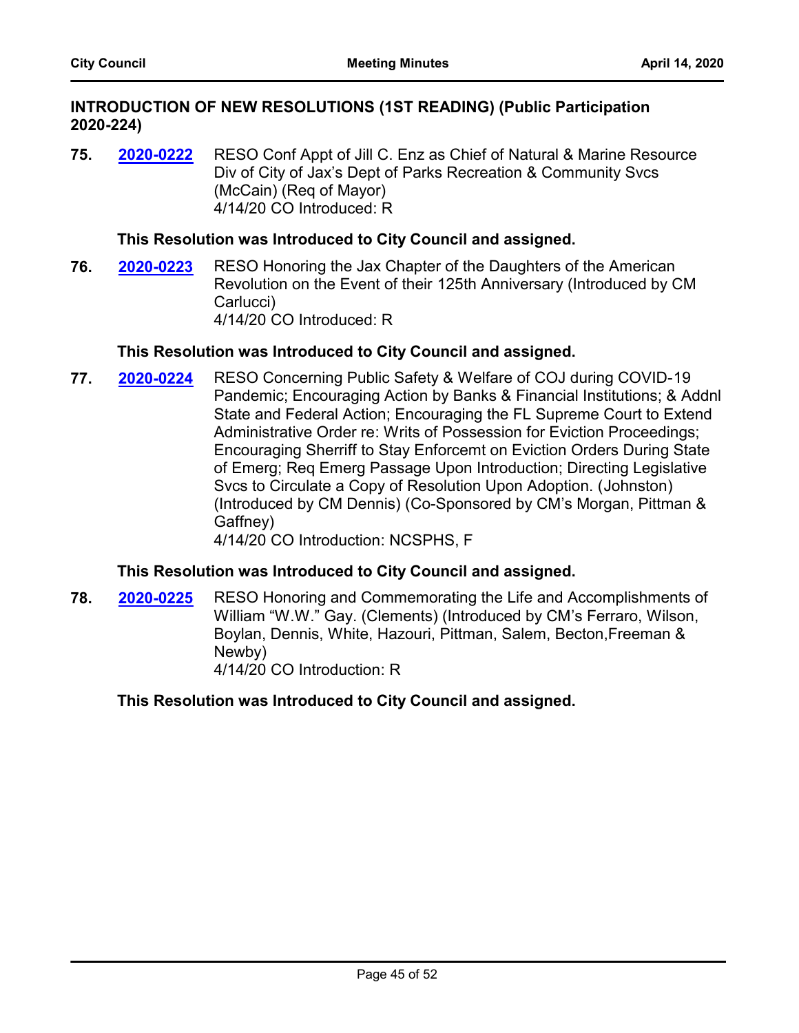#### **INTRODUCTION OF NEW RESOLUTIONS (1ST READING) (Public Participation 2020-224)**

**75. 2020-0222** RESO Conf Appt of Jill C. Enz as Chief of Natural & Marine Resource Div of City of Jax's Dept of Parks Recreation & Community Svcs (McCain) (Req of Mayor) 4/14/20 CO Introduced: R **[2020-0222](http://jaxcityc.legistar.com/gateway.aspx?m=l&id=/matter.aspx?key=2295)**

#### **This Resolution was Introduced to City Council and assigned.**

**76. 2020-0223** RESO Honoring the Jax Chapter of the Daughters of the American Revolution on the Event of their 125th Anniversary (Introduced by CM Carlucci) 4/14/20 CO Introduced: R **[2020-0223](http://jaxcityc.legistar.com/gateway.aspx?m=l&id=/matter.aspx?key=2296)**

#### **This Resolution was Introduced to City Council and assigned.**

**77. 2020-0224** RESO Concerning Public Safety & Welfare of COJ during COVID-19 Pandemic; Encouraging Action by Banks & Financial Institutions; & Addnl State and Federal Action; Encouraging the FL Supreme Court to Extend Administrative Order re: Writs of Possession for Eviction Proceedings; Encouraging Sherriff to Stay Enforcemt on Eviction Orders During State of Emerg; Req Emerg Passage Upon Introduction; Directing Legislative Svcs to Circulate a Copy of Resolution Upon Adoption. (Johnston) (Introduced by CM Dennis) (Co-Sponsored by CM's Morgan, Pittman & Gaffney) **[2020-0224](http://jaxcityc.legistar.com/gateway.aspx?m=l&id=/matter.aspx?key=2297)**

4/14/20 CO Introduction: NCSPHS, F

#### **This Resolution was Introduced to City Council and assigned.**

**78. 2020-0225** RESO Honoring and Commemorating the Life and Accomplishments of William "W.W." Gay. (Clements) (Introduced by CM's Ferraro, Wilson, Boylan, Dennis, White, Hazouri, Pittman, Salem, Becton,Freeman & Newby) 4/14/20 CO Introduction: R **[2020-0225](http://jaxcityc.legistar.com/gateway.aspx?m=l&id=/matter.aspx?key=2298)**

#### **This Resolution was Introduced to City Council and assigned.**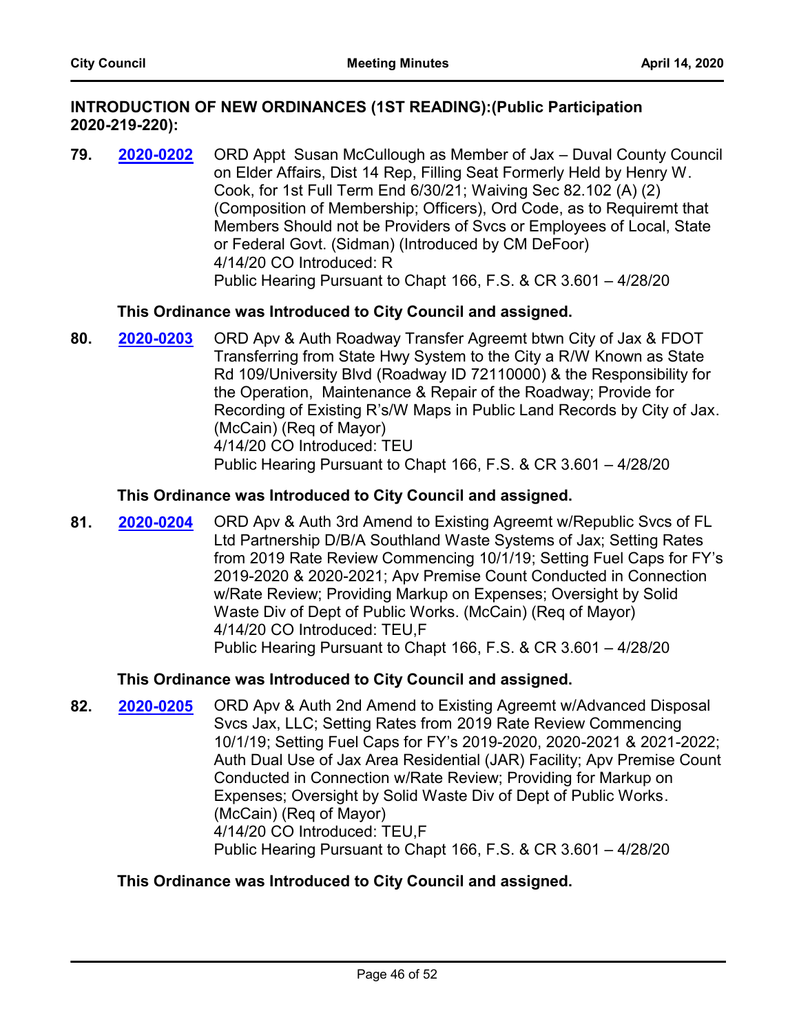#### **INTRODUCTION OF NEW ORDINANCES (1ST READING):(Public Participation 2020-219-220):**

**79. 2020-0202** ORD Appt Susan McCullough as Member of Jax – Duval County Council on Elder Affairs, Dist 14 Rep, Filling Seat Formerly Held by Henry W. Cook, for 1st Full Term End 6/30/21; Waiving Sec 82.102 (A) (2) (Composition of Membership; Officers), Ord Code, as to Requiremt that Members Should not be Providers of Svcs or Employees of Local, State or Federal Govt. (Sidman) (Introduced by CM DeFoor) 4/14/20 CO Introduced: R Public Hearing Pursuant to Chapt 166, F.S. & CR 3.601 – 4/28/20 **[2020-0202](http://jaxcityc.legistar.com/gateway.aspx?m=l&id=/matter.aspx?key=2275)**

#### **This Ordinance was Introduced to City Council and assigned.**

**80. 2020-0203** ORD Apv & Auth Roadway Transfer Agreemt btwn City of Jax & FDOT Transferring from State Hwy System to the City a R/W Known as State Rd 109/University Blvd (Roadway ID 72110000) & the Responsibility for the Operation, Maintenance & Repair of the Roadway; Provide for Recording of Existing R's/W Maps in Public Land Records by City of Jax. (McCain) (Req of Mayor) 4/14/20 CO Introduced: TEU Public Hearing Pursuant to Chapt 166, F.S. & CR 3.601 – 4/28/20 **[2020-0203](http://jaxcityc.legistar.com/gateway.aspx?m=l&id=/matter.aspx?key=2276)**

#### **This Ordinance was Introduced to City Council and assigned.**

**81. 2020-0204** ORD Apv & Auth 3rd Amend to Existing Agreemt w/Republic Svcs of FL Ltd Partnership D/B/A Southland Waste Systems of Jax; Setting Rates from 2019 Rate Review Commencing 10/1/19; Setting Fuel Caps for FY's 2019-2020 & 2020-2021; Apv Premise Count Conducted in Connection w/Rate Review; Providing Markup on Expenses; Oversight by Solid Waste Div of Dept of Public Works. (McCain) (Req of Mayor) 4/14/20 CO Introduced: TEU,F Public Hearing Pursuant to Chapt 166, F.S. & CR 3.601 – 4/28/20 **[2020-0204](http://jaxcityc.legistar.com/gateway.aspx?m=l&id=/matter.aspx?key=2277)**

#### **This Ordinance was Introduced to City Council and assigned.**

**82. 2020-0205** ORD Apv & Auth 2nd Amend to Existing Agreemt w/Advanced Disposal Svcs Jax, LLC; Setting Rates from 2019 Rate Review Commencing 10/1/19; Setting Fuel Caps for FY's 2019-2020, 2020-2021 & 2021-2022; Auth Dual Use of Jax Area Residential (JAR) Facility; Apv Premise Count Conducted in Connection w/Rate Review; Providing for Markup on Expenses; Oversight by Solid Waste Div of Dept of Public Works. (McCain) (Req of Mayor) 4/14/20 CO Introduced: TEU,F Public Hearing Pursuant to Chapt 166, F.S. & CR 3.601 – 4/28/20 **[2020-0205](http://jaxcityc.legistar.com/gateway.aspx?m=l&id=/matter.aspx?key=2278)**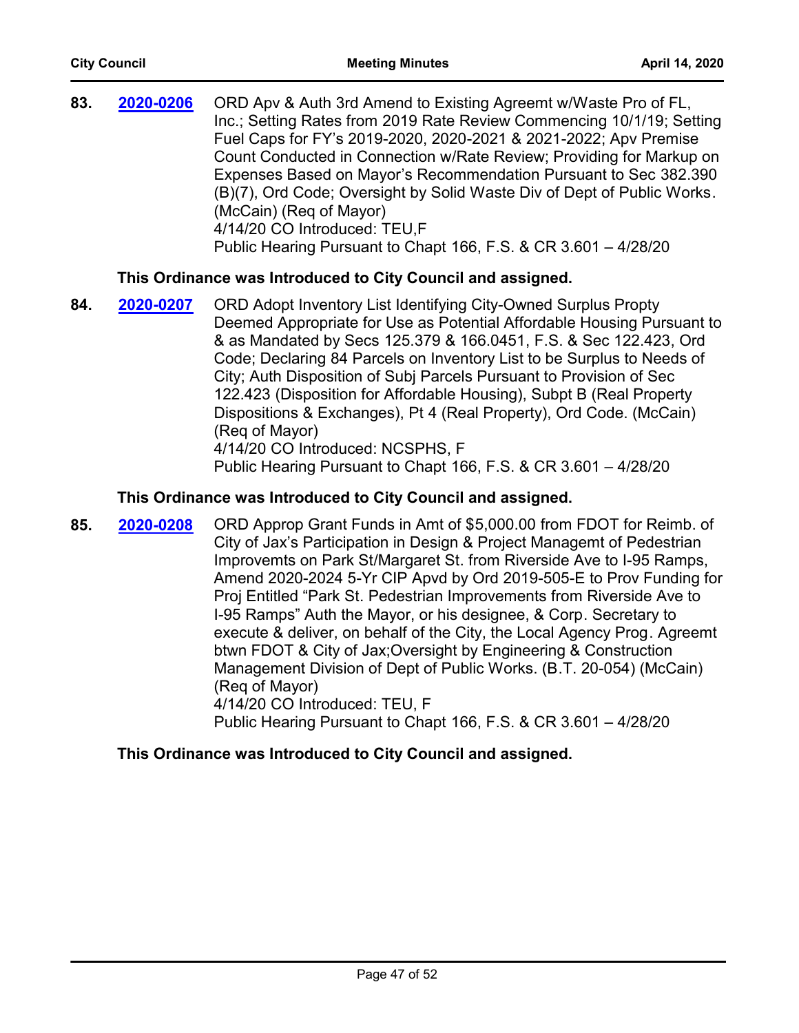| 83. | 2020-0206 | ORD Apv & Auth 3rd Amend to Existing Agreemt w/Waste Pro of FL,<br>Inc.; Setting Rates from 2019 Rate Review Commencing 10/1/19; Setting<br>Fuel Caps for FY's 2019-2020, 2020-2021 & 2021-2022; Apv Premise<br>Count Conducted in Connection w/Rate Review; Providing for Markup on<br>Expenses Based on Mayor's Recommendation Pursuant to Sec 382.390<br>(B)(7), Ord Code; Oversight by Solid Waste Div of Dept of Public Works.<br>(McCain) (Req of Mayor)<br>4/14/20 CO Introduced: TEU,F<br>Public Hearing Pursuant to Chapt 166, F.S. & CR 3.601 - 4/28/20                                                                      |
|-----|-----------|----------------------------------------------------------------------------------------------------------------------------------------------------------------------------------------------------------------------------------------------------------------------------------------------------------------------------------------------------------------------------------------------------------------------------------------------------------------------------------------------------------------------------------------------------------------------------------------------------------------------------------------|
|     |           | This Ordinance was Introduced to City Council and assigned.                                                                                                                                                                                                                                                                                                                                                                                                                                                                                                                                                                            |
| 84. | 2020-0207 | ORD Adopt Inventory List Identifying City-Owned Surplus Propty<br>Deemed Appropriate for Use as Potential Affordable Housing Pursuant to<br>& as Mandated by Secs 125.379 & 166.0451, F.S. & Sec 122.423, Ord<br>Code; Declaring 84 Parcels on Inventory List to be Surplus to Needs of<br>City; Auth Disposition of Subj Parcels Pursuant to Provision of Sec<br>122.423 (Disposition for Affordable Housing), Subpt B (Real Property<br>Dispositions & Exchanges), Pt 4 (Real Property), Ord Code. (McCain)<br>(Reg of Mayor)<br>4/14/20 CO Introduced: NCSPHS, F<br>Public Hearing Pursuant to Chapt 166, F.S. & CR 3.601 - 4/28/20 |
|     |           | This Ordinance was Introduced to City Council and assigned.                                                                                                                                                                                                                                                                                                                                                                                                                                                                                                                                                                            |
| 85. | 2020-0208 | ORD Approp Grant Funds in Amt of \$5,000.00 from FDOT for Reimb. of<br>City of Jax's Participation in Design & Project Managemt of Pedestrian<br>Improvemts on Park St/Margaret St. from Riverside Ave to I-95 Ramps,<br>Amend 2020-2024 5-Yr CIP Apvd by Ord 2019-505-E to Prov Funding for                                                                                                                                                                                                                                                                                                                                           |

Proj Entitled "Park St. Pedestrian Improvements from Riverside Ave to I-95 Ramps" Auth the Mayor, or his designee, & Corp. Secretary to execute & deliver, on behalf of the City, the Local Agency Prog. Agreemt btwn FDOT & City of Jax;Oversight by Engineering & Construction Management Division of Dept of Public Works. (B.T. 20-054) (McCain) (Req of Mayor)

4/14/20 CO Introduced: TEU, F

Public Hearing Pursuant to Chapt 166, F.S. & CR 3.601 – 4/28/20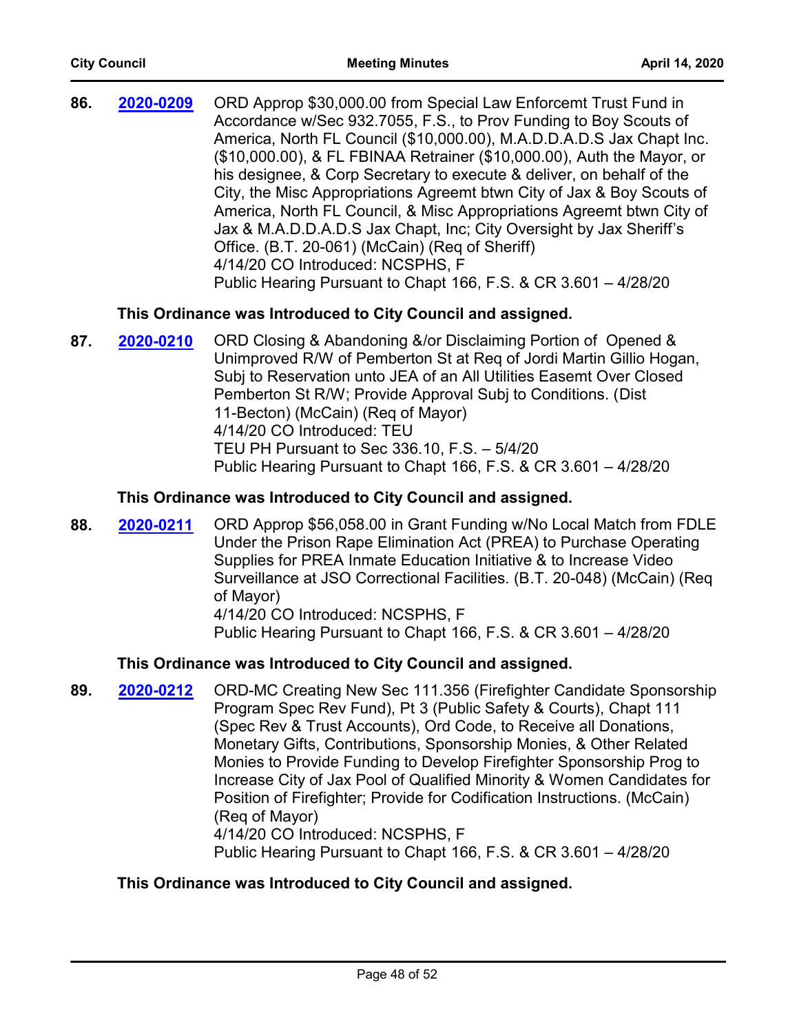| 86. | 2020-0209 | ORD Approp \$30,000.00 from Special Law Enforcemt Trust Fund in        |
|-----|-----------|------------------------------------------------------------------------|
|     |           | Accordance w/Sec 932.7055, F.S., to Prov Funding to Boy Scouts of      |
|     |           | America, North FL Council (\$10,000.00), M.A.D.D.A.D.S Jax Chapt Inc.  |
|     |           | (\$10,000.00), & FL FBINAA Retrainer (\$10,000.00), Auth the Mayor, or |
|     |           | his designee, & Corp Secretary to execute & deliver, on behalf of the  |
|     |           | City, the Misc Appropriations Agreemt btwn City of Jax & Boy Scouts of |
|     |           | America, North FL Council, & Misc Appropriations Agreemt btwn City of  |
|     |           | Jax & M.A.D.D.A.D.S Jax Chapt, Inc; City Oversight by Jax Sheriff's    |
|     |           | Office. (B.T. 20-061) (McCain) (Reg of Sheriff)                        |
|     |           | 4/14/20 CO Introduced: NCSPHS, F                                       |
|     |           | Public Hearing Pursuant to Chapt 166, F.S. & CR 3.601 - 4/28/20        |

## **This Ordinance was Introduced to City Council and assigned.**

87. **2020-0210** ORD Closing & Abandoning &/or Disclaiming Portion of Opened & Unimproved R/W of Pemberton St at Req of Jordi Martin Gillio Hogan, Subj to Reservation unto JEA of an All Utilities Easemt Over Closed Pemberton St R/W; Provide Approval Subj to Conditions. (Dist 11-Becton) (McCain) (Req of Mayor) 4/14/20 CO Introduced: TEU TEU PH Pursuant to Sec 336.10, F.S. – 5/4/20 Public Hearing Pursuant to Chapt 166, F.S. & CR 3.601 – 4/28/20 **[2020-0210](http://jaxcityc.legistar.com/gateway.aspx?m=l&id=/matter.aspx?key=2283)**

## **This Ordinance was Introduced to City Council and assigned.**

**88. 2020-0211** ORD Approp \$56,058.00 in Grant Funding w/No Local Match from FDLE Under the Prison Rape Elimination Act (PREA) to Purchase Operating Supplies for PREA Inmate Education Initiative & to Increase Video Surveillance at JSO Correctional Facilities. (B.T. 20-048) (McCain) (Req of Mayor) 4/14/20 CO Introduced: NCSPHS, F Public Hearing Pursuant to Chapt 166, F.S. & CR 3.601 – 4/28/20 **[2020-0211](http://jaxcityc.legistar.com/gateway.aspx?m=l&id=/matter.aspx?key=2284)**

## **This Ordinance was Introduced to City Council and assigned.**

**89. 2020-0212** ORD-MC Creating New Sec 111.356 (Firefighter Candidate Sponsorship Program Spec Rev Fund), Pt 3 (Public Safety & Courts), Chapt 111 (Spec Rev & Trust Accounts), Ord Code, to Receive all Donations, Monetary Gifts, Contributions, Sponsorship Monies, & Other Related Monies to Provide Funding to Develop Firefighter Sponsorship Prog to Increase City of Jax Pool of Qualified Minority & Women Candidates for Position of Firefighter; Provide for Codification Instructions. (McCain) (Req of Mayor) 4/14/20 CO Introduced: NCSPHS, F Public Hearing Pursuant to Chapt 166, F.S. & CR 3.601 – 4/28/20 **[2020-0212](http://jaxcityc.legistar.com/gateway.aspx?m=l&id=/matter.aspx?key=2285)**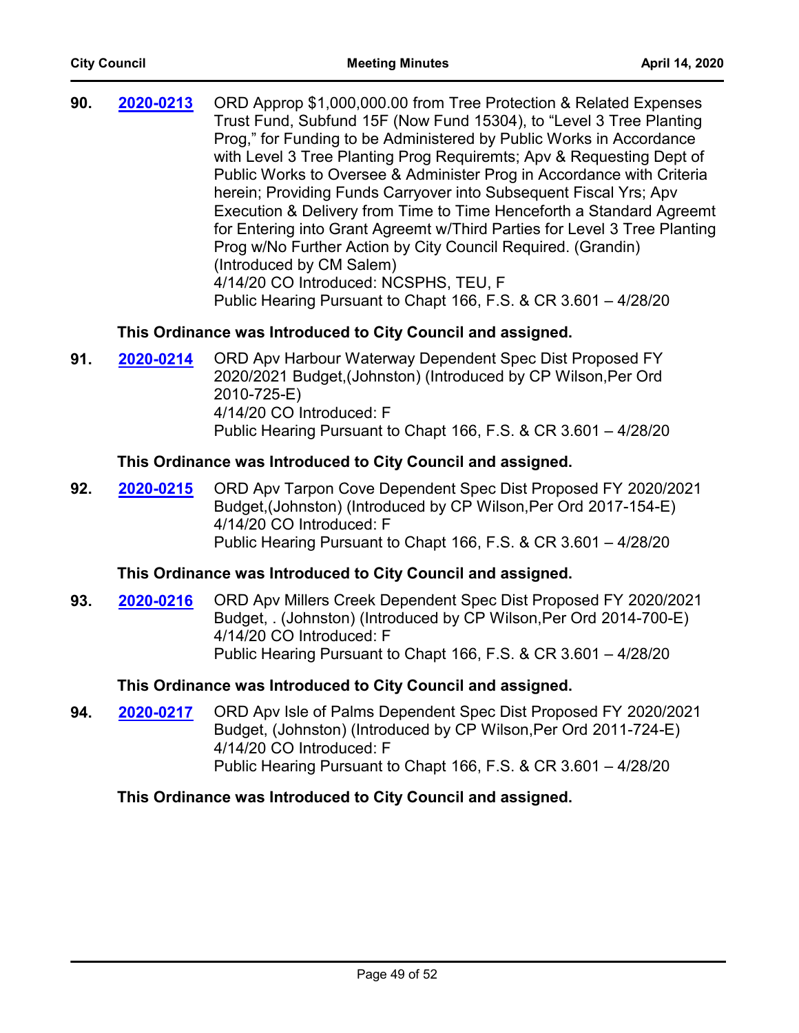| 90. | 2020-0213 | ORD Approp \$1,000,000.00 from Tree Protection & Related Expenses         |
|-----|-----------|---------------------------------------------------------------------------|
|     |           | Trust Fund, Subfund 15F (Now Fund 15304), to "Level 3 Tree Planting       |
|     |           | Prog," for Funding to be Administered by Public Works in Accordance       |
|     |           | with Level 3 Tree Planting Prog Requiremts; Apv & Requesting Dept of      |
|     |           | Public Works to Oversee & Administer Prog in Accordance with Criteria     |
|     |           | herein; Providing Funds Carryover into Subsequent Fiscal Yrs; Apv         |
|     |           | Execution & Delivery from Time to Time Henceforth a Standard Agreemt      |
|     |           | for Entering into Grant Agreemt w/Third Parties for Level 3 Tree Planting |
|     |           | Prog w/No Further Action by City Council Required. (Grandin)              |
|     |           | (Introduced by CM Salem)                                                  |
|     |           | 4/14/20 CO Introduced: NCSPHS, TEU, F                                     |
|     |           | Public Hearing Pursuant to Chapt 166, F.S. & CR 3.601 - 4/28/20           |

## **This Ordinance was Introduced to City Council and assigned.**

**91. 2020-0214** ORD Apv Harbour Waterway Dependent Spec Dist Proposed FY 2020/2021 Budget,(Johnston) (Introduced by CP Wilson,Per Ord 2010-725-E) 4/14/20 CO Introduced: F Public Hearing Pursuant to Chapt 166, F.S. & CR 3.601 – 4/28/20 **[2020-0214](http://jaxcityc.legistar.com/gateway.aspx?m=l&id=/matter.aspx?key=2287)**

## **This Ordinance was Introduced to City Council and assigned.**

**92. 2020-0215** ORD Apv Tarpon Cove Dependent Spec Dist Proposed FY 2020/2021 Budget,(Johnston) (Introduced by CP Wilson,Per Ord 2017-154-E) 4/14/20 CO Introduced: F Public Hearing Pursuant to Chapt 166, F.S. & CR 3.601 – 4/28/20 **[2020-0215](http://jaxcityc.legistar.com/gateway.aspx?m=l&id=/matter.aspx?key=2288)**

## **This Ordinance was Introduced to City Council and assigned.**

**93. 2020-0216** ORD Apv Millers Creek Dependent Spec Dist Proposed FY 2020/2021 Budget, . (Johnston) (Introduced by CP Wilson,Per Ord 2014-700-E) 4/14/20 CO Introduced: F Public Hearing Pursuant to Chapt 166, F.S. & CR 3.601 – 4/28/20 **[2020-0216](http://jaxcityc.legistar.com/gateway.aspx?m=l&id=/matter.aspx?key=2289)**

## **This Ordinance was Introduced to City Council and assigned.**

**94. 2020-0217** ORD Apv Isle of Palms Dependent Spec Dist Proposed FY 2020/2021 Budget, (Johnston) (Introduced by CP Wilson,Per Ord 2011-724-E) 4/14/20 CO Introduced: F Public Hearing Pursuant to Chapt 166, F.S. & CR 3.601 – 4/28/20 **[2020-0217](http://jaxcityc.legistar.com/gateway.aspx?m=l&id=/matter.aspx?key=2290)**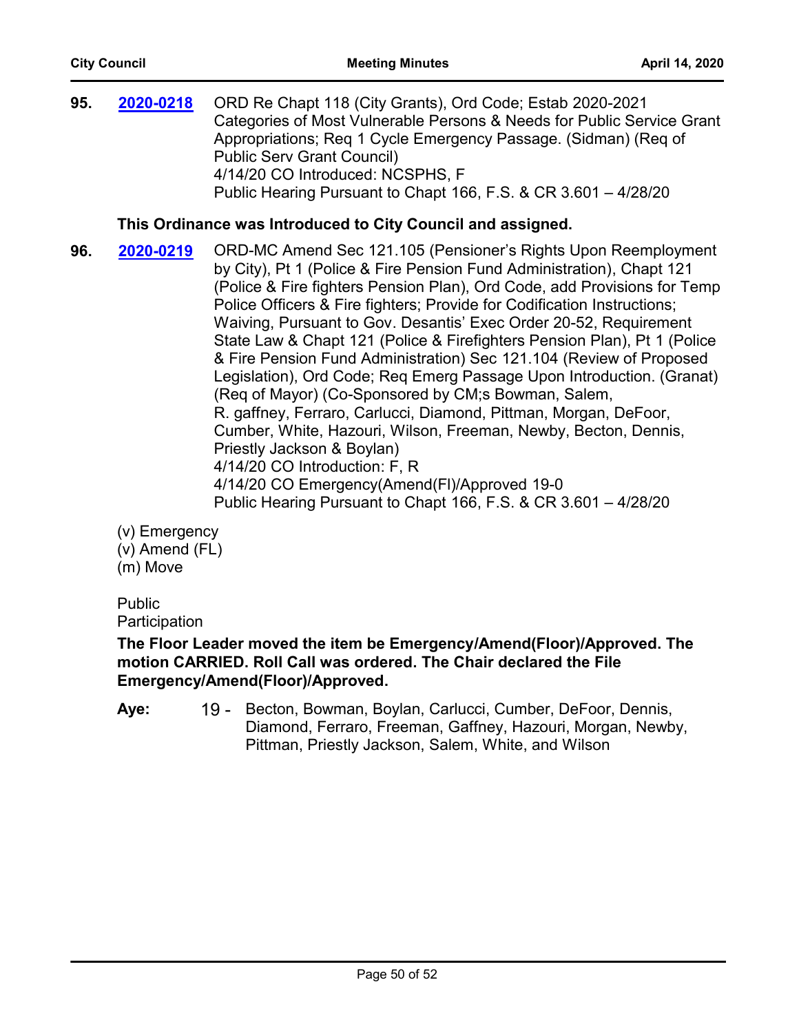**95. 2020-0218** ORD Re Chapt 118 (City Grants), Ord Code; Estab 2020-2021 Categories of Most Vulnerable Persons & Needs for Public Service Grant Appropriations; Req 1 Cycle Emergency Passage. (Sidman) (Req of Public Serv Grant Council) 4/14/20 CO Introduced: NCSPHS, F Public Hearing Pursuant to Chapt 166, F.S. & CR 3.601 – 4/28/20 **[2020-0218](http://jaxcityc.legistar.com/gateway.aspx?m=l&id=/matter.aspx?key=2291)**

## **This Ordinance was Introduced to City Council and assigned.**

**96. 2020-0219** ORD-MC Amend Sec 121.105 (Pensioner's Rights Upon Reemployment by City), Pt 1 (Police & Fire Pension Fund Administration), Chapt 121 (Police & Fire fighters Pension Plan), Ord Code, add Provisions for Temp Police Officers & Fire fighters; Provide for Codification Instructions; Waiving, Pursuant to Gov. Desantis' Exec Order 20-52, Requirement State Law & Chapt 121 (Police & Firefighters Pension Plan), Pt 1 (Police & Fire Pension Fund Administration) Sec 121.104 (Review of Proposed Legislation), Ord Code; Req Emerg Passage Upon Introduction. (Granat) (Req of Mayor) (Co-Sponsored by CM;s Bowman, Salem, R. gaffney, Ferraro, Carlucci, Diamond, Pittman, Morgan, DeFoor, Cumber, White, Hazouri, Wilson, Freeman, Newby, Becton, Dennis, Priestly Jackson & Boylan) 4/14/20 CO Introduction: F, R 4/14/20 CO Emergency(Amend(Fl)/Approved 19-0 Public Hearing Pursuant to Chapt 166, F.S. & CR 3.601 – 4/28/20 **[2020-0219](http://jaxcityc.legistar.com/gateway.aspx?m=l&id=/matter.aspx?key=2292)**

(v) Emergency (v) Amend (FL) (m) Move

Public **Participation** 

## **The Floor Leader moved the item be Emergency/Amend(Floor)/Approved. The motion CARRIED. Roll Call was ordered. The Chair declared the File Emergency/Amend(Floor)/Approved.**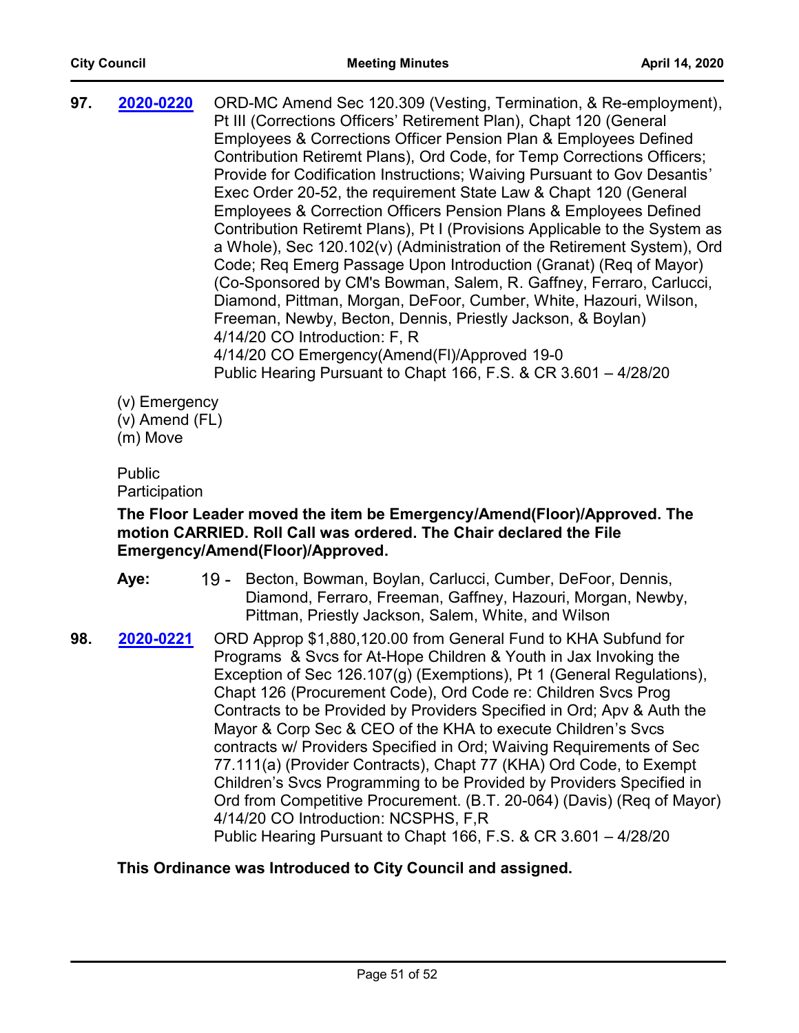| 97. | 2020-0220 | ORD-MC Amend Sec 120.309 (Vesting, Termination, & Re-employment),<br>Pt III (Corrections Officers' Retirement Plan), Chapt 120 (General |
|-----|-----------|-----------------------------------------------------------------------------------------------------------------------------------------|
|     |           |                                                                                                                                         |
|     |           | Employees & Corrections Officer Pension Plan & Employees Defined                                                                        |
|     |           | Contribution Retiremt Plans), Ord Code, for Temp Corrections Officers;                                                                  |
|     |           | Provide for Codification Instructions; Waiving Pursuant to Gov Desantis'                                                                |
|     |           | Exec Order 20-52, the requirement State Law & Chapt 120 (General                                                                        |
|     |           | Employees & Correction Officers Pension Plans & Employees Defined                                                                       |
|     |           | Contribution Retiremt Plans), Pt I (Provisions Applicable to the System as                                                              |
|     |           | a Whole), Sec 120.102(v) (Administration of the Retirement System), Ord                                                                 |
|     |           | Code; Reg Emerg Passage Upon Introduction (Granat) (Reg of Mayor)                                                                       |
|     |           | (Co-Sponsored by CM's Bowman, Salem, R. Gaffney, Ferraro, Carlucci,                                                                     |
|     |           | Diamond, Pittman, Morgan, DeFoor, Cumber, White, Hazouri, Wilson,                                                                       |
|     |           | Freeman, Newby, Becton, Dennis, Priestly Jackson, & Boylan)                                                                             |
|     |           | 4/14/20 CO Introduction: F, R                                                                                                           |
|     |           | 4/14/20 CO Emergency(Amend(FI)/Approved 19-0                                                                                            |
|     |           | Public Hearing Pursuant to Chapt 166, F.S. & CR 3.601 - 4/28/20                                                                         |
|     |           |                                                                                                                                         |

(v) Emergency

(v) Amend (FL)

(m) Move

#### Public Participation

## **The Floor Leader moved the item be Emergency/Amend(Floor)/Approved. The motion CARRIED. Roll Call was ordered. The Chair declared the File Emergency/Amend(Floor)/Approved.**

- 19 Becton, Bowman, Boylan, Carlucci, Cumber, DeFoor, Dennis, Diamond, Ferraro, Freeman, Gaffney, Hazouri, Morgan, Newby, Pittman, Priestly Jackson, Salem, White, and Wilson **Aye:**
- **98. 2020-0221** ORD Approp \$1,880,120.00 from General Fund to KHA Subfund for Programs & Svcs for At-Hope Children & Youth in Jax Invoking the Exception of Sec 126.107(g) (Exemptions), Pt 1 (General Regulations), Chapt 126 (Procurement Code), Ord Code re: Children Svcs Prog Contracts to be Provided by Providers Specified in Ord; Apv & Auth the Mayor & Corp Sec & CEO of the KHA to execute Children's Svcs contracts w/ Providers Specified in Ord; Waiving Requirements of Sec 77.111(a) (Provider Contracts), Chapt 77 (KHA) Ord Code, to Exempt Children's Svcs Programming to be Provided by Providers Specified in Ord from Competitive Procurement. (B.T. 20-064) (Davis) (Req of Mayor) 4/14/20 CO Introduction: NCSPHS, F,R Public Hearing Pursuant to Chapt 166, F.S. & CR 3.601 – 4/28/20 **[2020-0221](http://jaxcityc.legistar.com/gateway.aspx?m=l&id=/matter.aspx?key=2294)**